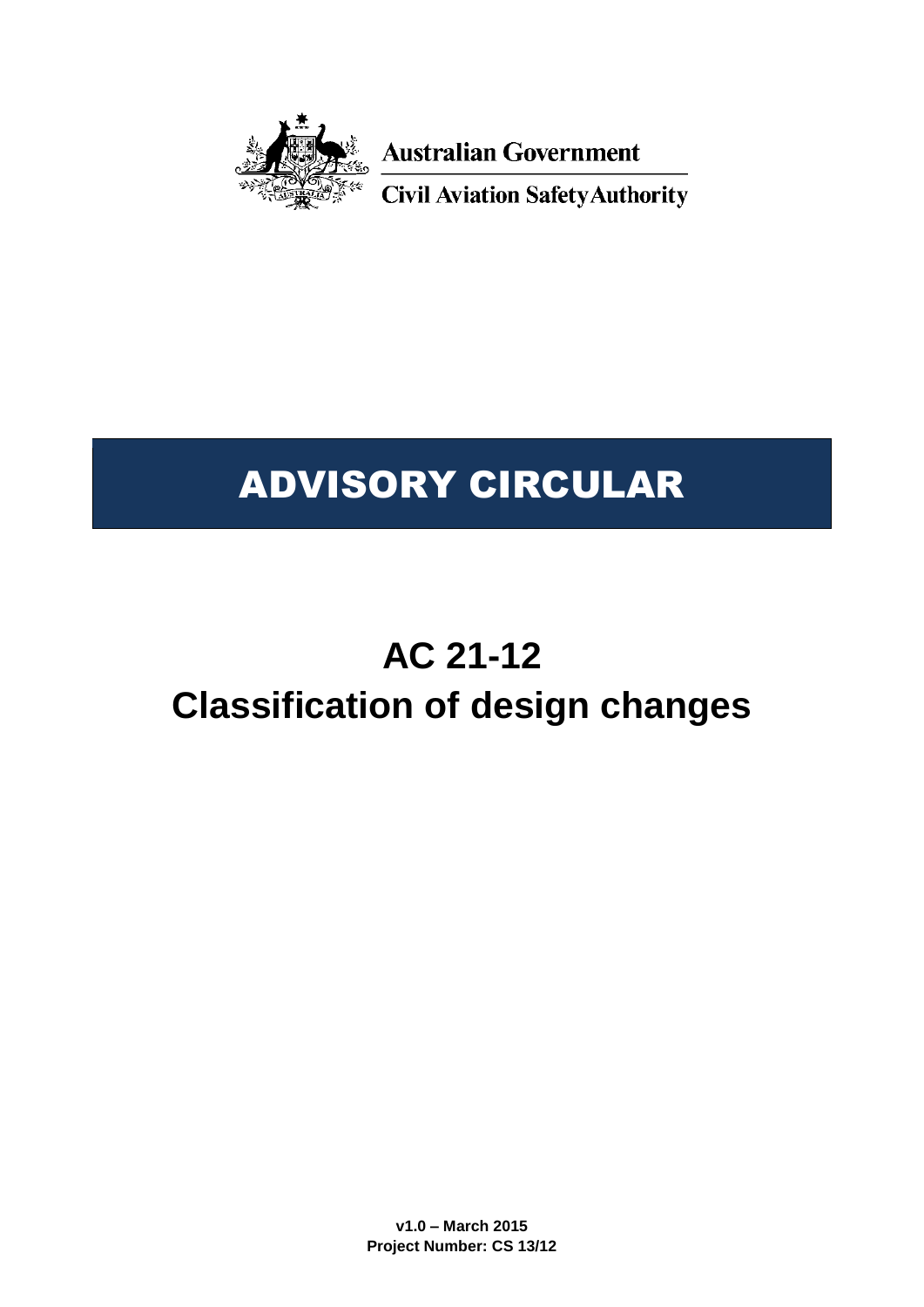

**Australian Government** 

**Civil Aviation Safety Authority** 

# ADVISORY CIRCULAR

# **AC 21-12 Classification of design changes**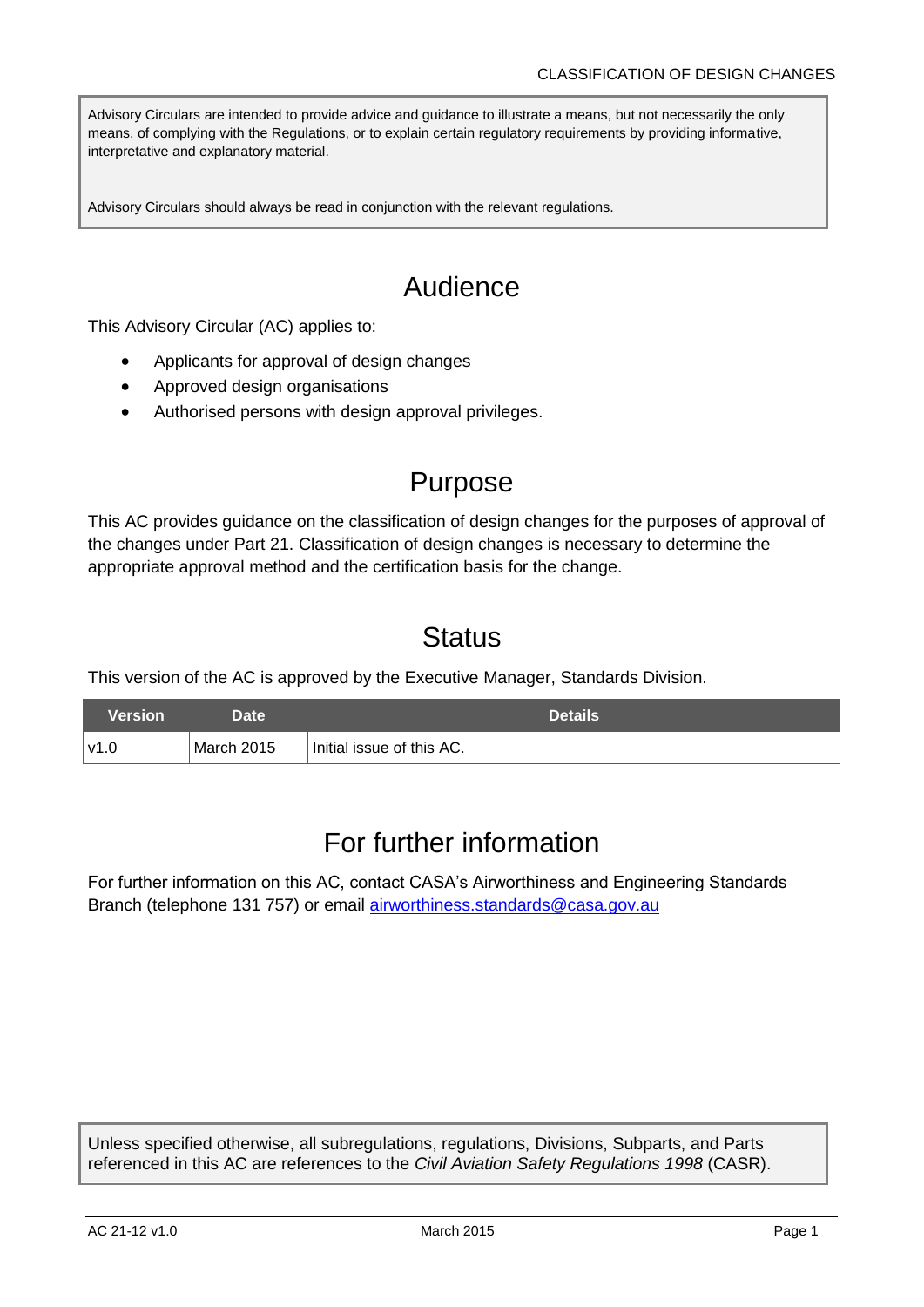Advisory Circulars are intended to provide advice and guidance to illustrate a means, but not necessarily the only means, of complying with the Regulations, or to explain certain regulatory requirements by providing informative, interpretative and explanatory material.

Advisory Circulars should always be read in conjunction with the relevant regulations.

## Audience

This Advisory Circular (AC) applies to:

- Applicants for approval of design changes
- Approved design organisations
- Authorised persons with design approval privileges.

## Purpose

This AC provides guidance on the classification of design changes for the purposes of approval of the changes under Part 21. Classification of design changes is necessary to determine the appropriate approval method and the certification basis for the change.

## **Status**

This version of the AC is approved by the Executive Manager, Standards Division.

| Version' | Date.      | <b>Details</b>            |
|----------|------------|---------------------------|
| l v1.0   | March 2015 | Initial issue of this AC. |

## For further information

For further information on this AC, contact CASA's Airworthiness and Engineering Standards Branch (telephone 131 757) or email [airworthiness.standards@casa.gov.au](mailto:airworthiness.standards@casa.gov.au)

Unless specified otherwise, all subregulations, regulations, Divisions, Subparts, and Parts referenced in this AC are references to the *Civil Aviation Safety Regulations 1998* (CASR).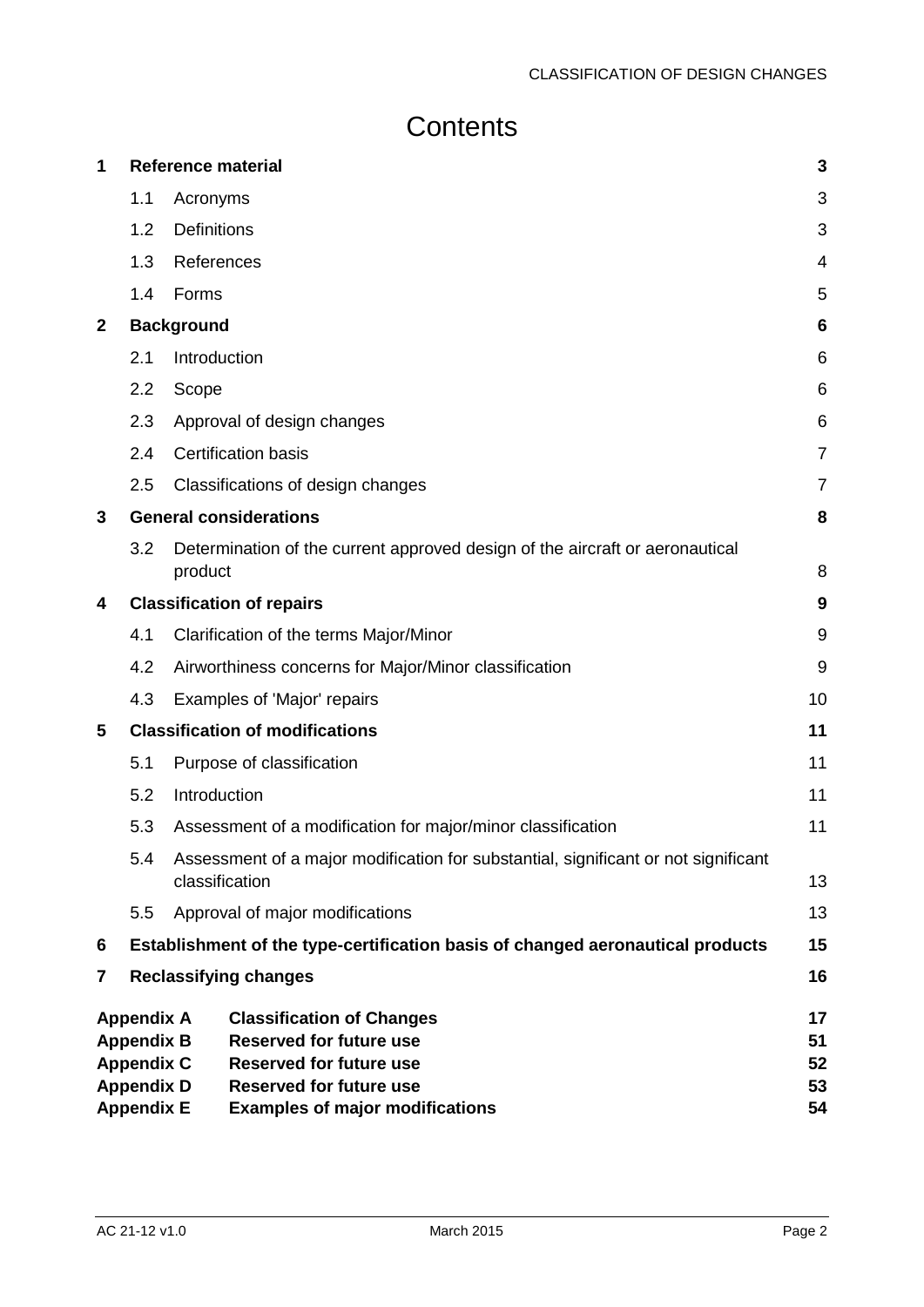## **Contents**

| 1            |                                        |                    | <b>Reference material</b>                                                          | 3              |  |
|--------------|----------------------------------------|--------------------|------------------------------------------------------------------------------------|----------------|--|
|              | 1.1                                    | Acronyms           |                                                                                    | 3              |  |
|              | 1.2                                    | <b>Definitions</b> |                                                                                    |                |  |
|              | 1.3                                    | References         |                                                                                    | 4              |  |
|              | 1.4                                    | Forms              |                                                                                    | 5              |  |
| $\mathbf{2}$ |                                        | <b>Background</b>  |                                                                                    | 6              |  |
|              | 2.1                                    | Introduction       |                                                                                    | 6              |  |
|              | 2.2                                    | Scope              |                                                                                    | 6              |  |
|              | 2.3                                    |                    | Approval of design changes                                                         | 6              |  |
|              | 2.4                                    |                    | <b>Certification basis</b>                                                         | 7              |  |
|              | 2.5                                    |                    | Classifications of design changes                                                  | $\overline{7}$ |  |
| 3            |                                        |                    | <b>General considerations</b>                                                      | 8              |  |
|              | 3.2                                    | product            | Determination of the current approved design of the aircraft or aeronautical       | 8              |  |
| 4            |                                        |                    | <b>Classification of repairs</b>                                                   | 9              |  |
|              | 4.1                                    |                    | Clarification of the terms Major/Minor                                             | 9              |  |
|              | 4.2                                    |                    | Airworthiness concerns for Major/Minor classification                              | 9              |  |
|              | 4.3                                    |                    | Examples of 'Major' repairs                                                        | 10             |  |
| 5            |                                        |                    | <b>Classification of modifications</b>                                             | 11             |  |
|              | 5.1                                    |                    | Purpose of classification                                                          | 11             |  |
|              | 5.2                                    | Introduction       |                                                                                    | 11             |  |
|              | 5.3                                    |                    | Assessment of a modification for major/minor classification                        | 11             |  |
|              | 5.4                                    | classification     | Assessment of a major modification for substantial, significant or not significant | 13             |  |
|              | 5.5                                    |                    | Approval of major modifications                                                    | 13             |  |
| 6            |                                        |                    | Establishment of the type-certification basis of changed aeronautical products     | 15             |  |
| 7            |                                        |                    | <b>Reclassifying changes</b>                                                       | 16             |  |
|              | <b>Appendix A</b><br><b>Appendix B</b> |                    | <b>Classification of Changes</b><br><b>Reserved for future use</b>                 | 17<br>51       |  |
|              | <b>Appendix C</b>                      |                    | <b>Reserved for future use</b>                                                     | 52             |  |
|              | <b>Appendix D</b><br><b>Appendix E</b> |                    | <b>Reserved for future use</b><br><b>Examples of major modifications</b>           | 53<br>54       |  |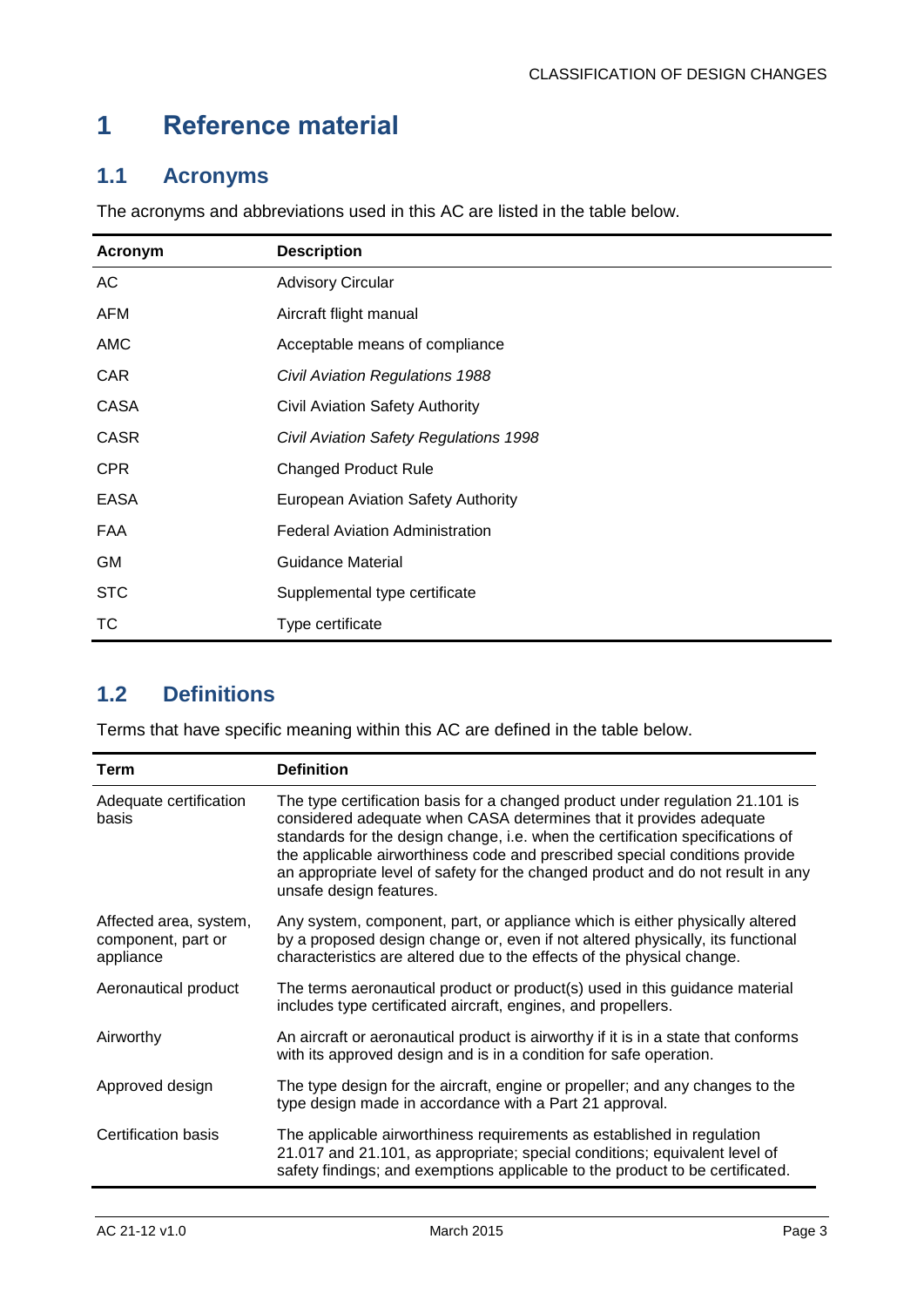## <span id="page-3-0"></span>**1 Reference material**

## <span id="page-3-1"></span>**1.1 Acronyms**

The acronyms and abbreviations used in this AC are listed in the table below.

| Acronym     | <b>Description</b>                        |
|-------------|-------------------------------------------|
| AC          | <b>Advisory Circular</b>                  |
| <b>AFM</b>  | Aircraft flight manual                    |
| AMC         | Acceptable means of compliance            |
| <b>CAR</b>  | <b>Civil Aviation Regulations 1988</b>    |
| <b>CASA</b> | Civil Aviation Safety Authority           |
| <b>CASR</b> | Civil Aviation Safety Regulations 1998    |
| <b>CPR</b>  | <b>Changed Product Rule</b>               |
| <b>EASA</b> | <b>European Aviation Safety Authority</b> |
| FAA         | <b>Federal Aviation Administration</b>    |
| <b>GM</b>   | Guidance Material                         |
| <b>STC</b>  | Supplemental type certificate             |
| TC          | Type certificate                          |

## <span id="page-3-2"></span>**1.2 Definitions**

Terms that have specific meaning within this AC are defined in the table below.

| <b>Term</b>                                               | <b>Definition</b>                                                                                                                                                                                                                                                                                                                                                                                                                  |
|-----------------------------------------------------------|------------------------------------------------------------------------------------------------------------------------------------------------------------------------------------------------------------------------------------------------------------------------------------------------------------------------------------------------------------------------------------------------------------------------------------|
| Adequate certification<br>basis                           | The type certification basis for a changed product under regulation 21.101 is<br>considered adequate when CASA determines that it provides adequate<br>standards for the design change, i.e. when the certification specifications of<br>the applicable airworthiness code and prescribed special conditions provide<br>an appropriate level of safety for the changed product and do not result in any<br>unsafe design features. |
| Affected area, system,<br>component, part or<br>appliance | Any system, component, part, or appliance which is either physically altered<br>by a proposed design change or, even if not altered physically, its functional<br>characteristics are altered due to the effects of the physical change.                                                                                                                                                                                           |
| Aeronautical product                                      | The terms aeronautical product or product(s) used in this guidance material<br>includes type certificated aircraft, engines, and propellers.                                                                                                                                                                                                                                                                                       |
| Airworthy                                                 | An aircraft or aeronautical product is airworthy if it is in a state that conforms<br>with its approved design and is in a condition for safe operation.                                                                                                                                                                                                                                                                           |
| Approved design                                           | The type design for the aircraft, engine or propeller; and any changes to the<br>type design made in accordance with a Part 21 approval.                                                                                                                                                                                                                                                                                           |
| Certification basis                                       | The applicable airworthiness requirements as established in regulation<br>21.017 and 21.101, as appropriate; special conditions; equivalent level of<br>safety findings; and exemptions applicable to the product to be certificated.                                                                                                                                                                                              |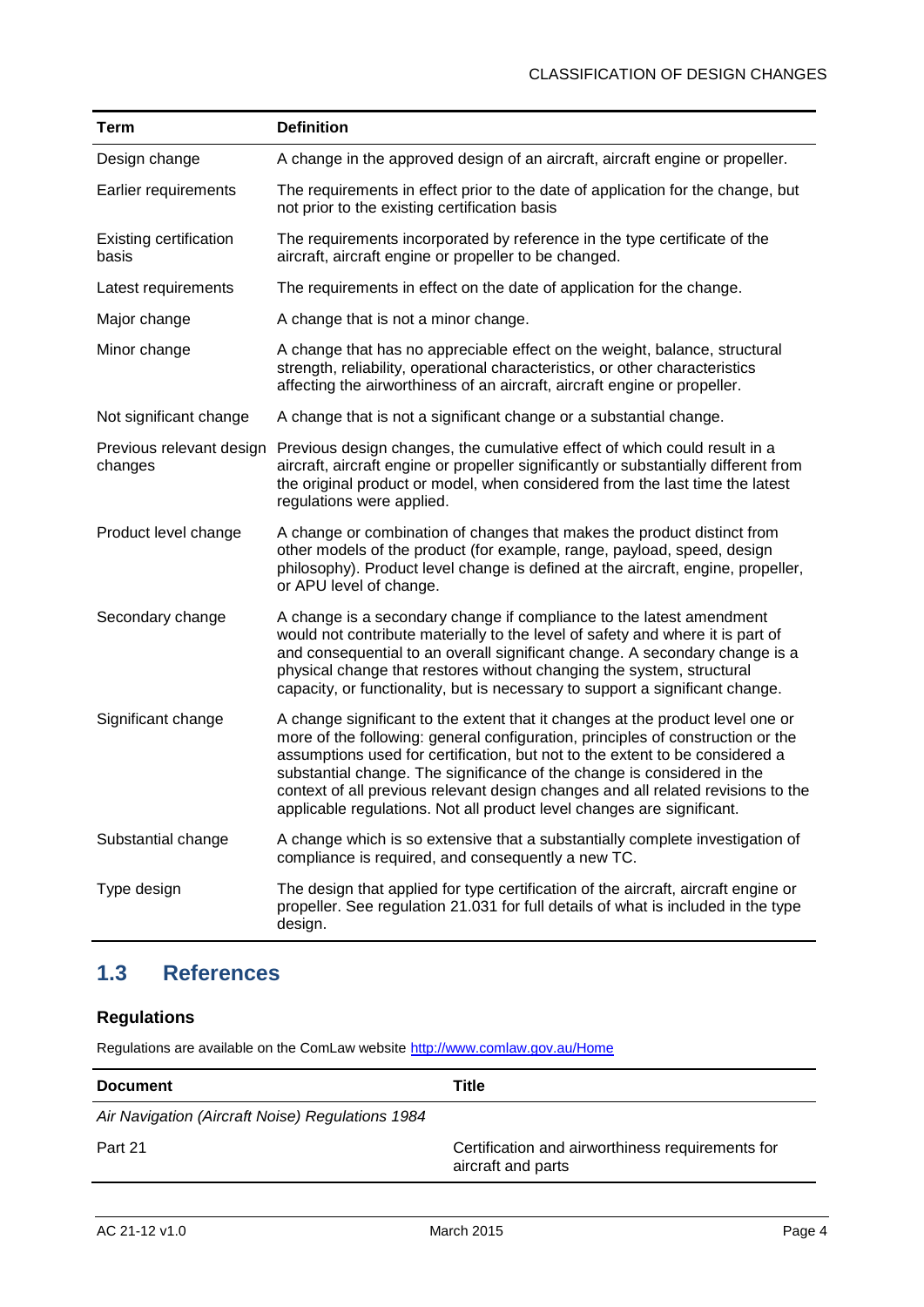| <b>Term</b>                            | <b>Definition</b>                                                                                                                                                                                                                                                                                                                                                                                                                                                                          |
|----------------------------------------|--------------------------------------------------------------------------------------------------------------------------------------------------------------------------------------------------------------------------------------------------------------------------------------------------------------------------------------------------------------------------------------------------------------------------------------------------------------------------------------------|
| Design change                          | A change in the approved design of an aircraft, aircraft engine or propeller.                                                                                                                                                                                                                                                                                                                                                                                                              |
| Earlier requirements                   | The requirements in effect prior to the date of application for the change, but<br>not prior to the existing certification basis                                                                                                                                                                                                                                                                                                                                                           |
| <b>Existing certification</b><br>basis | The requirements incorporated by reference in the type certificate of the<br>aircraft, aircraft engine or propeller to be changed.                                                                                                                                                                                                                                                                                                                                                         |
| Latest requirements                    | The requirements in effect on the date of application for the change.                                                                                                                                                                                                                                                                                                                                                                                                                      |
| Major change                           | A change that is not a minor change.                                                                                                                                                                                                                                                                                                                                                                                                                                                       |
| Minor change                           | A change that has no appreciable effect on the weight, balance, structural<br>strength, reliability, operational characteristics, or other characteristics<br>affecting the airworthiness of an aircraft, aircraft engine or propeller.                                                                                                                                                                                                                                                    |
| Not significant change                 | A change that is not a significant change or a substantial change.                                                                                                                                                                                                                                                                                                                                                                                                                         |
| Previous relevant design<br>changes    | Previous design changes, the cumulative effect of which could result in a<br>aircraft, aircraft engine or propeller significantly or substantially different from<br>the original product or model, when considered from the last time the latest<br>regulations were applied.                                                                                                                                                                                                             |
| Product level change                   | A change or combination of changes that makes the product distinct from<br>other models of the product (for example, range, payload, speed, design<br>philosophy). Product level change is defined at the aircraft, engine, propeller,<br>or APU level of change.                                                                                                                                                                                                                          |
| Secondary change                       | A change is a secondary change if compliance to the latest amendment<br>would not contribute materially to the level of safety and where it is part of<br>and consequential to an overall significant change. A secondary change is a<br>physical change that restores without changing the system, structural<br>capacity, or functionality, but is necessary to support a significant change.                                                                                            |
| Significant change                     | A change significant to the extent that it changes at the product level one or<br>more of the following: general configuration, principles of construction or the<br>assumptions used for certification, but not to the extent to be considered a<br>substantial change. The significance of the change is considered in the<br>context of all previous relevant design changes and all related revisions to the<br>applicable regulations. Not all product level changes are significant. |
| Substantial change                     | A change which is so extensive that a substantially complete investigation of<br>compliance is required, and consequently a new TC.                                                                                                                                                                                                                                                                                                                                                        |
| Type design                            | The design that applied for type certification of the aircraft, aircraft engine or<br>propeller. See regulation 21.031 for full details of what is included in the type<br>design.                                                                                                                                                                                                                                                                                                         |

## <span id="page-4-0"></span>**1.3 References**

## **Regulations**

Regulations are available on the ComLaw website<http://www.comlaw.gov.au/Home>

| <b>Document</b>                                  | Title                                                                  |
|--------------------------------------------------|------------------------------------------------------------------------|
| Air Navigation (Aircraft Noise) Regulations 1984 |                                                                        |
| Part 21                                          | Certification and airworthiness requirements for<br>aircraft and parts |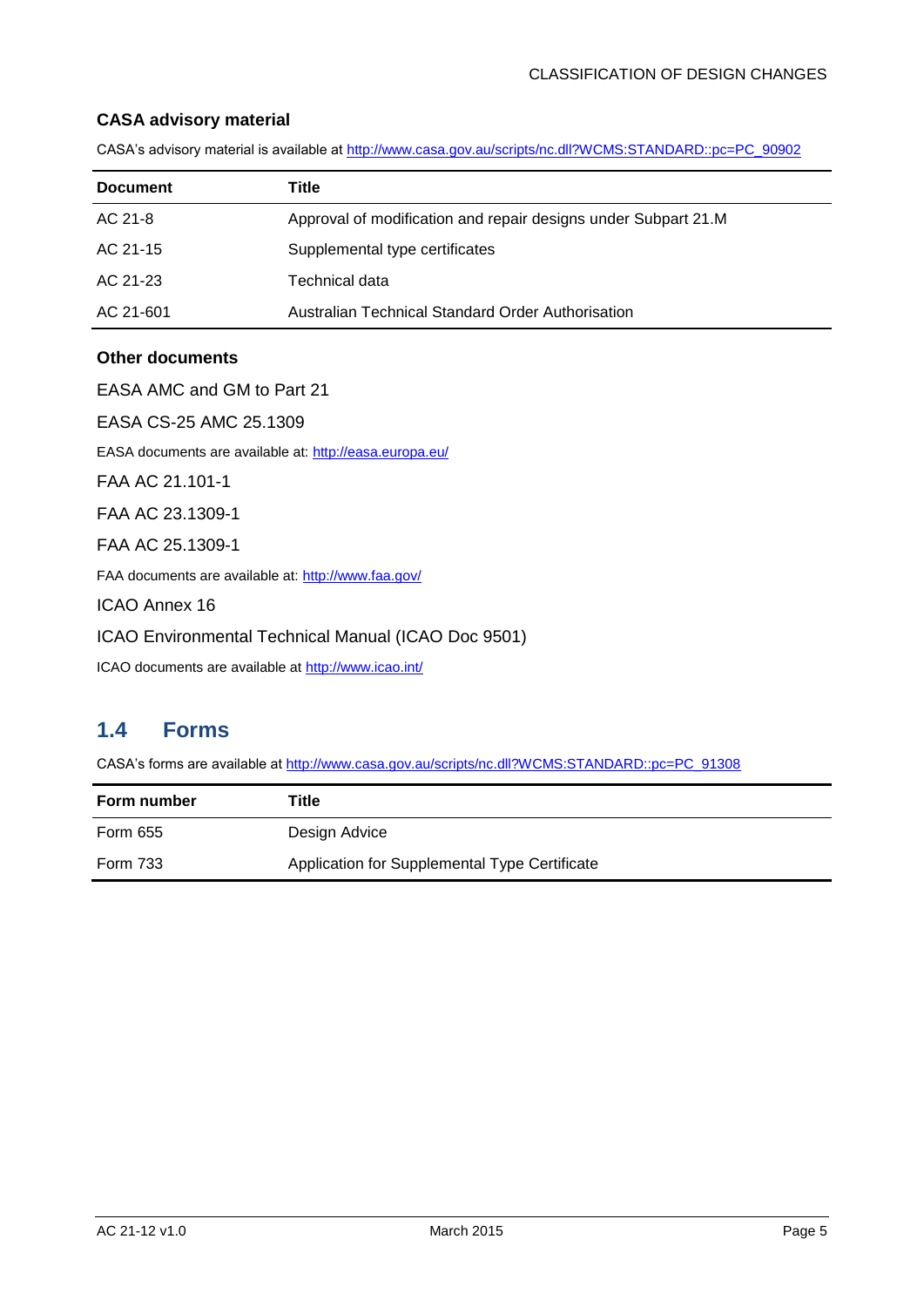#### **CASA advisory material**

CASA's advisory material is available at [http://www.casa.gov.au/scripts/nc.dll?WCMS:STANDARD::pc=PC\\_90902](http://www.casa.gov.au/scripts/nc.dll?WCMS:STANDARD::pc=PC_90902)

| <b>Document</b> | Title                                                          |
|-----------------|----------------------------------------------------------------|
| AC 21-8         | Approval of modification and repair designs under Subpart 21.M |
| AC 21-15        | Supplemental type certificates                                 |
| AC 21-23        | Technical data                                                 |
| AC 21-601       | Australian Technical Standard Order Authorisation              |

#### **Other documents**

EASA AMC and GM to Part 21 EASA CS-25 AMC 25.1309 EASA documents are available at:<http://easa.europa.eu/> FAA AC 21.101-1 FAA AC 23.1309-1 FAA AC 25.1309-1 FAA documents are available at:<http://www.faa.gov/> ICAO Annex 16 ICAO Environmental Technical Manual (ICAO Doc 9501) ICAO documents are available at <http://www.icao.int/>

## <span id="page-5-0"></span>**1.4 Forms**

CASA's forms are available at [http://www.casa.gov.au/scripts/nc.dll?WCMS:STANDARD::pc=PC\\_91308](http://www.casa.gov.au/scripts/nc.dll?WCMS:STANDARD::pc=PC_91308)

| <b>Form number</b> | Title                                         |
|--------------------|-----------------------------------------------|
| Form 655           | Design Advice                                 |
| <b>Form 733</b>    | Application for Supplemental Type Certificate |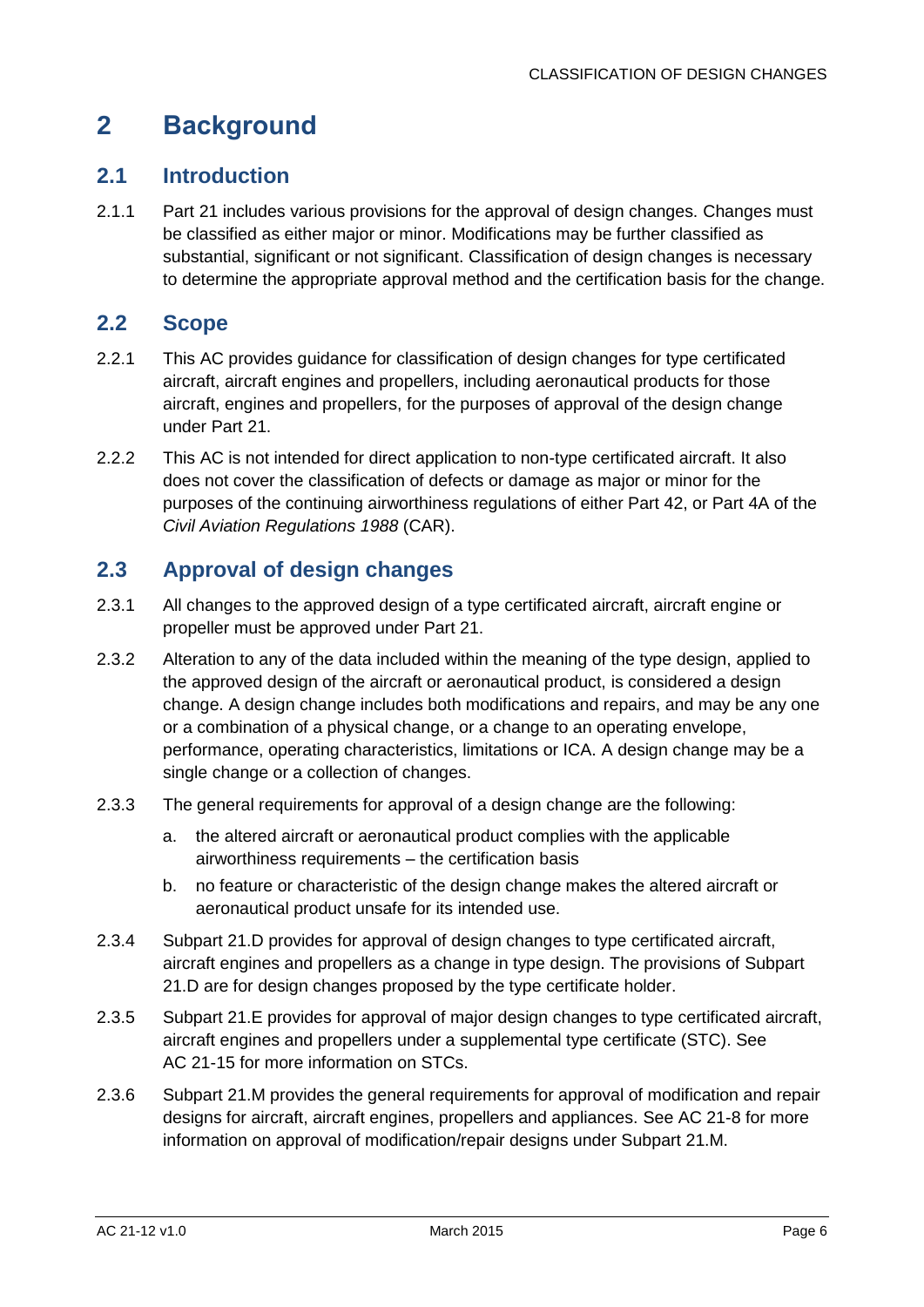## <span id="page-6-0"></span>**2 Background**

## <span id="page-6-1"></span>**2.1 Introduction**

2.1.1 Part 21 includes various provisions for the approval of design changes. Changes must be classified as either major or minor. Modifications may be further classified as substantial, significant or not significant. Classification of design changes is necessary to determine the appropriate approval method and the certification basis for the change.

### <span id="page-6-2"></span>**2.2 Scope**

- 2.2.1 This AC provides guidance for classification of design changes for type certificated aircraft, aircraft engines and propellers, including aeronautical products for those aircraft, engines and propellers, for the purposes of approval of the design change under Part 21.
- 2.2.2 This AC is not intended for direct application to non-type certificated aircraft. It also does not cover the classification of defects or damage as major or minor for the purposes of the continuing airworthiness regulations of either Part 42, or Part 4A of the *Civil Aviation Regulations 1988* (CAR).

## <span id="page-6-3"></span>**2.3 Approval of design changes**

- 2.3.1 All changes to the approved design of a type certificated aircraft, aircraft engine or propeller must be approved under Part 21.
- 2.3.2 Alteration to any of the data included within the meaning of the type design, applied to the approved design of the aircraft or aeronautical product, is considered a design change. A design change includes both modifications and repairs, and may be any one or a combination of a physical change, or a change to an operating envelope, performance, operating characteristics, limitations or ICA. A design change may be a single change or a collection of changes.
- 2.3.3 The general requirements for approval of a design change are the following:
	- a. the altered aircraft or aeronautical product complies with the applicable airworthiness requirements – the certification basis
	- b. no feature or characteristic of the design change makes the altered aircraft or aeronautical product unsafe for its intended use.
- 2.3.4 Subpart 21.D provides for approval of design changes to type certificated aircraft, aircraft engines and propellers as a change in type design. The provisions of Subpart 21.D are for design changes proposed by the type certificate holder.
- 2.3.5 Subpart 21.E provides for approval of major design changes to type certificated aircraft, aircraft engines and propellers under a supplemental type certificate (STC). See AC 21-15 for more information on STCs.
- 2.3.6 Subpart 21.M provides the general requirements for approval of modification and repair designs for aircraft, aircraft engines, propellers and appliances. See AC 21-8 for more information on approval of modification/repair designs under Subpart 21.M.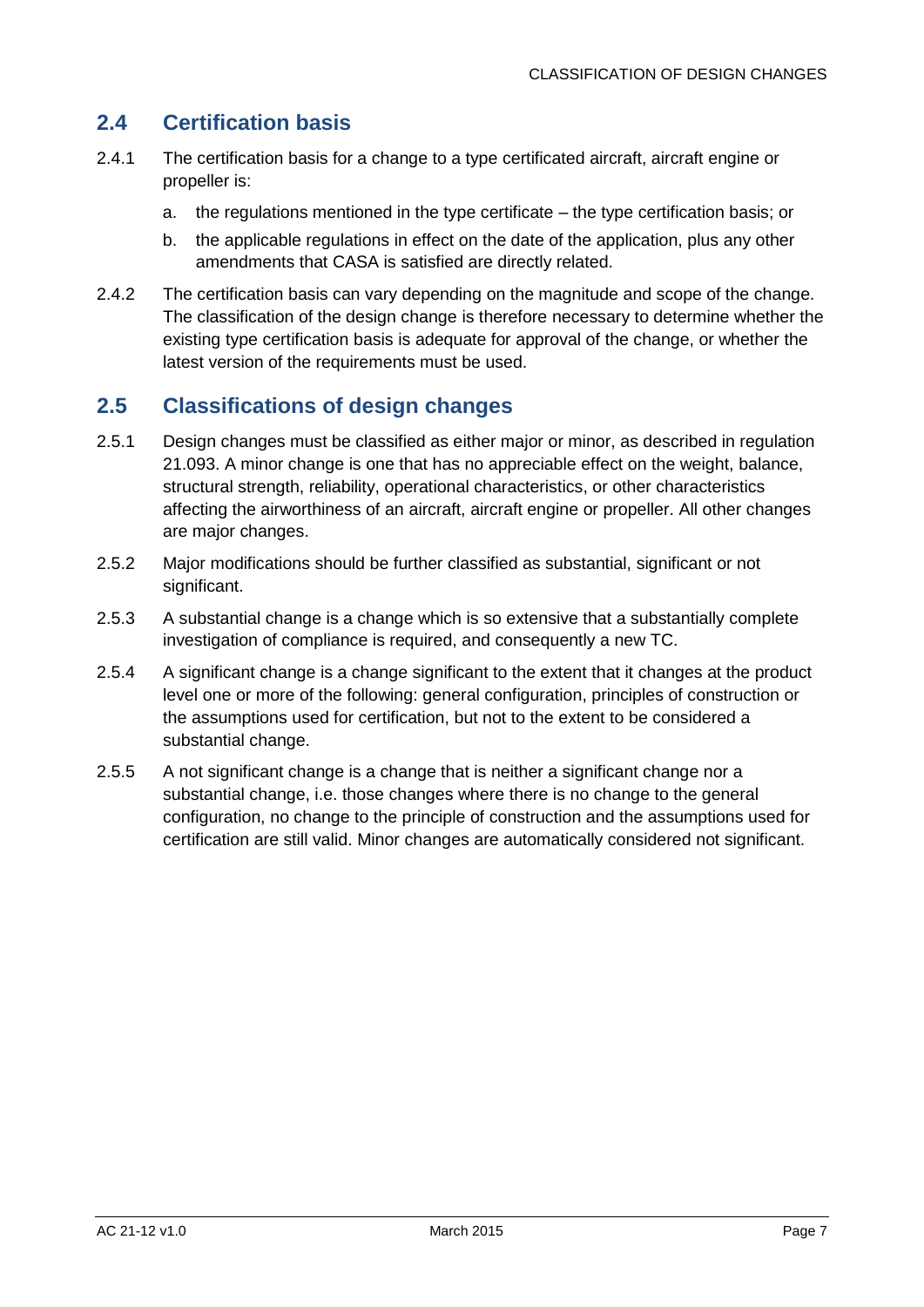## <span id="page-7-0"></span>**2.4 Certification basis**

- 2.4.1 The certification basis for a change to a type certificated aircraft, aircraft engine or propeller is:
	- a. the regulations mentioned in the type certificate the type certification basis; or
	- b. the applicable regulations in effect on the date of the application, plus any other amendments that CASA is satisfied are directly related.
- 2.4.2 The certification basis can vary depending on the magnitude and scope of the change. The classification of the design change is therefore necessary to determine whether the existing type certification basis is adequate for approval of the change, or whether the latest version of the requirements must be used.

## <span id="page-7-1"></span>**2.5 Classifications of design changes**

- 2.5.1 Design changes must be classified as either major or minor, as described in regulation 21.093. A minor change is one that has no appreciable effect on the weight, balance, structural strength, reliability, operational characteristics, or other characteristics affecting the airworthiness of an aircraft, aircraft engine or propeller. All other changes are major changes.
- 2.5.2 Major modifications should be further classified as substantial, significant or not significant.
- 2.5.3 A substantial change is a change which is so extensive that a substantially complete investigation of compliance is required, and consequently a new TC.
- 2.5.4 A significant change is a change significant to the extent that it changes at the product level one or more of the following: general configuration, principles of construction or the assumptions used for certification, but not to the extent to be considered a substantial change.
- 2.5.5 A not significant change is a change that is neither a significant change nor a substantial change, i.e. those changes where there is no change to the general configuration, no change to the principle of construction and the assumptions used for certification are still valid. Minor changes are automatically considered not significant.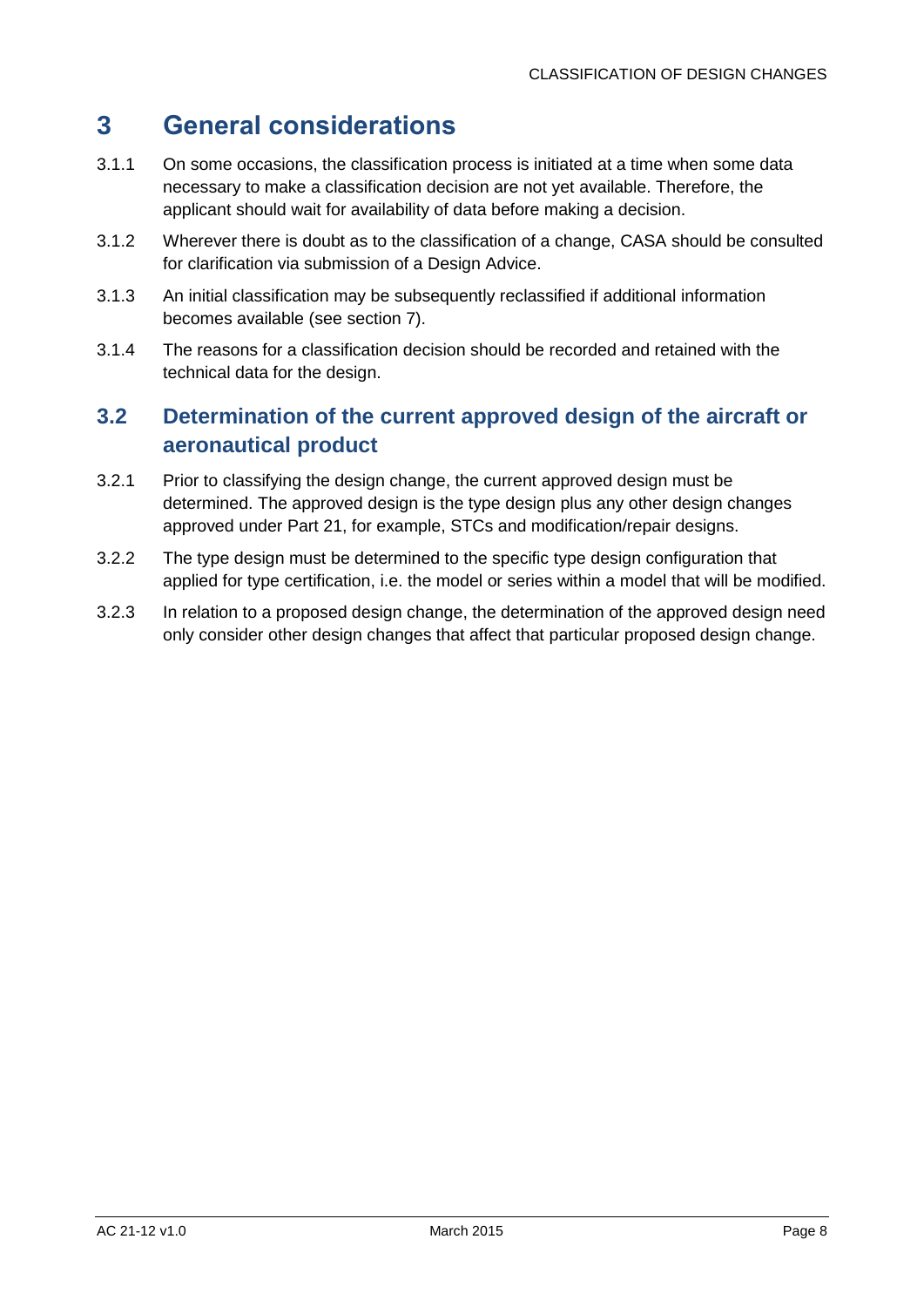## <span id="page-8-0"></span>**3 General considerations**

- 3.1.1 On some occasions, the classification process is initiated at a time when some data necessary to make a classification decision are not yet available. Therefore, the applicant should wait for availability of data before making a decision.
- 3.1.2 Wherever there is doubt as to the classification of a change, CASA should be consulted for clarification via submission of a Design Advice.
- 3.1.3 An initial classification may be subsequently reclassified if additional information becomes available (see section [7\)](#page-16-0).
- 3.1.4 The reasons for a classification decision should be recorded and retained with the technical data for the design.

## <span id="page-8-1"></span>**3.2 Determination of the current approved design of the aircraft or aeronautical product**

- 3.2.1 Prior to classifying the design change, the current approved design must be determined. The approved design is the type design plus any other design changes approved under Part 21, for example, STCs and modification/repair designs.
- 3.2.2 The type design must be determined to the specific type design configuration that applied for type certification, i.e. the model or series within a model that will be modified.
- 3.2.3 In relation to a proposed design change, the determination of the approved design need only consider other design changes that affect that particular proposed design change.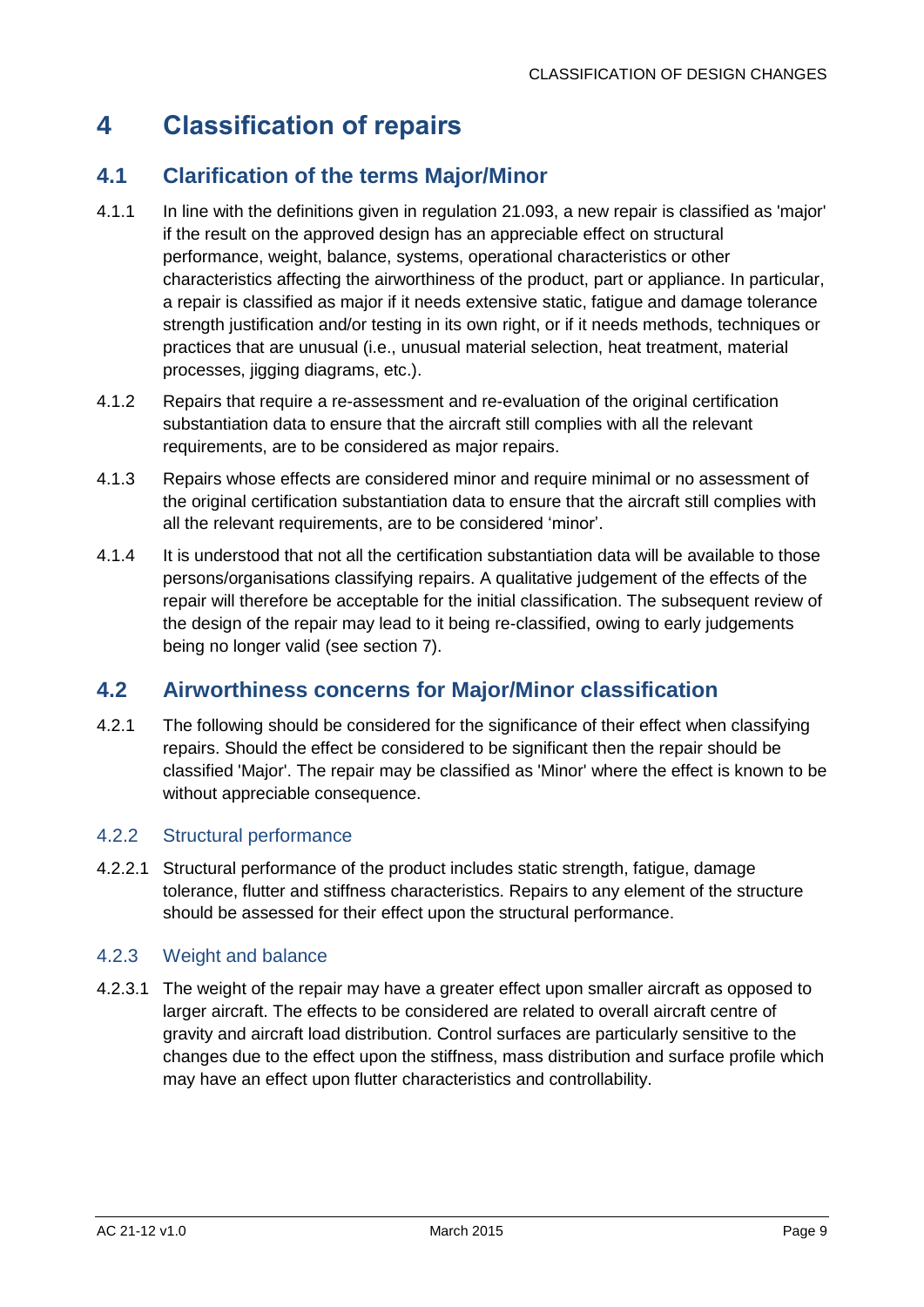## <span id="page-9-0"></span>**4 Classification of repairs**

## <span id="page-9-1"></span>**4.1 Clarification of the terms Major/Minor**

- 4.1.1 In line with the definitions given in regulation 21.093, a new repair is classified as 'major' if the result on the approved design has an appreciable effect on structural performance, weight, balance, systems, operational characteristics or other characteristics affecting the airworthiness of the product, part or appliance. In particular, a repair is classified as major if it needs extensive static, fatigue and damage tolerance strength justification and/or testing in its own right, or if it needs methods, techniques or practices that are unusual (i.e., unusual material selection, heat treatment, material processes, jigging diagrams, etc.).
- 4.1.2 Repairs that require a re-assessment and re-evaluation of the original certification substantiation data to ensure that the aircraft still complies with all the relevant requirements, are to be considered as major repairs.
- 4.1.3 Repairs whose effects are considered minor and require minimal or no assessment of the original certification substantiation data to ensure that the aircraft still complies with all the relevant requirements, are to be considered 'minor'.
- 4.1.4 It is understood that not all the certification substantiation data will be available to those persons/organisations classifying repairs. A qualitative judgement of the effects of the repair will therefore be acceptable for the initial classification. The subsequent review of the design of the repair may lead to it being re-classified, owing to early judgements being no longer valid (see section [7\)](#page-16-0).

## <span id="page-9-2"></span>**4.2 Airworthiness concerns for Major/Minor classification**

4.2.1 The following should be considered for the significance of their effect when classifying repairs. Should the effect be considered to be significant then the repair should be classified 'Major'. The repair may be classified as 'Minor' where the effect is known to be without appreciable consequence.

### 4.2.2 Structural performance

4.2.2.1 Structural performance of the product includes static strength, fatigue, damage tolerance, flutter and stiffness characteristics. Repairs to any element of the structure should be assessed for their effect upon the structural performance.

#### 4.2.3 Weight and balance

4.2.3.1 The weight of the repair may have a greater effect upon smaller aircraft as opposed to larger aircraft. The effects to be considered are related to overall aircraft centre of gravity and aircraft load distribution. Control surfaces are particularly sensitive to the changes due to the effect upon the stiffness, mass distribution and surface profile which may have an effect upon flutter characteristics and controllability.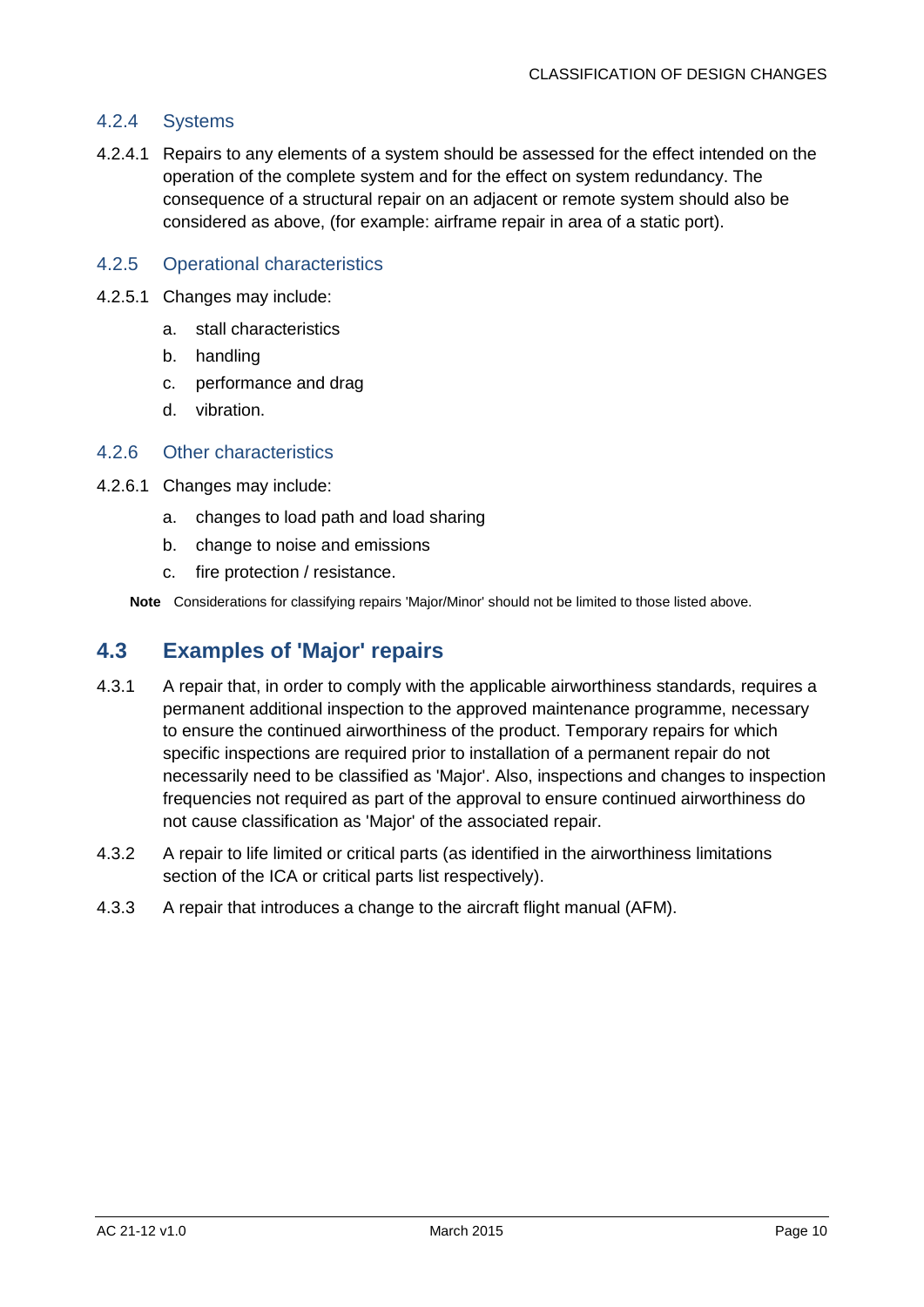#### 4.2.4 Systems

4.2.4.1 Repairs to any elements of a system should be assessed for the effect intended on the operation of the complete system and for the effect on system redundancy. The consequence of a structural repair on an adjacent or remote system should also be considered as above, (for example: airframe repair in area of a static port).

#### 4.2.5 Operational characteristics

- 4.2.5.1 Changes may include:
	- a. stall characteristics
	- b. handling
	- c. performance and drag
	- d. vibration.

#### 4.2.6 Other characteristics

- 4.2.6.1 Changes may include:
	- a. changes to load path and load sharing
	- b. change to noise and emissions
	- c. fire protection / resistance.

**Note** Considerations for classifying repairs 'Major/Minor' should not be limited to those listed above.

### <span id="page-10-0"></span>**4.3 Examples of 'Major' repairs**

- 4.3.1 A repair that, in order to comply with the applicable airworthiness standards, requires a permanent additional inspection to the approved maintenance programme, necessary to ensure the continued airworthiness of the product. Temporary repairs for which specific inspections are required prior to installation of a permanent repair do not necessarily need to be classified as 'Major'. Also, inspections and changes to inspection frequencies not required as part of the approval to ensure continued airworthiness do not cause classification as 'Major' of the associated repair.
- 4.3.2 A repair to life limited or critical parts (as identified in the airworthiness limitations section of the ICA or critical parts list respectively).
- 4.3.3 A repair that introduces a change to the aircraft flight manual (AFM).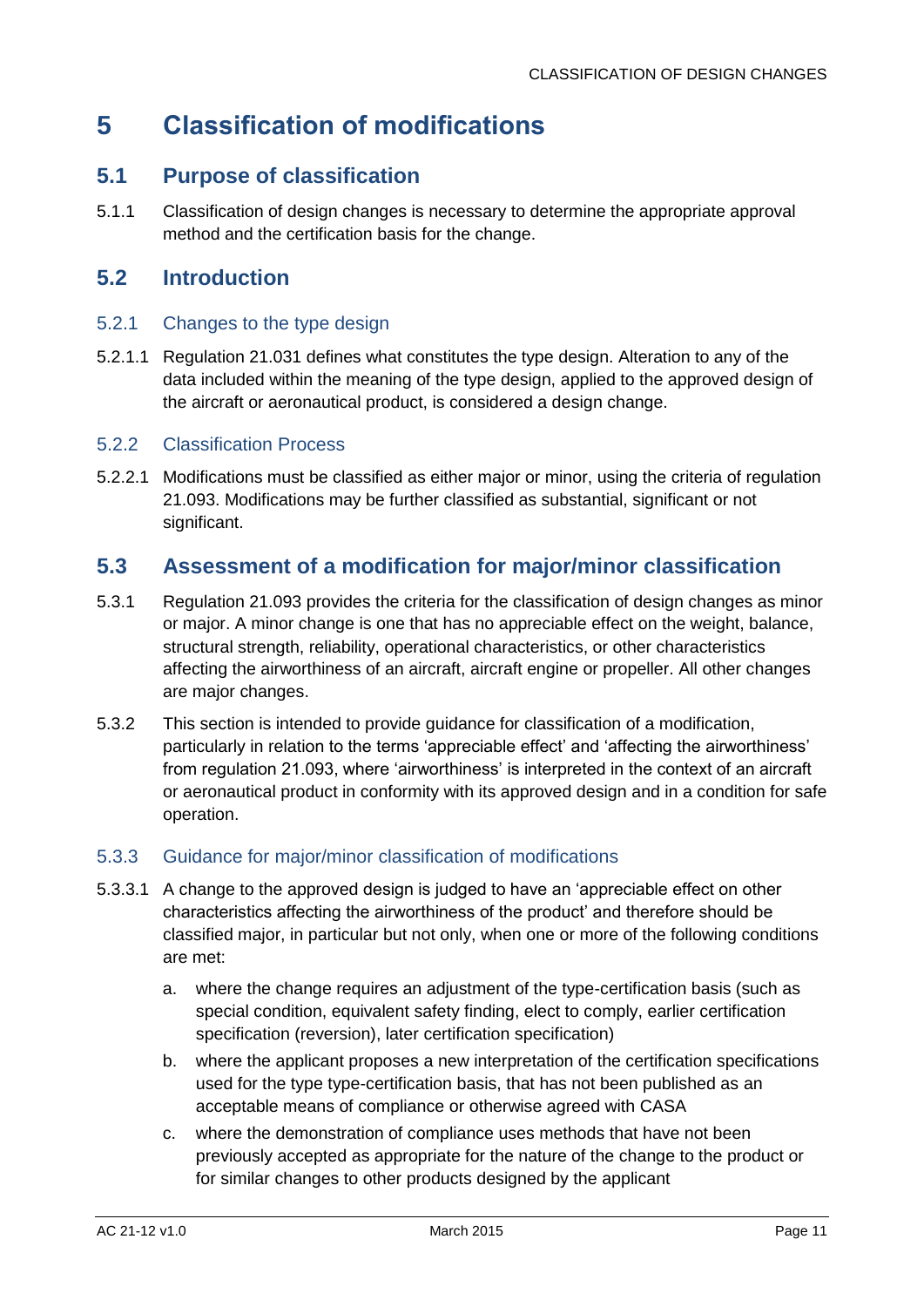## <span id="page-11-0"></span>**5 Classification of modifications**

## <span id="page-11-1"></span>**5.1 Purpose of classification**

5.1.1 Classification of design changes is necessary to determine the appropriate approval method and the certification basis for the change.

## <span id="page-11-2"></span>**5.2 Introduction**

#### 5.2.1 Changes to the type design

5.2.1.1 Regulation 21.031 defines what constitutes the type design. Alteration to any of the data included within the meaning of the type design, applied to the approved design of the aircraft or aeronautical product, is considered a design change.

#### 5.2.2 Classification Process

5.2.2.1 Modifications must be classified as either major or minor, using the criteria of regulation 21.093. Modifications may be further classified as substantial, significant or not significant.

## <span id="page-11-3"></span>**5.3 Assessment of a modification for major/minor classification**

- 5.3.1 Regulation 21.093 provides the criteria for the classification of design changes as minor or major. A minor change is one that has no appreciable effect on the weight, balance, structural strength, reliability, operational characteristics, or other characteristics affecting the airworthiness of an aircraft, aircraft engine or propeller. All other changes are major changes.
- 5.3.2 This section is intended to provide guidance for classification of a modification, particularly in relation to the terms 'appreciable effect' and 'affecting the airworthiness' from regulation 21.093, where 'airworthiness' is interpreted in the context of an aircraft or aeronautical product in conformity with its approved design and in a condition for safe operation.

#### 5.3.3 Guidance for major/minor classification of modifications

- 5.3.3.1 A change to the approved design is judged to have an 'appreciable effect on other characteristics affecting the airworthiness of the product' and therefore should be classified major, in particular but not only, when one or more of the following conditions are met:
	- a. where the change requires an adjustment of the type-certification basis (such as special condition, equivalent safety finding, elect to comply, earlier certification specification (reversion), later certification specification)
	- b. where the applicant proposes a new interpretation of the certification specifications used for the type type-certification basis, that has not been published as an acceptable means of compliance or otherwise agreed with CASA
	- c. where the demonstration of compliance uses methods that have not been previously accepted as appropriate for the nature of the change to the product or for similar changes to other products designed by the applicant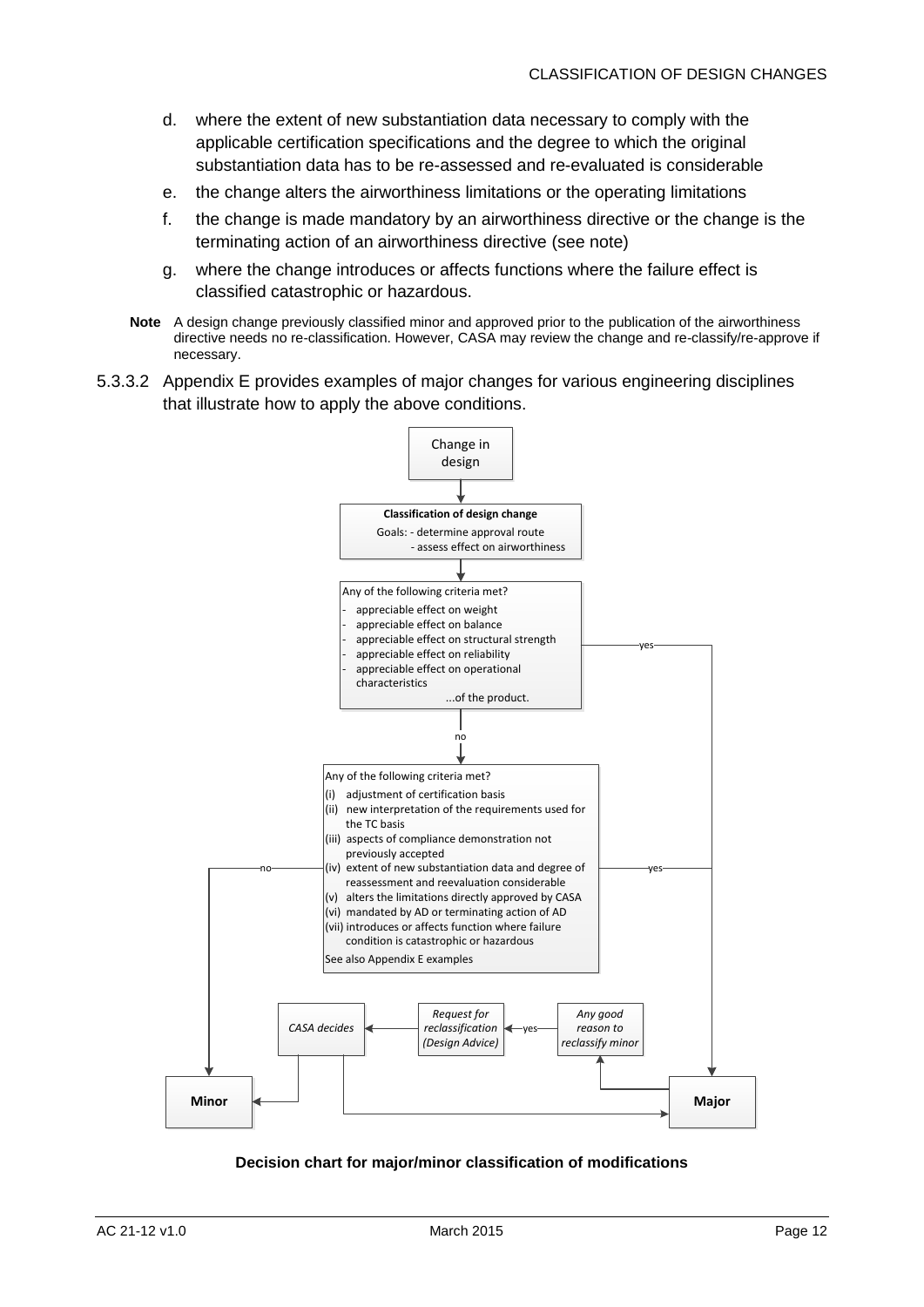- d. where the extent of new substantiation data necessary to comply with the applicable certification specifications and the degree to which the original substantiation data has to be re-assessed and re-evaluated is considerable
- e. the change alters the airworthiness limitations or the operating limitations
- f. the change is made mandatory by an airworthiness directive or the change is the terminating action of an airworthiness directive (see note)
- g. where the change introduces or affects functions where the failure effect is classified catastrophic or hazardous.
- **Note** A design change previously classified minor and approved prior to the publication of the airworthiness directive needs no re-classification. However, CASA may review the change and re-classify/re-approve if necessary.
- 5.3.3.2 [Appendix E](#page-54-0) provides examples of major changes for various engineering disciplines that illustrate how to apply the above conditions.



#### **Decision chart for major/minor classification of modifications**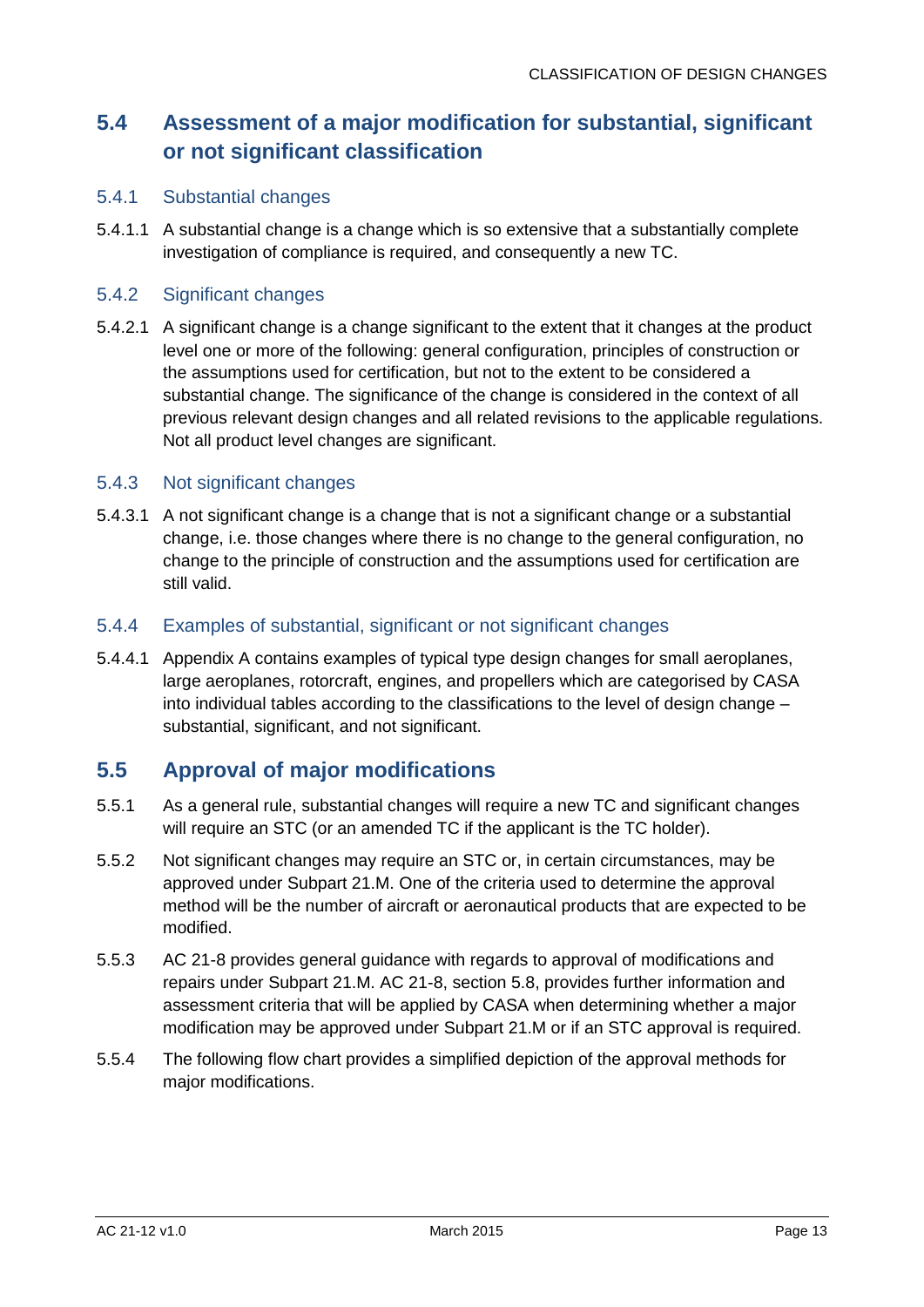## <span id="page-13-0"></span>**5.4 Assessment of a major modification for substantial, significant or not significant classification**

#### 5.4.1 Substantial changes

5.4.1.1 A substantial change is a change which is so extensive that a substantially complete investigation of compliance is required, and consequently a new TC.

#### 5.4.2 Significant changes

5.4.2.1 A significant change is a change significant to the extent that it changes at the product level one or more of the following: general configuration, principles of construction or the assumptions used for certification, but not to the extent to be considered a substantial change. The significance of the change is considered in the context of all previous relevant design changes and all related revisions to the applicable regulations. Not all product level changes are significant.

#### 5.4.3 Not significant changes

5.4.3.1 A not significant change is a change that is not a significant change or a substantial change, i.e. those changes where there is no change to the general configuration, no change to the principle of construction and the assumptions used for certification are still valid.

#### 5.4.4 Examples of substantial, significant or not significant changes

5.4.4.1 [Appendix A](#page-17-0) contains examples of typical type design changes for small aeroplanes, large aeroplanes, rotorcraft, engines, and propellers which are categorised by CASA into individual tables according to the classifications to the level of design change – substantial, significant, and not significant.

### <span id="page-13-1"></span>**5.5 Approval of major modifications**

- 5.5.1 As a general rule, substantial changes will require a new TC and significant changes will require an STC (or an amended TC if the applicant is the TC holder).
- 5.5.2 Not significant changes may require an STC or, in certain circumstances, may be approved under Subpart 21.M. One of the criteria used to determine the approval method will be the number of aircraft or aeronautical products that are expected to be modified.
- 5.5.3 AC 21-8 provides general guidance with regards to approval of modifications and repairs under Subpart 21.M. AC 21-8, section 5.8, provides further information and assessment criteria that will be applied by CASA when determining whether a major modification may be approved under Subpart 21.M or if an STC approval is required.
- 5.5.4 The following flow chart provides a simplified depiction of the approval methods for major modifications.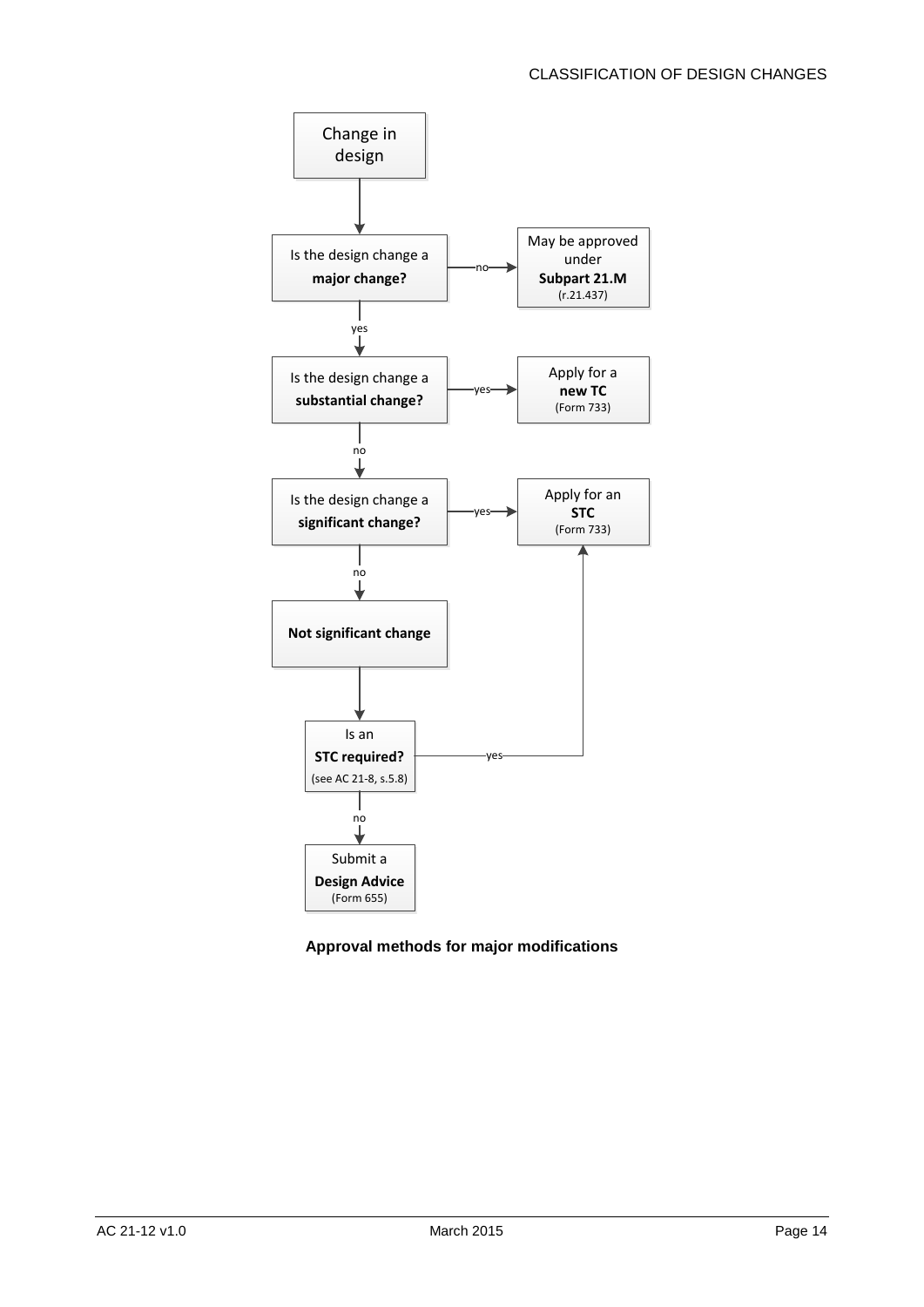

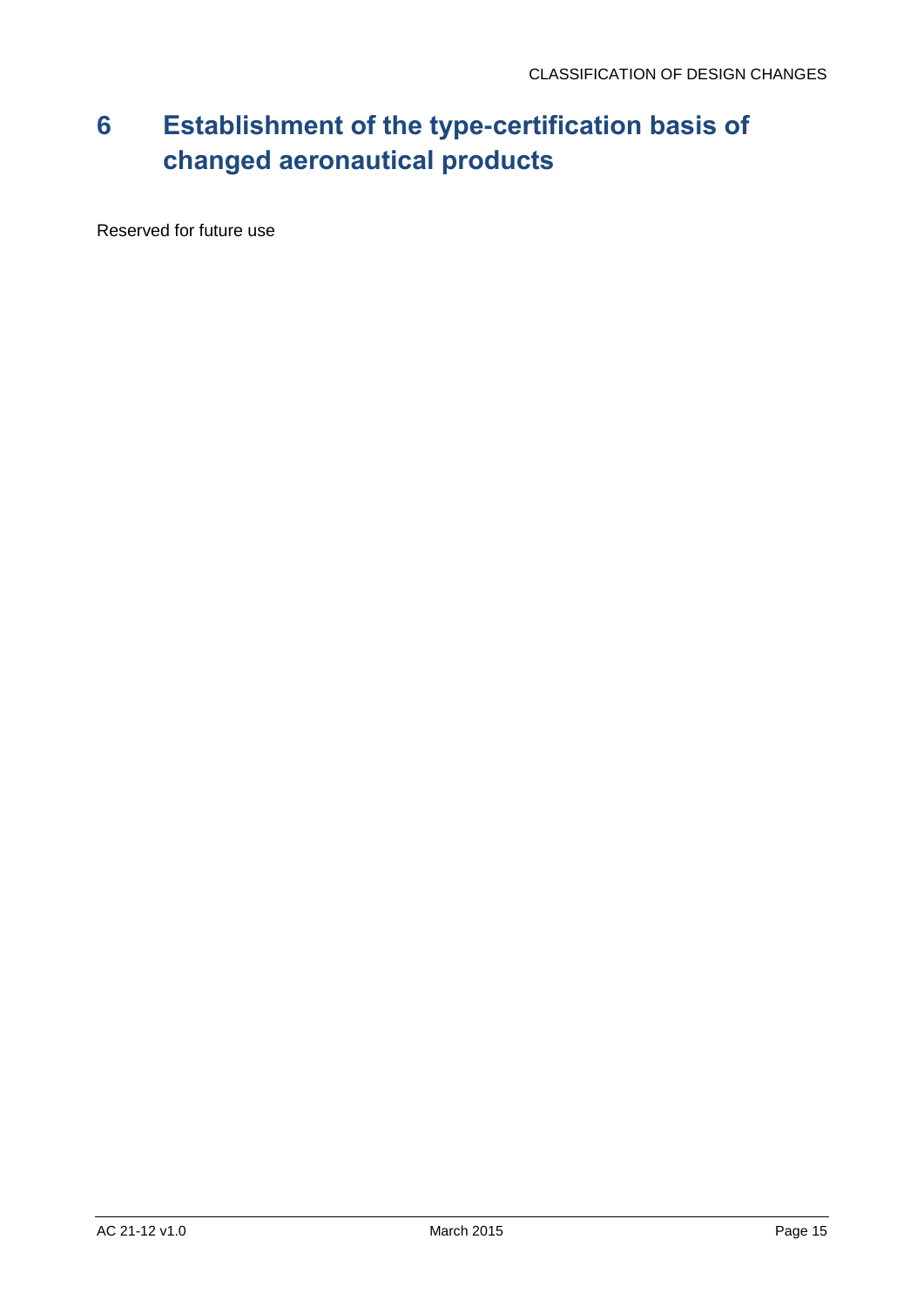## <span id="page-15-0"></span>**6 Establishment of the type-certification basis of changed aeronautical products**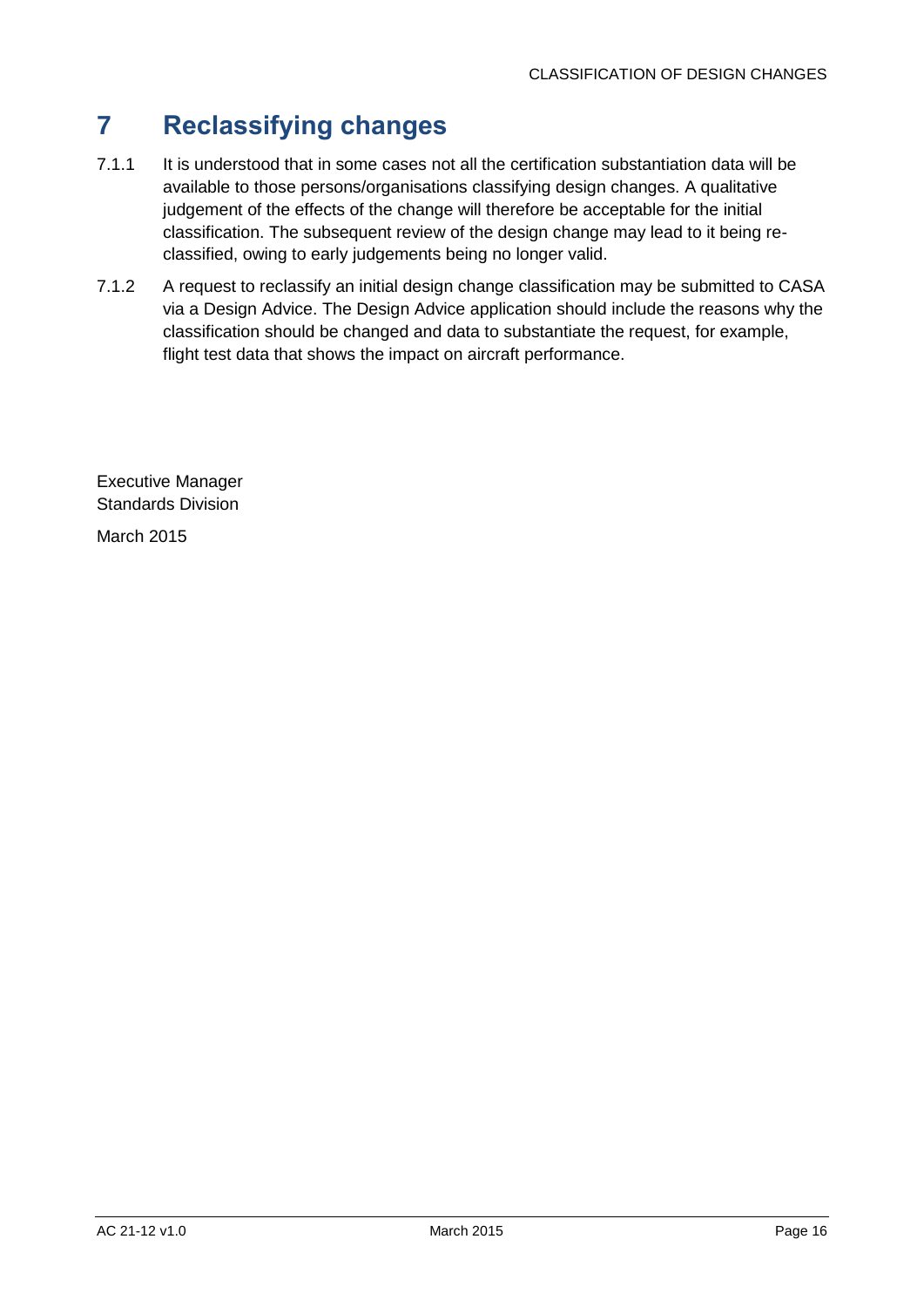## <span id="page-16-0"></span>**7 Reclassifying changes**

- 7.1.1 It is understood that in some cases not all the certification substantiation data will be available to those persons/organisations classifying design changes. A qualitative judgement of the effects of the change will therefore be acceptable for the initial classification. The subsequent review of the design change may lead to it being reclassified, owing to early judgements being no longer valid.
- 7.1.2 A request to reclassify an initial design change classification may be submitted to CASA via a Design Advice. The Design Advice application should include the reasons why the classification should be changed and data to substantiate the request, for example, flight test data that shows the impact on aircraft performance.

Executive Manager Standards Division

March 2015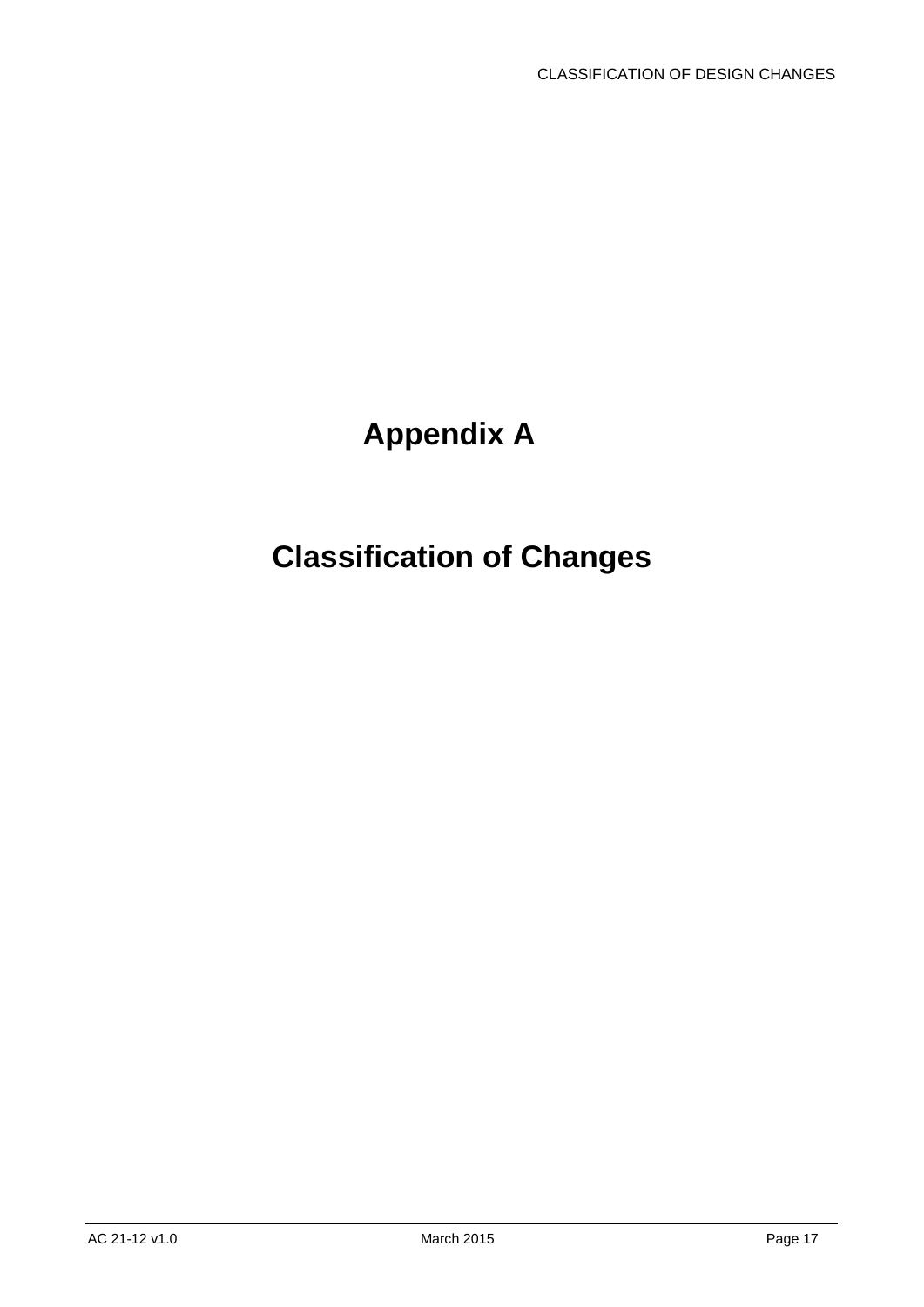# **Appendix A**

# <span id="page-17-0"></span>**Classification of Changes**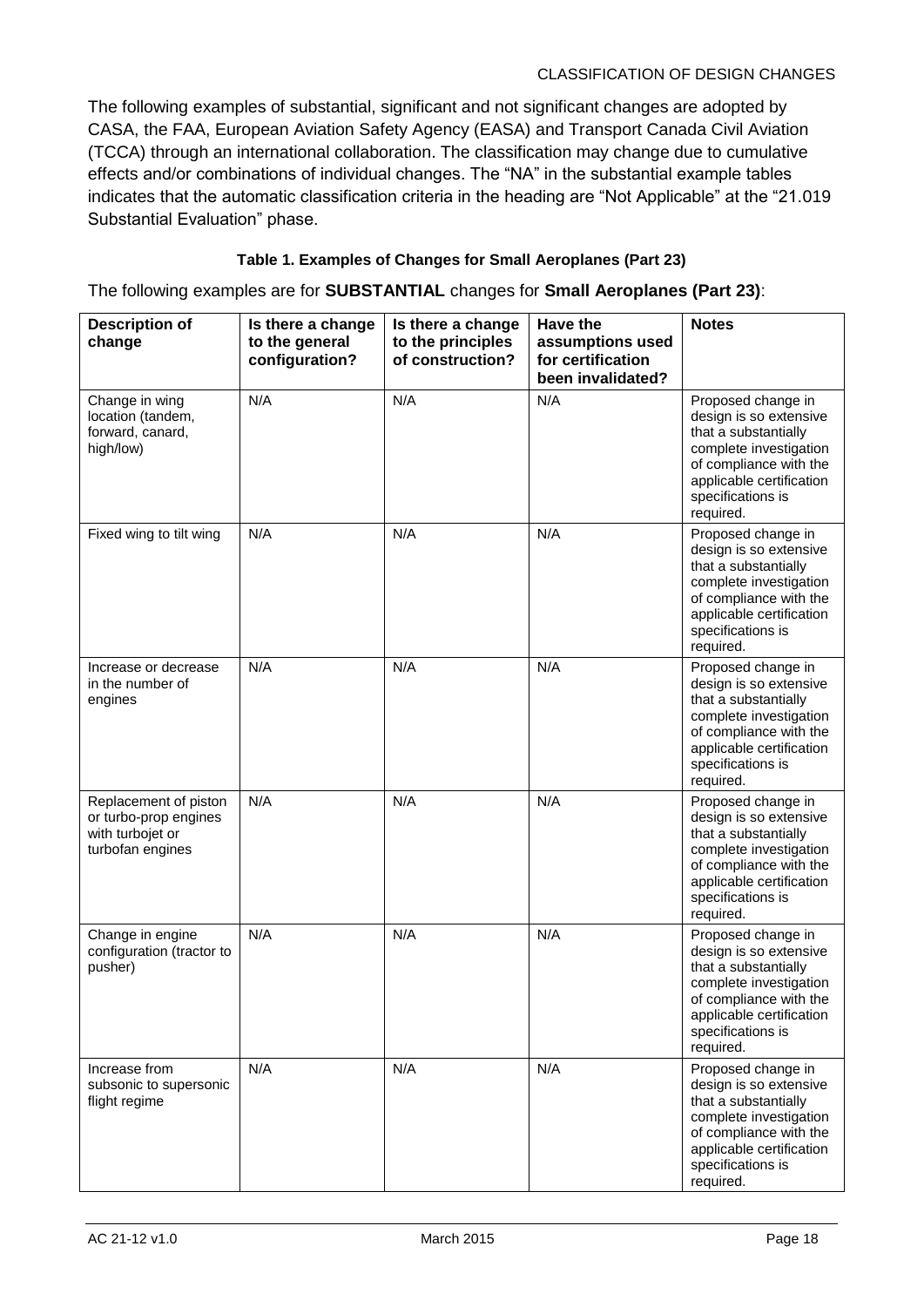The following examples of substantial, significant and not significant changes are adopted by CASA, the FAA, European Aviation Safety Agency (EASA) and Transport Canada Civil Aviation (TCCA) through an international collaboration. The classification may change due to cumulative effects and/or combinations of individual changes. The "NA" in the substantial example tables indicates that the automatic classification criteria in the heading are "Not Applicable" at the "21.019 Substantial Evaluation" phase.

#### **Table 1. Examples of Changes for Small Aeroplanes (Part 23)**

The following examples are for **SUBSTANTIAL** changes for **Small Aeroplanes (Part 23)**:

| <b>Description of</b><br>change                                                        | Is there a change<br>to the general<br>configuration? | Is there a change<br>to the principles<br>of construction? | Have the<br>assumptions used<br>for certification<br>been invalidated? | <b>Notes</b>                                                                                                                                                                           |
|----------------------------------------------------------------------------------------|-------------------------------------------------------|------------------------------------------------------------|------------------------------------------------------------------------|----------------------------------------------------------------------------------------------------------------------------------------------------------------------------------------|
| Change in wing<br>location (tandem,<br>forward, canard,<br>high/low)                   | N/A                                                   | N/A                                                        | N/A                                                                    | Proposed change in<br>design is so extensive<br>that a substantially<br>complete investigation<br>of compliance with the<br>applicable certification<br>specifications is<br>required. |
| Fixed wing to tilt wing                                                                | N/A                                                   | N/A                                                        | N/A                                                                    | Proposed change in<br>design is so extensive<br>that a substantially<br>complete investigation<br>of compliance with the<br>applicable certification<br>specifications is<br>required. |
| Increase or decrease<br>in the number of<br>engines                                    | N/A                                                   | N/A                                                        | N/A                                                                    | Proposed change in<br>design is so extensive<br>that a substantially<br>complete investigation<br>of compliance with the<br>applicable certification<br>specifications is<br>required. |
| Replacement of piston<br>or turbo-prop engines<br>with turbojet or<br>turbofan engines | N/A                                                   | N/A                                                        | N/A                                                                    | Proposed change in<br>design is so extensive<br>that a substantially<br>complete investigation<br>of compliance with the<br>applicable certification<br>specifications is<br>required. |
| Change in engine<br>configuration (tractor to<br>pusher)                               | N/A                                                   | N/A                                                        | N/A                                                                    | Proposed change in<br>design is so extensive<br>that a substantially<br>complete investigation<br>of compliance with the<br>applicable certification<br>specifications is<br>required. |
| Increase from<br>subsonic to supersonic<br>flight regime                               | N/A                                                   | N/A                                                        | N/A                                                                    | Proposed change in<br>design is so extensive<br>that a substantially<br>complete investigation<br>of compliance with the<br>applicable certification<br>specifications is<br>required. |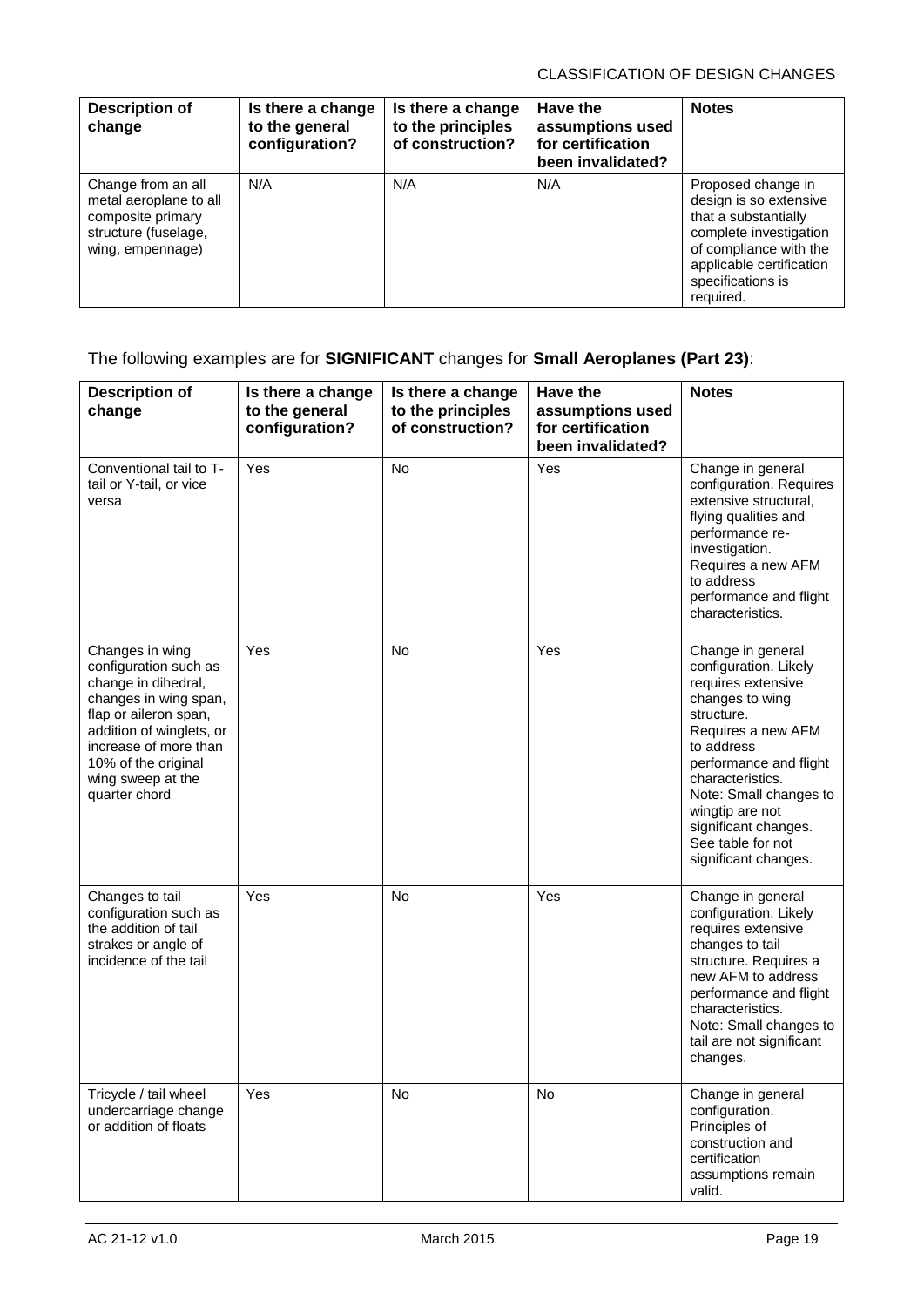| <b>Description of</b><br>change                                                                               | Is there a change<br>to the general<br>configuration? | Is there a change<br>to the principles<br>of construction? | Have the<br>assumptions used<br>for certification<br>been invalidated? | <b>Notes</b>                                                                                                                                                                           |
|---------------------------------------------------------------------------------------------------------------|-------------------------------------------------------|------------------------------------------------------------|------------------------------------------------------------------------|----------------------------------------------------------------------------------------------------------------------------------------------------------------------------------------|
| Change from an all<br>metal aeroplane to all<br>composite primary<br>structure (fuselage,<br>wing, empennage) | N/A                                                   | N/A                                                        | N/A                                                                    | Proposed change in<br>design is so extensive<br>that a substantially<br>complete investigation<br>of compliance with the<br>applicable certification<br>specifications is<br>required. |

### The following examples are for **SIGNIFICANT** changes for **Small Aeroplanes (Part 23)**:

| <b>Description of</b><br>change                                                                                                                                                                                                     | Is there a change<br>to the general<br>configuration? | Is there a change<br>to the principles<br>of construction? | Have the<br>assumptions used<br>for certification<br>been invalidated? | <b>Notes</b>                                                                                                                                                                                                                                                                                          |
|-------------------------------------------------------------------------------------------------------------------------------------------------------------------------------------------------------------------------------------|-------------------------------------------------------|------------------------------------------------------------|------------------------------------------------------------------------|-------------------------------------------------------------------------------------------------------------------------------------------------------------------------------------------------------------------------------------------------------------------------------------------------------|
| Conventional tail to T-<br>tail or Y-tail, or vice<br>versa                                                                                                                                                                         | Yes                                                   | <b>No</b>                                                  | Yes                                                                    | Change in general<br>configuration. Requires<br>extensive structural,<br>flying qualities and<br>performance re-<br>investigation.<br>Requires a new AFM<br>to address<br>performance and flight<br>characteristics.                                                                                  |
| Changes in wing<br>configuration such as<br>change in dihedral,<br>changes in wing span,<br>flap or aileron span,<br>addition of winglets, or<br>increase of more than<br>10% of the original<br>wing sweep at the<br>quarter chord | Yes                                                   | <b>No</b>                                                  | Yes                                                                    | Change in general<br>configuration. Likely<br>requires extensive<br>changes to wing<br>structure.<br>Requires a new AFM<br>to address<br>performance and flight<br>characteristics.<br>Note: Small changes to<br>wingtip are not<br>significant changes.<br>See table for not<br>significant changes. |
| Changes to tail<br>configuration such as<br>the addition of tail<br>strakes or angle of<br>incidence of the tail                                                                                                                    | Yes                                                   | <b>No</b>                                                  | Yes                                                                    | Change in general<br>configuration. Likely<br>requires extensive<br>changes to tail<br>structure. Requires a<br>new AFM to address<br>performance and flight<br>characteristics.<br>Note: Small changes to<br>tail are not significant<br>changes.                                                    |
| Tricycle / tail wheel<br>undercarriage change<br>or addition of floats                                                                                                                                                              | Yes                                                   | <b>No</b>                                                  | No.                                                                    | Change in general<br>configuration.<br>Principles of<br>construction and<br>certification<br>assumptions remain<br>valid.                                                                                                                                                                             |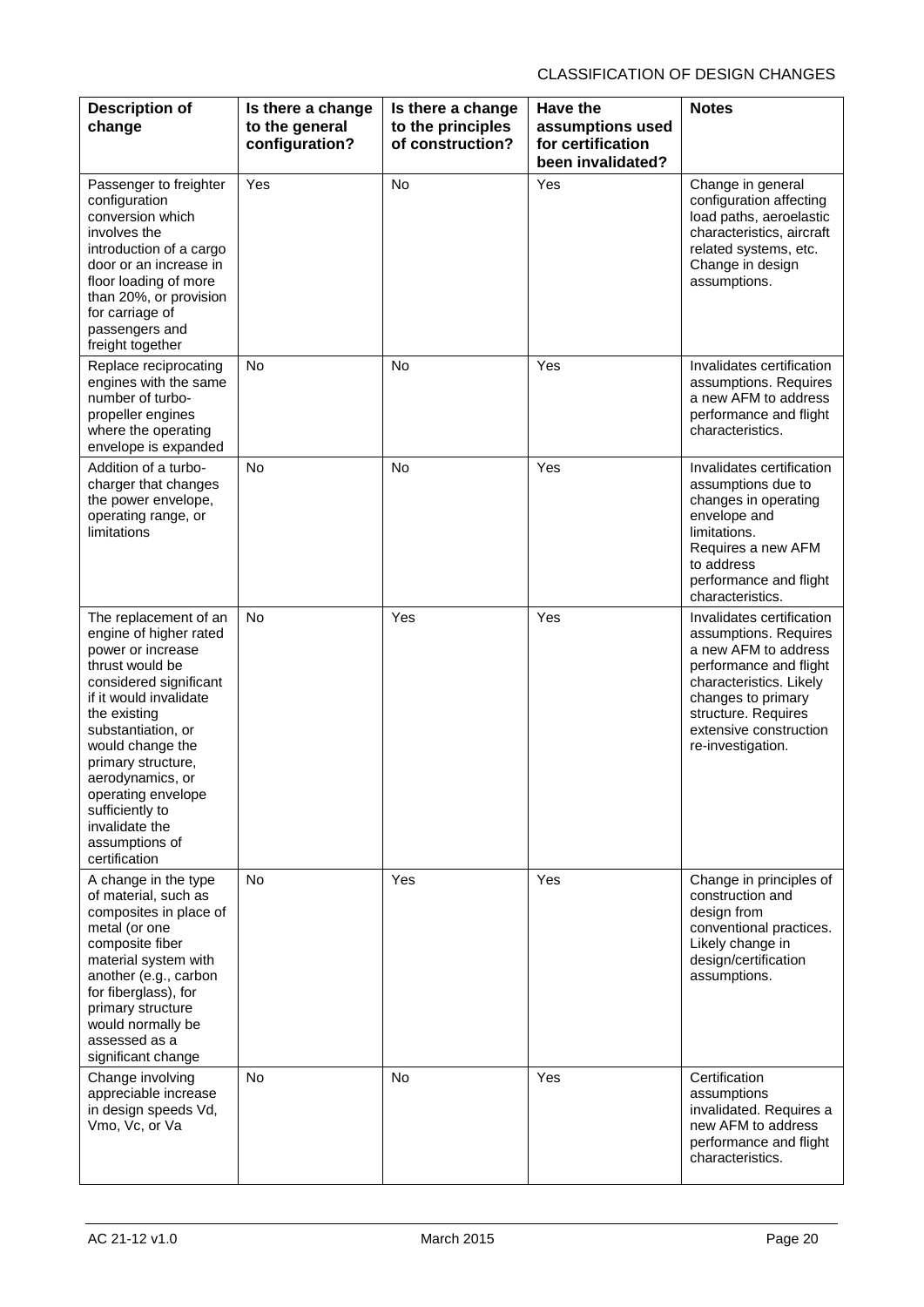| <b>Description of</b>                                                                                                                                                                                                                                                                                                                         | Is there a change                | Is there a change                     | Have the                                                   | <b>Notes</b>                                                                                                                                                                                                                |
|-----------------------------------------------------------------------------------------------------------------------------------------------------------------------------------------------------------------------------------------------------------------------------------------------------------------------------------------------|----------------------------------|---------------------------------------|------------------------------------------------------------|-----------------------------------------------------------------------------------------------------------------------------------------------------------------------------------------------------------------------------|
| change                                                                                                                                                                                                                                                                                                                                        | to the general<br>configuration? | to the principles<br>of construction? | assumptions used<br>for certification<br>been invalidated? |                                                                                                                                                                                                                             |
| Passenger to freighter<br>configuration<br>conversion which<br>involves the<br>introduction of a cargo<br>door or an increase in<br>floor loading of more<br>than 20%, or provision<br>for carriage of<br>passengers and<br>freight together                                                                                                  | Yes                              | <b>No</b>                             | Yes                                                        | Change in general<br>configuration affecting<br>load paths, aeroelastic<br>characteristics, aircraft<br>related systems, etc.<br>Change in design<br>assumptions.                                                           |
| Replace reciprocating<br>engines with the same<br>number of turbo-<br>propeller engines<br>where the operating<br>envelope is expanded                                                                                                                                                                                                        | No                               | <b>No</b>                             | Yes                                                        | Invalidates certification<br>assumptions. Requires<br>a new AFM to address<br>performance and flight<br>characteristics.                                                                                                    |
| Addition of a turbo-<br>charger that changes<br>the power envelope,<br>operating range, or<br>limitations                                                                                                                                                                                                                                     | <b>No</b>                        | <b>No</b>                             | Yes                                                        | Invalidates certification<br>assumptions due to<br>changes in operating<br>envelope and<br>limitations.<br>Requires a new AFM<br>to address<br>performance and flight<br>characteristics.                                   |
| The replacement of an<br>engine of higher rated<br>power or increase<br>thrust would be<br>considered significant<br>if it would invalidate<br>the existing<br>substantiation, or<br>would change the<br>primary structure,<br>aerodynamics, or<br>operating envelope<br>sufficiently to<br>invalidate the<br>assumptions of<br>certification | <b>No</b>                        | Yes                                   | Yes                                                        | Invalidates certification<br>assumptions. Requires<br>a new AFM to address<br>performance and flight<br>characteristics. Likely<br>changes to primary<br>structure. Requires<br>extensive construction<br>re-investigation. |
| A change in the type<br>of material, such as<br>composites in place of<br>metal (or one<br>composite fiber<br>material system with<br>another (e.g., carbon<br>for fiberglass), for<br>primary structure<br>would normally be<br>assessed as a<br>significant change                                                                          | <b>No</b>                        | Yes                                   | Yes                                                        | Change in principles of<br>construction and<br>design from<br>conventional practices.<br>Likely change in<br>design/certification<br>assumptions.                                                                           |
| Change involving<br>appreciable increase<br>in design speeds Vd,<br>Vmo, Vc, or Va                                                                                                                                                                                                                                                            | No                               | No                                    | Yes                                                        | Certification<br>assumptions<br>invalidated. Requires a<br>new AFM to address<br>performance and flight<br>characteristics.                                                                                                 |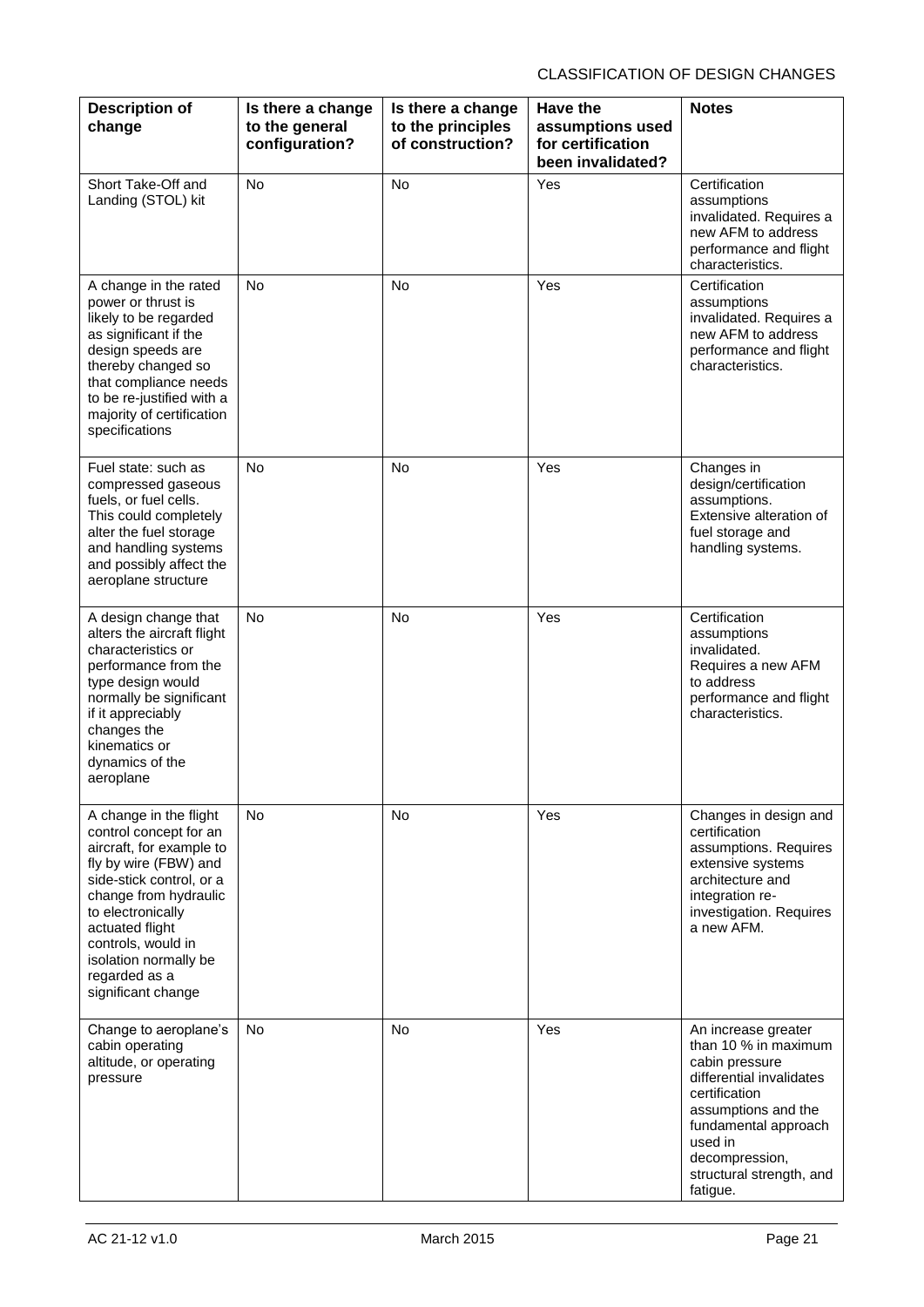| <b>Description of</b><br>change                                                                                                                                                                                                                                                          | Is there a change<br>to the general<br>configuration? | Is there a change<br>to the principles<br>of construction? | <b>Have the</b><br>assumptions used<br>for certification<br>been invalidated? | <b>Notes</b>                                                                                                                                                                                                                   |
|------------------------------------------------------------------------------------------------------------------------------------------------------------------------------------------------------------------------------------------------------------------------------------------|-------------------------------------------------------|------------------------------------------------------------|-------------------------------------------------------------------------------|--------------------------------------------------------------------------------------------------------------------------------------------------------------------------------------------------------------------------------|
| Short Take-Off and<br>Landing (STOL) kit                                                                                                                                                                                                                                                 | <b>No</b>                                             | <b>No</b>                                                  | Yes                                                                           | Certification<br>assumptions<br>invalidated. Requires a<br>new AFM to address<br>performance and flight<br>characteristics.                                                                                                    |
| A change in the rated<br>power or thrust is<br>likely to be regarded<br>as significant if the<br>design speeds are<br>thereby changed so<br>that compliance needs<br>to be re-justified with a<br>majority of certification<br>specifications                                            | <b>No</b>                                             | <b>No</b>                                                  | Yes                                                                           | Certification<br>assumptions<br>invalidated. Requires a<br>new AFM to address<br>performance and flight<br>characteristics.                                                                                                    |
| Fuel state: such as<br>compressed gaseous<br>fuels, or fuel cells.<br>This could completely<br>alter the fuel storage<br>and handling systems<br>and possibly affect the<br>aeroplane structure                                                                                          | <b>No</b>                                             | <b>No</b>                                                  | Yes                                                                           | Changes in<br>design/certification<br>assumptions.<br>Extensive alteration of<br>fuel storage and<br>handling systems.                                                                                                         |
| A design change that<br>alters the aircraft flight<br>characteristics or<br>performance from the<br>type design would<br>normally be significant<br>if it appreciably<br>changes the<br>kinematics or<br>dynamics of the<br>aeroplane                                                    | <b>No</b>                                             | <b>No</b>                                                  | Yes                                                                           | Certification<br>assumptions<br>invalidated.<br>Requires a new AFM<br>to address<br>performance and flight<br>characteristics.                                                                                                 |
| A change in the flight<br>control concept for an<br>aircraft, for example to<br>fly by wire (FBW) and<br>side-stick control, or a<br>change from hydraulic<br>to electronically<br>actuated flight<br>controls, would in<br>isolation normally be<br>regarded as a<br>significant change | <b>No</b>                                             | No                                                         | Yes                                                                           | Changes in design and<br>certification<br>assumptions. Requires<br>extensive systems<br>architecture and<br>integration re-<br>investigation. Requires<br>a new AFM.                                                           |
| Change to aeroplane's<br>cabin operating<br>altitude, or operating<br>pressure                                                                                                                                                                                                           | No.                                                   | No                                                         | Yes                                                                           | An increase greater<br>than 10 % in maximum<br>cabin pressure<br>differential invalidates<br>certification<br>assumptions and the<br>fundamental approach<br>used in<br>decompression,<br>structural strength, and<br>fatigue. |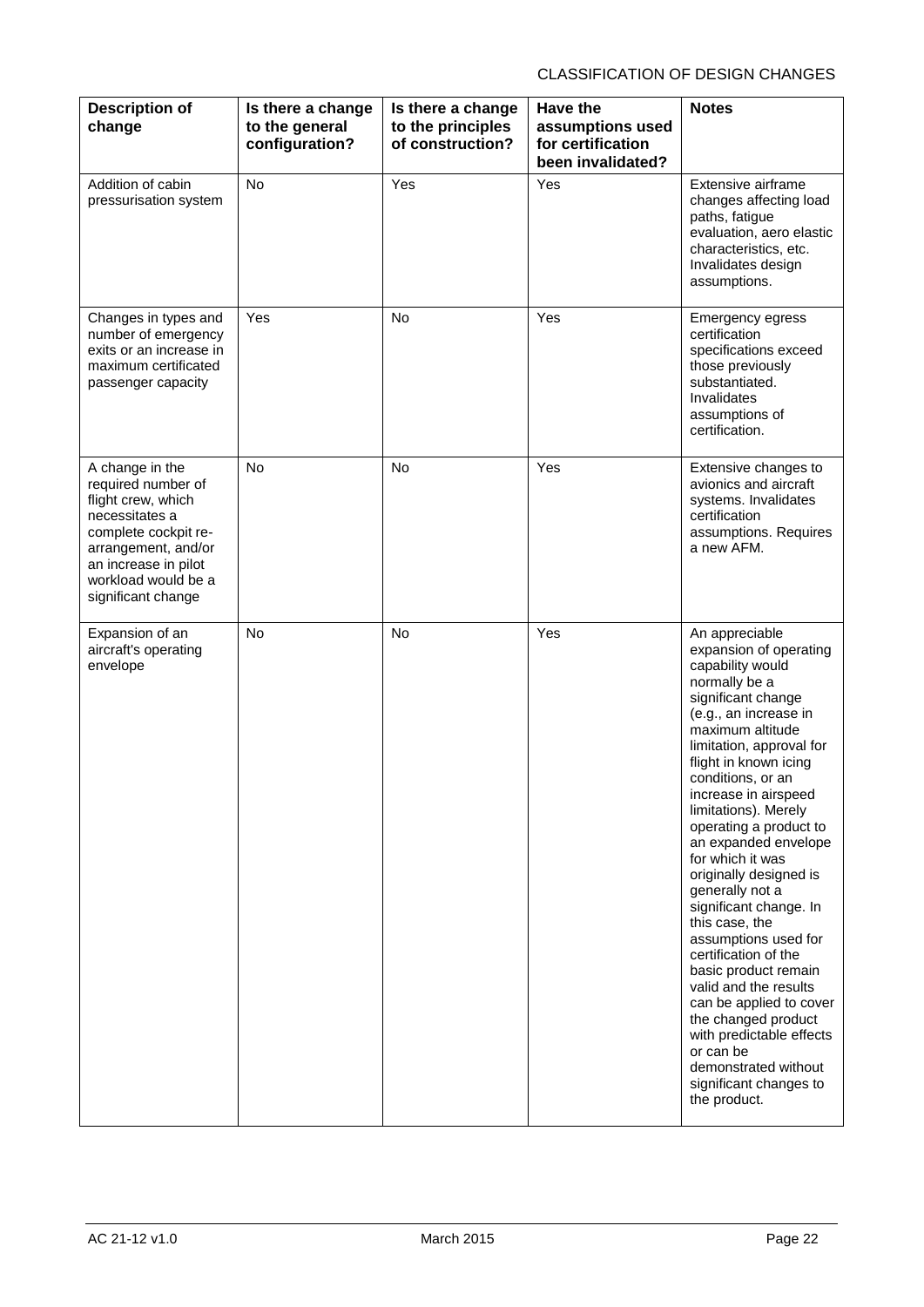| <b>Description of</b><br>change                                                                                                                                                                   | Is there a change<br>to the general<br>configuration? | Is there a change<br>to the principles<br>of construction? | Have the<br>assumptions used<br>for certification<br>been invalidated? | <b>Notes</b>                                                                                                                                                                                                                                                                                                                                                                                                                                                                                                                                                                                                                                                                                            |
|---------------------------------------------------------------------------------------------------------------------------------------------------------------------------------------------------|-------------------------------------------------------|------------------------------------------------------------|------------------------------------------------------------------------|---------------------------------------------------------------------------------------------------------------------------------------------------------------------------------------------------------------------------------------------------------------------------------------------------------------------------------------------------------------------------------------------------------------------------------------------------------------------------------------------------------------------------------------------------------------------------------------------------------------------------------------------------------------------------------------------------------|
| Addition of cabin<br>pressurisation system                                                                                                                                                        | <b>No</b>                                             | Yes                                                        | Yes                                                                    | Extensive airframe<br>changes affecting load<br>paths, fatigue<br>evaluation, aero elastic<br>characteristics, etc.<br>Invalidates design<br>assumptions.                                                                                                                                                                                                                                                                                                                                                                                                                                                                                                                                               |
| Changes in types and<br>number of emergency<br>exits or an increase in<br>maximum certificated<br>passenger capacity                                                                              | Yes                                                   | <b>No</b>                                                  | Yes                                                                    | Emergency egress<br>certification<br>specifications exceed<br>those previously<br>substantiated.<br>Invalidates<br>assumptions of<br>certification.                                                                                                                                                                                                                                                                                                                                                                                                                                                                                                                                                     |
| A change in the<br>required number of<br>flight crew, which<br>necessitates a<br>complete cockpit re-<br>arrangement, and/or<br>an increase in pilot<br>workload would be a<br>significant change | <b>No</b>                                             | <b>No</b>                                                  | Yes                                                                    | Extensive changes to<br>avionics and aircraft<br>systems. Invalidates<br>certification<br>assumptions. Requires<br>a new AFM.                                                                                                                                                                                                                                                                                                                                                                                                                                                                                                                                                                           |
| Expansion of an<br>aircraft's operating<br>envelope                                                                                                                                               | No                                                    | No                                                         | Yes                                                                    | An appreciable<br>expansion of operating<br>capability would<br>normally be a<br>significant change<br>(e.g., an increase in<br>maximum altitude<br>limitation, approval for<br>flight in known icing<br>conditions, or an<br>increase in airspeed<br>limitations). Merely<br>operating a product to<br>an expanded envelope<br>for which it was<br>originally designed is<br>generally not a<br>significant change. In<br>this case, the<br>assumptions used for<br>certification of the<br>basic product remain<br>valid and the results<br>can be applied to cover<br>the changed product<br>with predictable effects<br>or can be<br>demonstrated without<br>significant changes to<br>the product. |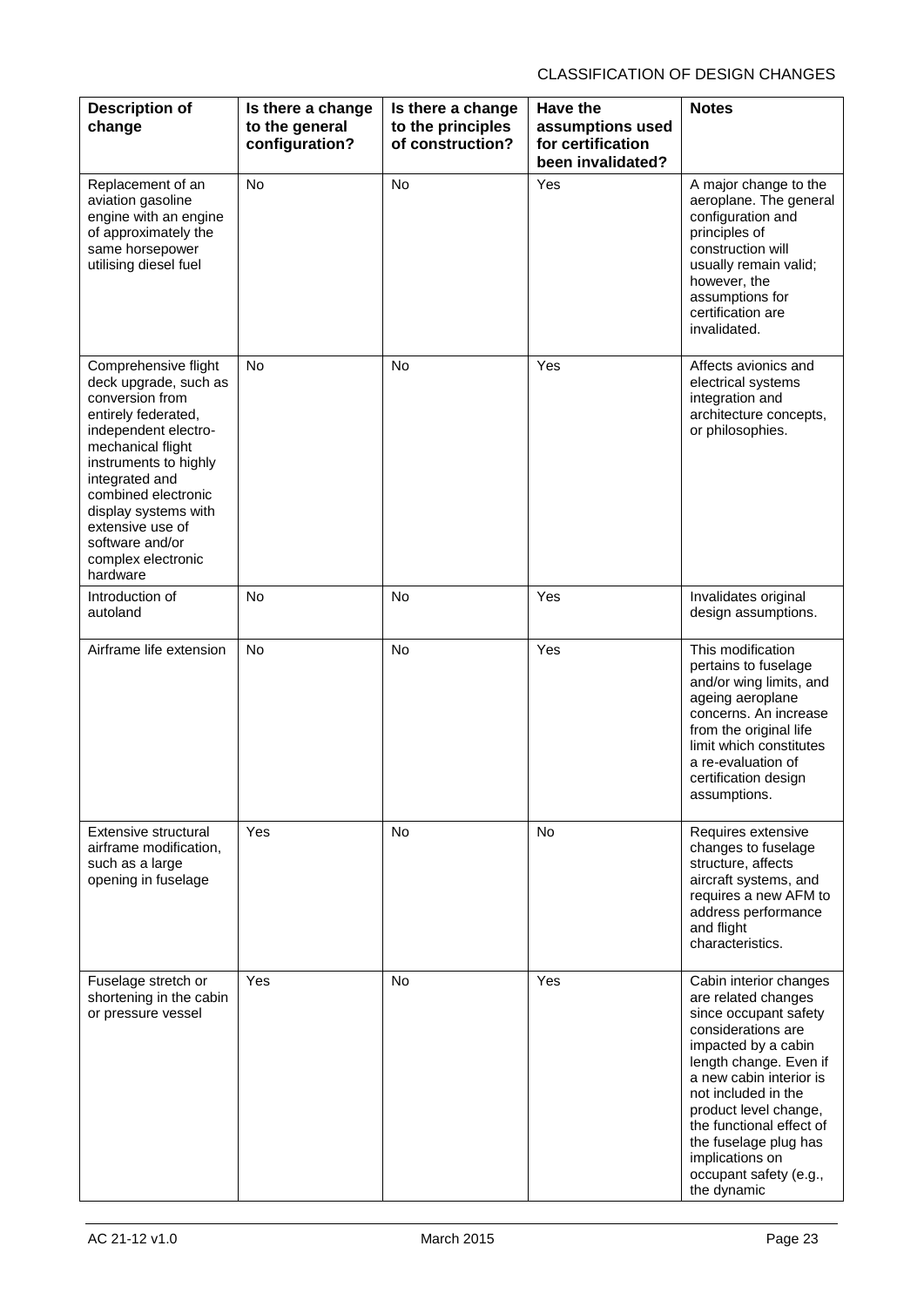| <b>Description of</b><br>change                                                                                                                                                                                                                                                                         | Is there a change<br>to the general<br>configuration? | Is there a change<br>to the principles<br>of construction? | Have the<br>assumptions used<br>for certification<br>been invalidated? | <b>Notes</b>                                                                                                                                                                                                                                                                                                                              |
|---------------------------------------------------------------------------------------------------------------------------------------------------------------------------------------------------------------------------------------------------------------------------------------------------------|-------------------------------------------------------|------------------------------------------------------------|------------------------------------------------------------------------|-------------------------------------------------------------------------------------------------------------------------------------------------------------------------------------------------------------------------------------------------------------------------------------------------------------------------------------------|
| Replacement of an<br>aviation gasoline<br>engine with an engine<br>of approximately the<br>same horsepower<br>utilising diesel fuel                                                                                                                                                                     | <b>No</b>                                             | <b>No</b>                                                  | Yes                                                                    | A major change to the<br>aeroplane. The general<br>configuration and<br>principles of<br>construction will<br>usually remain valid;<br>however, the<br>assumptions for<br>certification are<br>invalidated.                                                                                                                               |
| Comprehensive flight<br>deck upgrade, such as<br>conversion from<br>entirely federated,<br>independent electro-<br>mechanical flight<br>instruments to highly<br>integrated and<br>combined electronic<br>display systems with<br>extensive use of<br>software and/or<br>complex electronic<br>hardware | <b>No</b>                                             | <b>No</b>                                                  | Yes                                                                    | Affects avionics and<br>electrical systems<br>integration and<br>architecture concepts,<br>or philosophies.                                                                                                                                                                                                                               |
| Introduction of<br>autoland                                                                                                                                                                                                                                                                             | <b>No</b>                                             | <b>No</b>                                                  | Yes                                                                    | Invalidates original<br>design assumptions.                                                                                                                                                                                                                                                                                               |
| Airframe life extension                                                                                                                                                                                                                                                                                 | <b>No</b>                                             | <b>No</b>                                                  | Yes                                                                    | This modification<br>pertains to fuselage<br>and/or wing limits, and<br>ageing aeroplane<br>concerns. An increase<br>from the original life<br>limit which constitutes<br>a re-evaluation of<br>certification design<br>assumptions.                                                                                                      |
| Extensive structural<br>airframe modification,<br>such as a large<br>opening in fuselage                                                                                                                                                                                                                | <b>Yes</b>                                            | <b>No</b>                                                  | No.                                                                    | Requires extensive<br>changes to fuselage<br>structure, affects<br>aircraft systems, and<br>requires a new AFM to<br>address performance<br>and flight<br>characteristics.                                                                                                                                                                |
| Fuselage stretch or<br>shortening in the cabin<br>or pressure vessel                                                                                                                                                                                                                                    | Yes                                                   | <b>No</b>                                                  | Yes                                                                    | Cabin interior changes<br>are related changes<br>since occupant safety<br>considerations are<br>impacted by a cabin<br>length change. Even if<br>a new cabin interior is<br>not included in the<br>product level change,<br>the functional effect of<br>the fuselage plug has<br>implications on<br>occupant safety (e.g.,<br>the dynamic |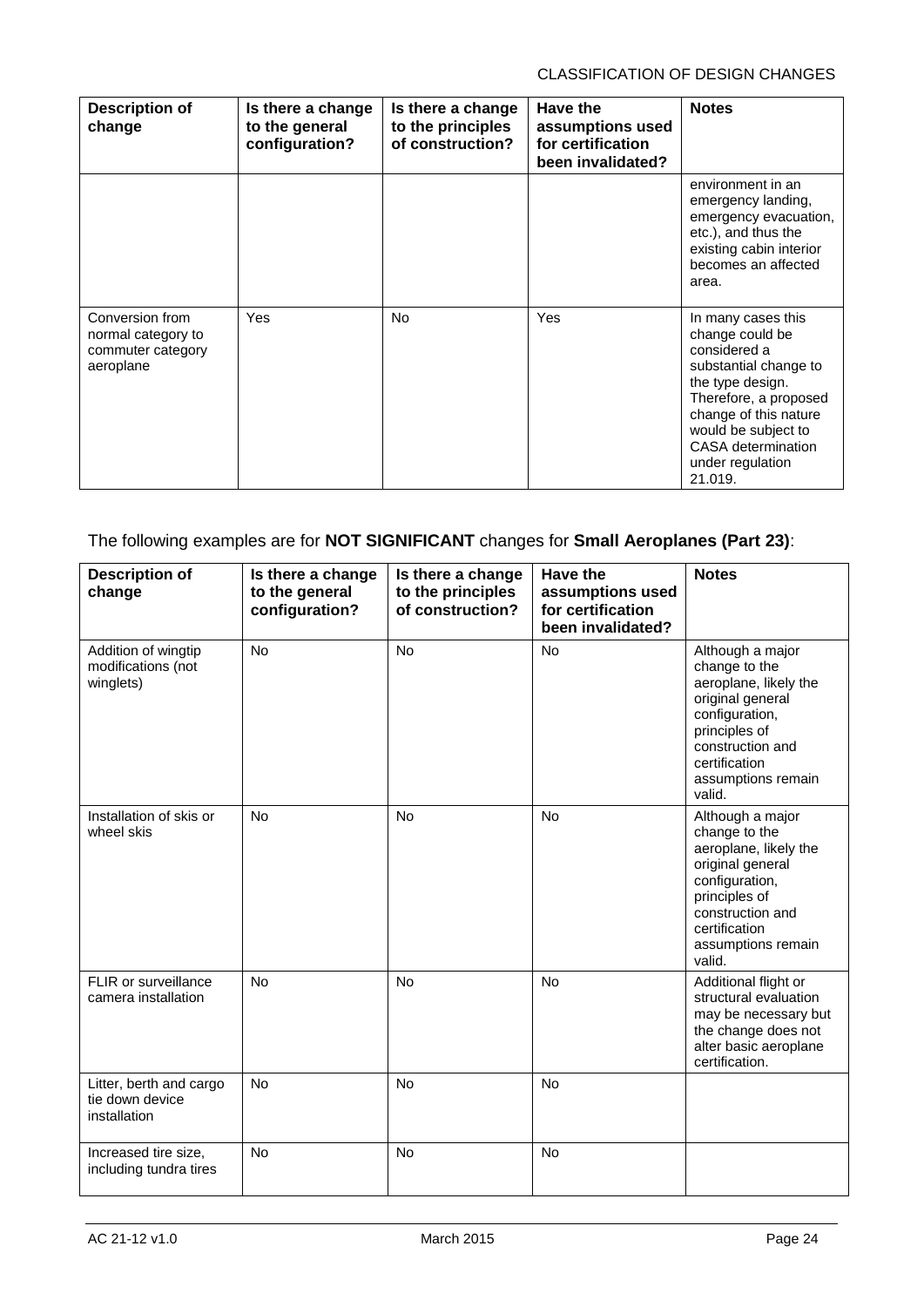| <b>Description of</b><br>change                                         | Is there a change<br>to the general<br>configuration? | Is there a change<br>to the principles<br>of construction? | Have the<br>assumptions used<br>for certification<br>been invalidated? | <b>Notes</b>                                                                                                                                                                                                                     |
|-------------------------------------------------------------------------|-------------------------------------------------------|------------------------------------------------------------|------------------------------------------------------------------------|----------------------------------------------------------------------------------------------------------------------------------------------------------------------------------------------------------------------------------|
|                                                                         |                                                       |                                                            |                                                                        | environment in an<br>emergency landing,<br>emergency evacuation,<br>etc.), and thus the<br>existing cabin interior<br>becomes an affected<br>area.                                                                               |
| Conversion from<br>normal category to<br>commuter category<br>aeroplane | <b>Yes</b>                                            | <b>No</b>                                                  | <b>Yes</b>                                                             | In many cases this<br>change could be<br>considered a<br>substantial change to<br>the type design.<br>Therefore, a proposed<br>change of this nature<br>would be subject to<br>CASA determination<br>under regulation<br>21.019. |

## The following examples are for **NOT SIGNIFICANT** changes for **Small Aeroplanes (Part 23)**:

| <b>Description of</b><br>change                            | Is there a change<br>to the general<br>configuration? | Is there a change<br>to the principles<br>of construction? | Have the<br>assumptions used<br>for certification<br>been invalidated? | <b>Notes</b>                                                                                                                                                                           |
|------------------------------------------------------------|-------------------------------------------------------|------------------------------------------------------------|------------------------------------------------------------------------|----------------------------------------------------------------------------------------------------------------------------------------------------------------------------------------|
| Addition of wingtip<br>modifications (not<br>winglets)     | <b>No</b>                                             | <b>No</b>                                                  | <b>No</b>                                                              | Although a major<br>change to the<br>aeroplane, likely the<br>original general<br>configuration,<br>principles of<br>construction and<br>certification<br>assumptions remain<br>valid. |
| Installation of skis or<br>wheel skis                      | <b>No</b>                                             | <b>No</b>                                                  | No                                                                     | Although a major<br>change to the<br>aeroplane, likely the<br>original general<br>configuration,<br>principles of<br>construction and<br>certification<br>assumptions remain<br>valid. |
| FLIR or surveillance<br>camera installation                | <b>No</b>                                             | <b>No</b>                                                  | <b>No</b>                                                              | Additional flight or<br>structural evaluation<br>may be necessary but<br>the change does not<br>alter basic aeroplane<br>certification.                                                |
| Litter, berth and cargo<br>tie down device<br>installation | <b>No</b>                                             | <b>No</b>                                                  | No                                                                     |                                                                                                                                                                                        |
| Increased tire size,<br>including tundra tires             | <b>No</b>                                             | <b>No</b>                                                  | <b>No</b>                                                              |                                                                                                                                                                                        |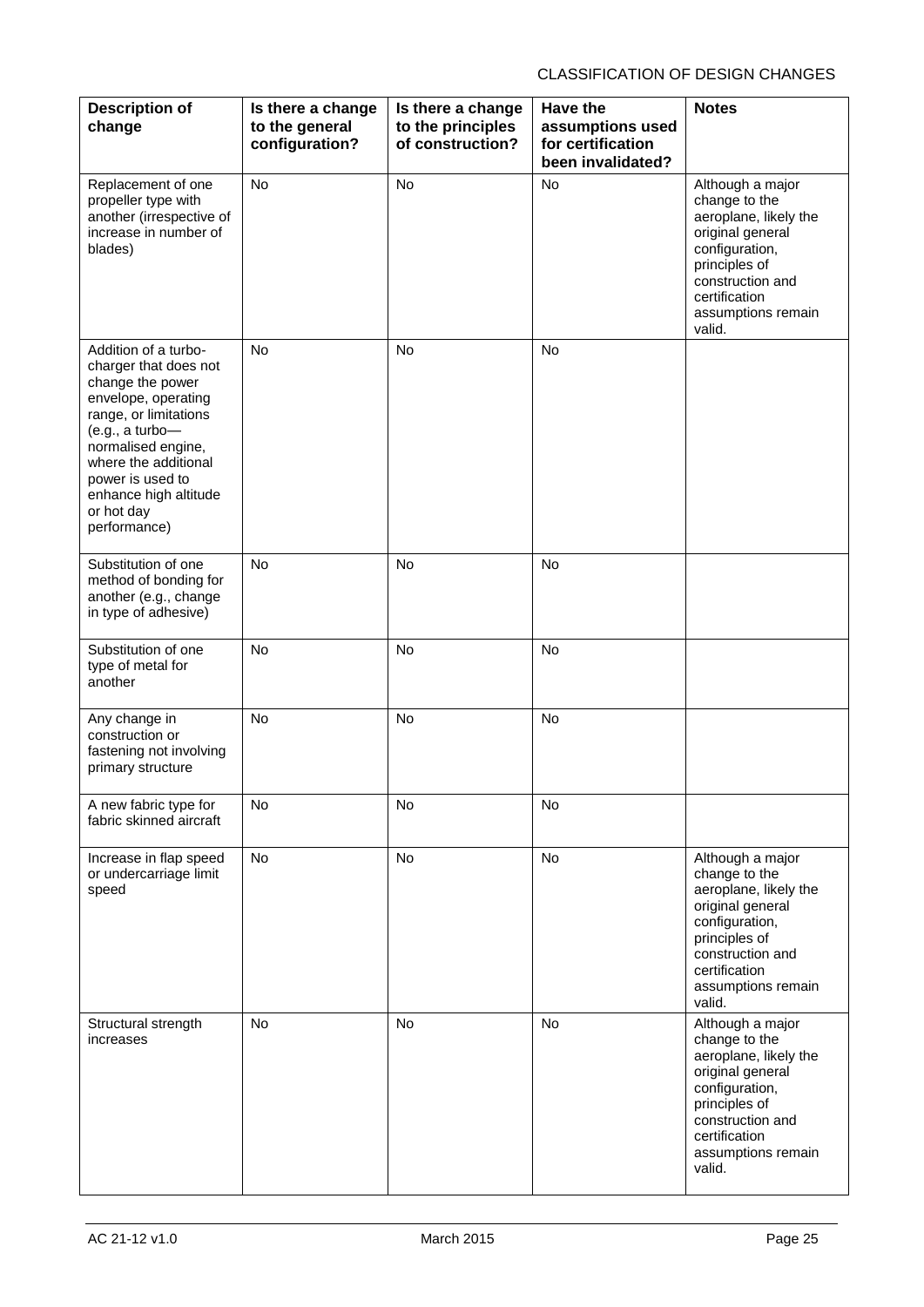| <b>Description of</b><br>change                                                                                                                                                                                                                               | Is there a change<br>to the general<br>configuration? | Is there a change<br>to the principles<br>of construction? | Have the<br>assumptions used<br>for certification<br>been invalidated? | <b>Notes</b>                                                                                                                                                                           |
|---------------------------------------------------------------------------------------------------------------------------------------------------------------------------------------------------------------------------------------------------------------|-------------------------------------------------------|------------------------------------------------------------|------------------------------------------------------------------------|----------------------------------------------------------------------------------------------------------------------------------------------------------------------------------------|
| Replacement of one<br>propeller type with<br>another (irrespective of<br>increase in number of<br>blades)                                                                                                                                                     | <b>No</b>                                             | <b>No</b>                                                  | <b>No</b>                                                              | Although a major<br>change to the<br>aeroplane, likely the<br>original general<br>configuration,<br>principles of<br>construction and<br>certification<br>assumptions remain<br>valid. |
| Addition of a turbo-<br>charger that does not<br>change the power<br>envelope, operating<br>range, or limitations<br>(e.g., a turbo-<br>normalised engine,<br>where the additional<br>power is used to<br>enhance high altitude<br>or hot day<br>performance) | <b>No</b>                                             | <b>No</b>                                                  | <b>No</b>                                                              |                                                                                                                                                                                        |
| Substitution of one<br>method of bonding for<br>another (e.g., change<br>in type of adhesive)                                                                                                                                                                 | No                                                    | <b>No</b>                                                  | <b>No</b>                                                              |                                                                                                                                                                                        |
| Substitution of one<br>type of metal for<br>another                                                                                                                                                                                                           | <b>No</b>                                             | <b>No</b>                                                  | <b>No</b>                                                              |                                                                                                                                                                                        |
| Any change in<br>construction or<br>fastening not involving<br>primary structure                                                                                                                                                                              | <b>No</b>                                             | No                                                         | <b>No</b>                                                              |                                                                                                                                                                                        |
| A new fabric type for<br>fabric skinned aircraft                                                                                                                                                                                                              | No                                                    | No                                                         | No                                                                     |                                                                                                                                                                                        |
| Increase in flap speed<br>or undercarriage limit<br>speed                                                                                                                                                                                                     | No                                                    | No                                                         | No                                                                     | Although a major<br>change to the<br>aeroplane, likely the<br>original general<br>configuration,<br>principles of<br>construction and<br>certification<br>assumptions remain<br>valid. |
| Structural strength<br>increases                                                                                                                                                                                                                              | <b>No</b>                                             | <b>No</b>                                                  | No                                                                     | Although a major<br>change to the<br>aeroplane, likely the<br>original general<br>configuration,<br>principles of<br>construction and<br>certification<br>assumptions remain<br>valid. |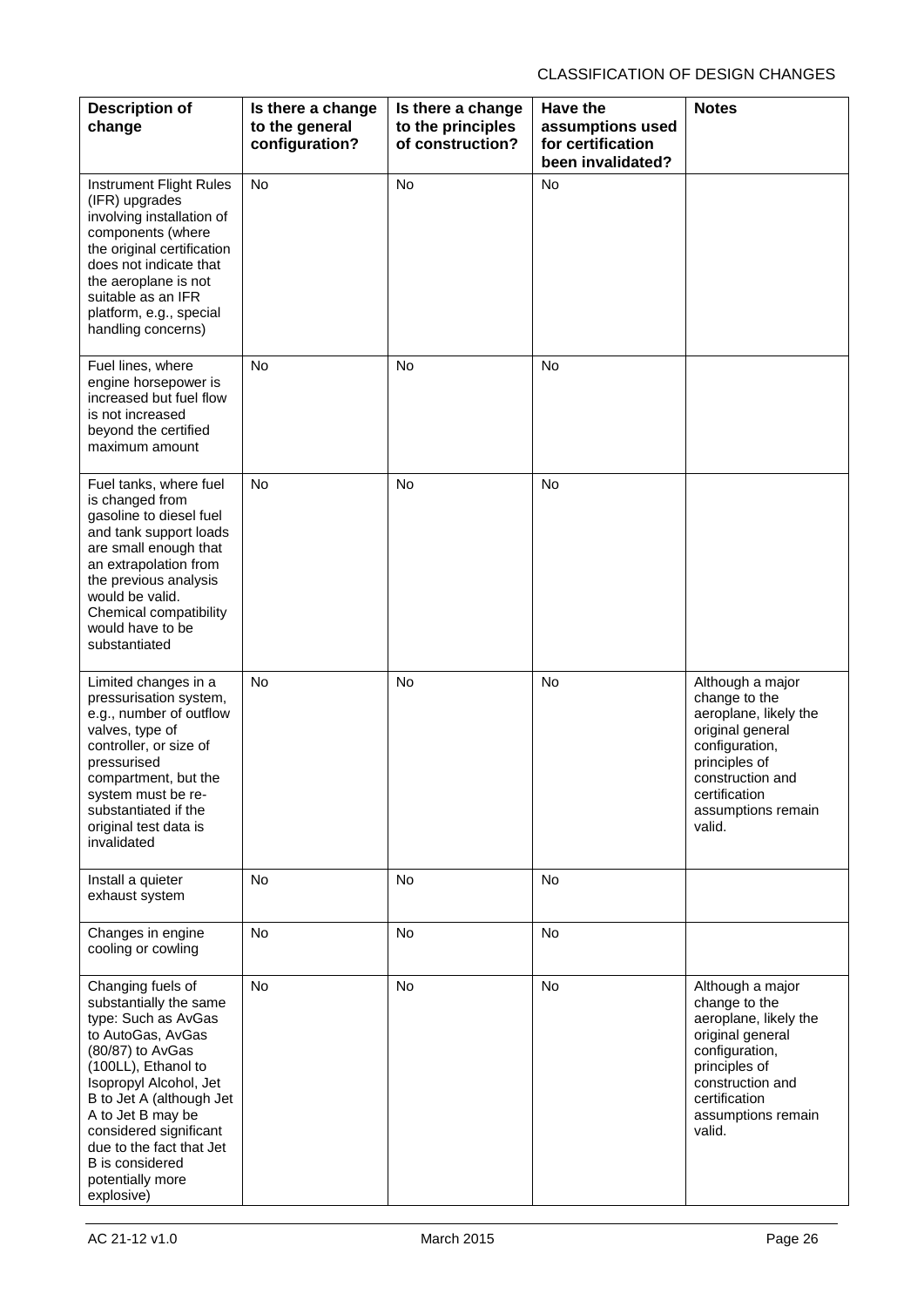| <b>Description of</b><br>change                                                                                                                                                                                                                                                                                                 | Is there a change<br>to the general<br>configuration? | Is there a change<br>to the principles<br>of construction? | <b>Have the</b><br>assumptions used<br>for certification<br>been invalidated? | <b>Notes</b>                                                                                                                                                                           |
|---------------------------------------------------------------------------------------------------------------------------------------------------------------------------------------------------------------------------------------------------------------------------------------------------------------------------------|-------------------------------------------------------|------------------------------------------------------------|-------------------------------------------------------------------------------|----------------------------------------------------------------------------------------------------------------------------------------------------------------------------------------|
| Instrument Flight Rules<br>(IFR) upgrades<br>involving installation of<br>components (where<br>the original certification<br>does not indicate that<br>the aeroplane is not<br>suitable as an IFR<br>platform, e.g., special<br>handling concerns)                                                                              | No                                                    | No                                                         | No                                                                            |                                                                                                                                                                                        |
| Fuel lines, where<br>engine horsepower is<br>increased but fuel flow<br>is not increased<br>beyond the certified<br>maximum amount                                                                                                                                                                                              | <b>No</b>                                             | No                                                         | <b>No</b>                                                                     |                                                                                                                                                                                        |
| Fuel tanks, where fuel<br>is changed from<br>gasoline to diesel fuel<br>and tank support loads<br>are small enough that<br>an extrapolation from<br>the previous analysis<br>would be valid.<br>Chemical compatibility<br>would have to be<br>substantiated                                                                     | <b>No</b>                                             | No                                                         | No                                                                            |                                                                                                                                                                                        |
| Limited changes in a<br>pressurisation system,<br>e.g., number of outflow<br>valves, type of<br>controller, or size of<br>pressurised<br>compartment, but the<br>system must be re-<br>substantiated if the<br>original test data is<br>invalidated                                                                             | <b>No</b>                                             | No                                                         | No                                                                            | Although a major<br>change to the<br>aeroplane, likely the<br>original general<br>configuration,<br>principles of<br>construction and<br>certification<br>assumptions remain<br>valid. |
| Install a quieter<br>exhaust system                                                                                                                                                                                                                                                                                             | <b>No</b>                                             | <b>No</b>                                                  | No                                                                            |                                                                                                                                                                                        |
| Changes in engine<br>cooling or cowling                                                                                                                                                                                                                                                                                         | No                                                    | No                                                         | No                                                                            |                                                                                                                                                                                        |
| Changing fuels of<br>substantially the same<br>type: Such as AvGas<br>to AutoGas, AvGas<br>(80/87) to AvGas<br>(100LL), Ethanol to<br>Isopropyl Alcohol, Jet<br>B to Jet A (although Jet<br>A to Jet B may be<br>considered significant<br>due to the fact that Jet<br><b>B</b> is considered<br>potentially more<br>explosive) | No                                                    | No                                                         | No                                                                            | Although a major<br>change to the<br>aeroplane, likely the<br>original general<br>configuration,<br>principles of<br>construction and<br>certification<br>assumptions remain<br>valid. |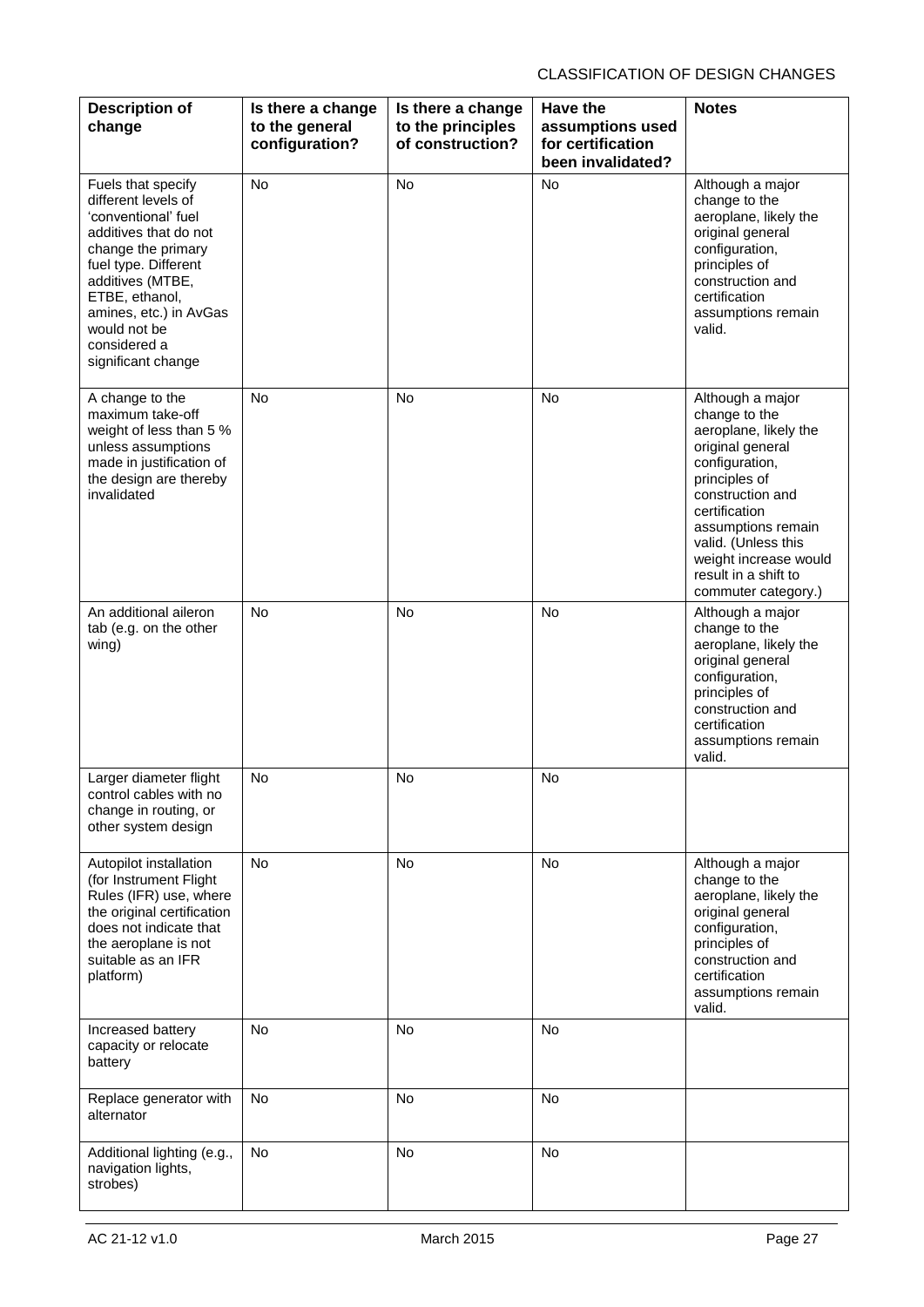| <b>Description of</b><br>change                                                                                                                                                                                                                               | Is there a change<br>to the general<br>configuration? | Is there a change<br>to the principles<br>of construction? | <b>Have the</b><br>assumptions used<br>for certification<br>been invalidated? | <b>Notes</b>                                                                                                                                                                                                                                                                |
|---------------------------------------------------------------------------------------------------------------------------------------------------------------------------------------------------------------------------------------------------------------|-------------------------------------------------------|------------------------------------------------------------|-------------------------------------------------------------------------------|-----------------------------------------------------------------------------------------------------------------------------------------------------------------------------------------------------------------------------------------------------------------------------|
| Fuels that specify<br>different levels of<br>'conventional' fuel<br>additives that do not<br>change the primary<br>fuel type. Different<br>additives (MTBE,<br>ETBE, ethanol,<br>amines, etc.) in AvGas<br>would not be<br>considered a<br>significant change | <b>No</b>                                             | <b>No</b>                                                  | No                                                                            | Although a major<br>change to the<br>aeroplane, likely the<br>original general<br>configuration,<br>principles of<br>construction and<br>certification<br>assumptions remain<br>valid.                                                                                      |
| A change to the<br>maximum take-off<br>weight of less than 5 %<br>unless assumptions<br>made in justification of<br>the design are thereby<br>invalidated                                                                                                     | <b>No</b>                                             | <b>No</b>                                                  | No                                                                            | Although a major<br>change to the<br>aeroplane, likely the<br>original general<br>configuration,<br>principles of<br>construction and<br>certification<br>assumptions remain<br>valid. (Unless this<br>weight increase would<br>result in a shift to<br>commuter category.) |
| An additional aileron<br>tab (e.g. on the other<br>wing)                                                                                                                                                                                                      | <b>No</b>                                             | No                                                         | No                                                                            | Although a major<br>change to the<br>aeroplane, likely the<br>original general<br>configuration,<br>principles of<br>construction and<br>certification<br>assumptions remain<br>valid.                                                                                      |
| Larger diameter flight<br>control cables with no<br>change in routing, or<br>other system design                                                                                                                                                              | <b>No</b>                                             | <b>No</b>                                                  | <b>No</b>                                                                     |                                                                                                                                                                                                                                                                             |
| Autopilot installation<br>(for Instrument Flight<br>Rules (IFR) use, where<br>the original certification<br>does not indicate that<br>the aeroplane is not<br>suitable as an IFR<br>platform)                                                                 | <b>No</b>                                             | <b>No</b>                                                  | <b>No</b>                                                                     | Although a major<br>change to the<br>aeroplane, likely the<br>original general<br>configuration,<br>principles of<br>construction and<br>certification<br>assumptions remain<br>valid.                                                                                      |
| Increased battery<br>capacity or relocate<br>battery                                                                                                                                                                                                          | <b>No</b>                                             | <b>No</b>                                                  | <b>No</b>                                                                     |                                                                                                                                                                                                                                                                             |
| Replace generator with<br>alternator                                                                                                                                                                                                                          | No                                                    | No                                                         | No                                                                            |                                                                                                                                                                                                                                                                             |
| Additional lighting (e.g.,<br>navigation lights,<br>strobes)                                                                                                                                                                                                  | No                                                    | No                                                         | No                                                                            |                                                                                                                                                                                                                                                                             |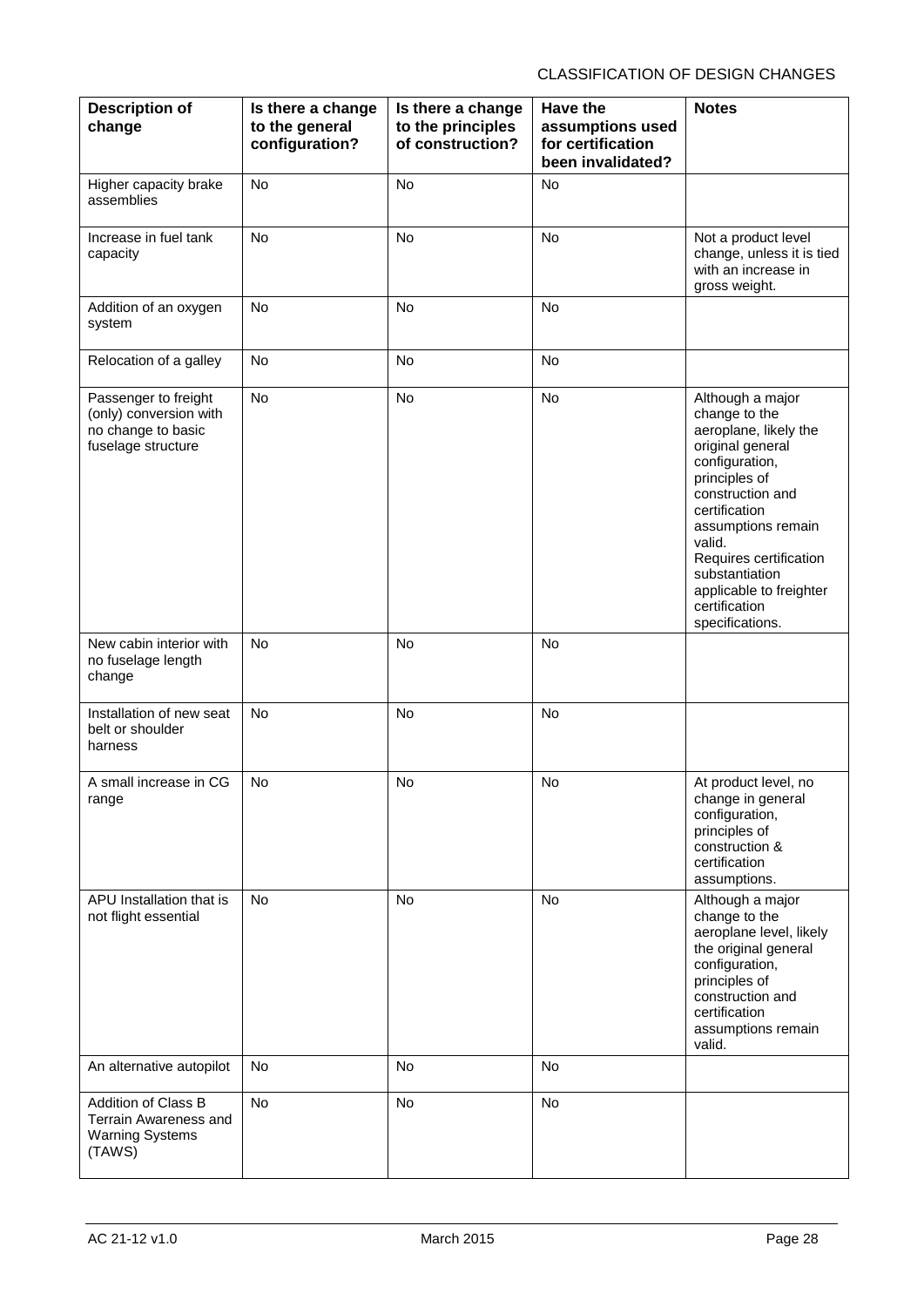| <b>Description of</b><br>change                                                            | Is there a change<br>to the general<br>configuration? | Is there a change<br>to the principles<br>of construction? | <b>Have the</b><br>assumptions used<br>for certification<br>been invalidated? | <b>Notes</b>                                                                                                                                                                                                                                                                                      |
|--------------------------------------------------------------------------------------------|-------------------------------------------------------|------------------------------------------------------------|-------------------------------------------------------------------------------|---------------------------------------------------------------------------------------------------------------------------------------------------------------------------------------------------------------------------------------------------------------------------------------------------|
| Higher capacity brake<br>assemblies                                                        | No                                                    | No                                                         | No                                                                            |                                                                                                                                                                                                                                                                                                   |
| Increase in fuel tank<br>capacity                                                          | <b>No</b>                                             | <b>No</b>                                                  | <b>No</b>                                                                     | Not a product level<br>change, unless it is tied<br>with an increase in<br>gross weight.                                                                                                                                                                                                          |
| Addition of an oxygen<br>system                                                            | <b>No</b>                                             | <b>No</b>                                                  | No                                                                            |                                                                                                                                                                                                                                                                                                   |
| Relocation of a galley                                                                     | No                                                    | No                                                         | No                                                                            |                                                                                                                                                                                                                                                                                                   |
| Passenger to freight<br>(only) conversion with<br>no change to basic<br>fuselage structure | No                                                    | No                                                         | No                                                                            | Although a major<br>change to the<br>aeroplane, likely the<br>original general<br>configuration,<br>principles of<br>construction and<br>certification<br>assumptions remain<br>valid.<br>Requires certification<br>substantiation<br>applicable to freighter<br>certification<br>specifications. |
| New cabin interior with<br>no fuselage length<br>change                                    | <b>No</b>                                             | <b>No</b>                                                  | <b>No</b>                                                                     |                                                                                                                                                                                                                                                                                                   |
| Installation of new seat<br>belt or shoulder<br>harness                                    | <b>No</b>                                             | No                                                         | No                                                                            |                                                                                                                                                                                                                                                                                                   |
| A small increase in CG<br>range                                                            | No                                                    | No                                                         | No                                                                            | At product level, no<br>change in general<br>configuration,<br>principles of<br>construction &<br>certification<br>assumptions.                                                                                                                                                                   |
| APU Installation that is<br>not flight essential                                           | <b>No</b>                                             | <b>No</b>                                                  | <b>No</b>                                                                     | Although a major<br>change to the<br>aeroplane level, likely<br>the original general<br>configuration,<br>principles of<br>construction and<br>certification<br>assumptions remain<br>valid.                                                                                                      |
| An alternative autopilot                                                                   | No                                                    | <b>No</b>                                                  | <b>No</b>                                                                     |                                                                                                                                                                                                                                                                                                   |
| Addition of Class B<br>Terrain Awareness and<br><b>Warning Systems</b><br>(TAWS)           | No                                                    | No                                                         | No                                                                            |                                                                                                                                                                                                                                                                                                   |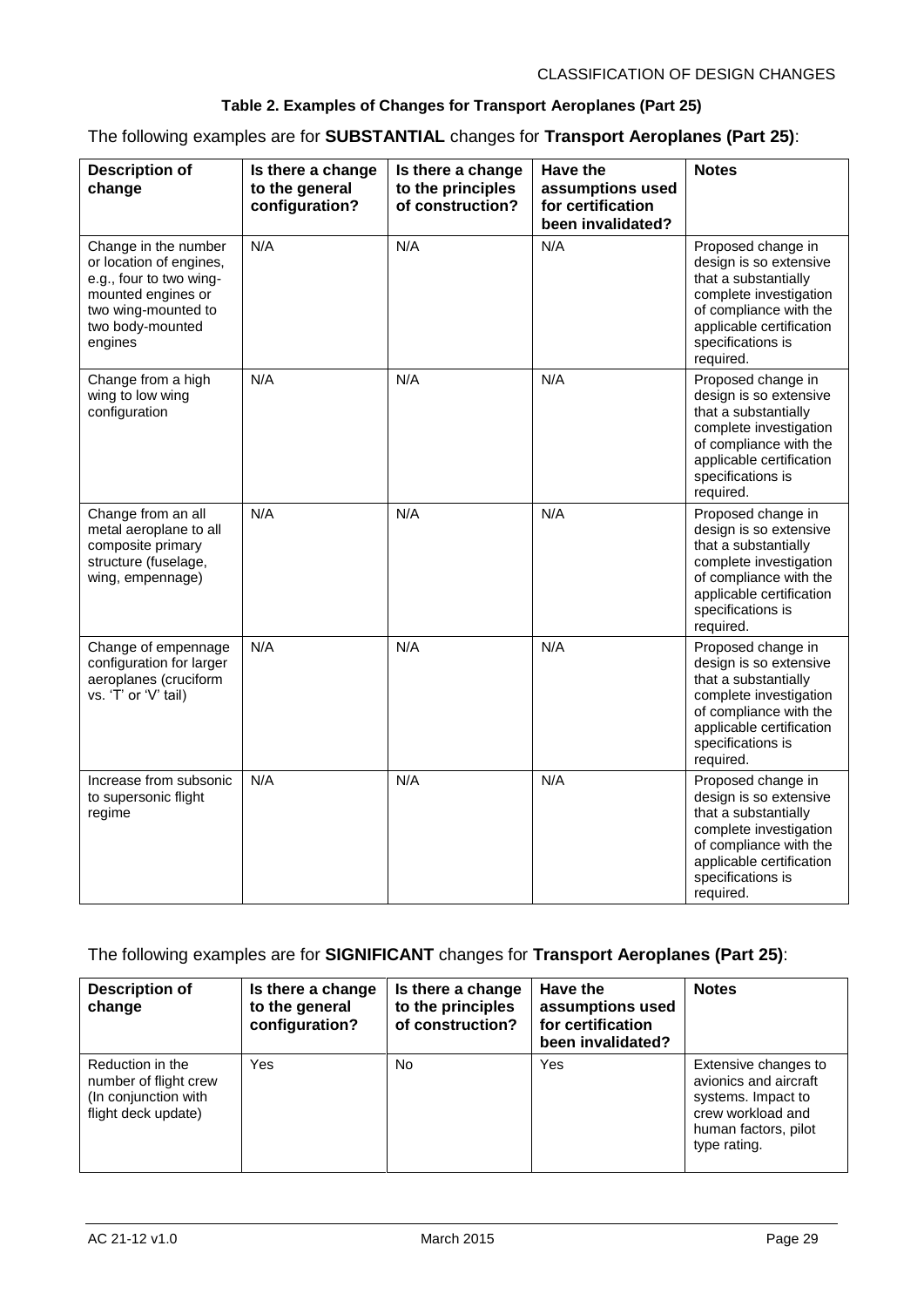#### **Table 2. Examples of Changes for Transport Aeroplanes (Part 25)**

The following examples are for **SUBSTANTIAL** changes for **Transport Aeroplanes (Part 25)**:

| <b>Description of</b><br>change                                                                                                                        | Is there a change<br>to the general<br>configuration? | Is there a change<br>to the principles<br>of construction? | <b>Have the</b><br>assumptions used<br>for certification<br>been invalidated? | <b>Notes</b>                                                                                                                                                                           |
|--------------------------------------------------------------------------------------------------------------------------------------------------------|-------------------------------------------------------|------------------------------------------------------------|-------------------------------------------------------------------------------|----------------------------------------------------------------------------------------------------------------------------------------------------------------------------------------|
| Change in the number<br>or location of engines,<br>e.g., four to two wing-<br>mounted engines or<br>two wing-mounted to<br>two body-mounted<br>engines | N/A                                                   | N/A                                                        | N/A                                                                           | Proposed change in<br>design is so extensive<br>that a substantially<br>complete investigation<br>of compliance with the<br>applicable certification<br>specifications is<br>required. |
| Change from a high<br>wing to low wing<br>configuration                                                                                                | N/A                                                   | N/A                                                        | N/A                                                                           | Proposed change in<br>design is so extensive<br>that a substantially<br>complete investigation<br>of compliance with the<br>applicable certification<br>specifications is<br>required. |
| Change from an all<br>metal aeroplane to all<br>composite primary<br>structure (fuselage,<br>wing, empennage)                                          | N/A                                                   | N/A                                                        | N/A                                                                           | Proposed change in<br>design is so extensive<br>that a substantially<br>complete investigation<br>of compliance with the<br>applicable certification<br>specifications is<br>required. |
| Change of empennage<br>configuration for larger<br>aeroplanes (cruciform<br>vs. 'T' or 'V' tail)                                                       | N/A                                                   | N/A                                                        | N/A                                                                           | Proposed change in<br>design is so extensive<br>that a substantially<br>complete investigation<br>of compliance with the<br>applicable certification<br>specifications is<br>required. |
| Increase from subsonic<br>to supersonic flight<br>regime                                                                                               | N/A                                                   | N/A                                                        | N/A                                                                           | Proposed change in<br>design is so extensive<br>that a substantially<br>complete investigation<br>of compliance with the<br>applicable certification<br>specifications is<br>required. |

#### The following examples are for **SIGNIFICANT** changes for **Transport Aeroplanes (Part 25)**:

| <b>Description of</b><br>change                                                          | Is there a change<br>to the general<br>configuration? | Is there a change<br>to the principles<br>of construction? | Have the<br>assumptions used<br>for certification<br>been invalidated? | <b>Notes</b>                                                                                                                     |
|------------------------------------------------------------------------------------------|-------------------------------------------------------|------------------------------------------------------------|------------------------------------------------------------------------|----------------------------------------------------------------------------------------------------------------------------------|
| Reduction in the<br>number of flight crew<br>(In conjunction with<br>flight deck update) | Yes                                                   | No.                                                        | Yes                                                                    | Extensive changes to<br>avionics and aircraft<br>systems. Impact to<br>crew workload and<br>human factors, pilot<br>type rating. |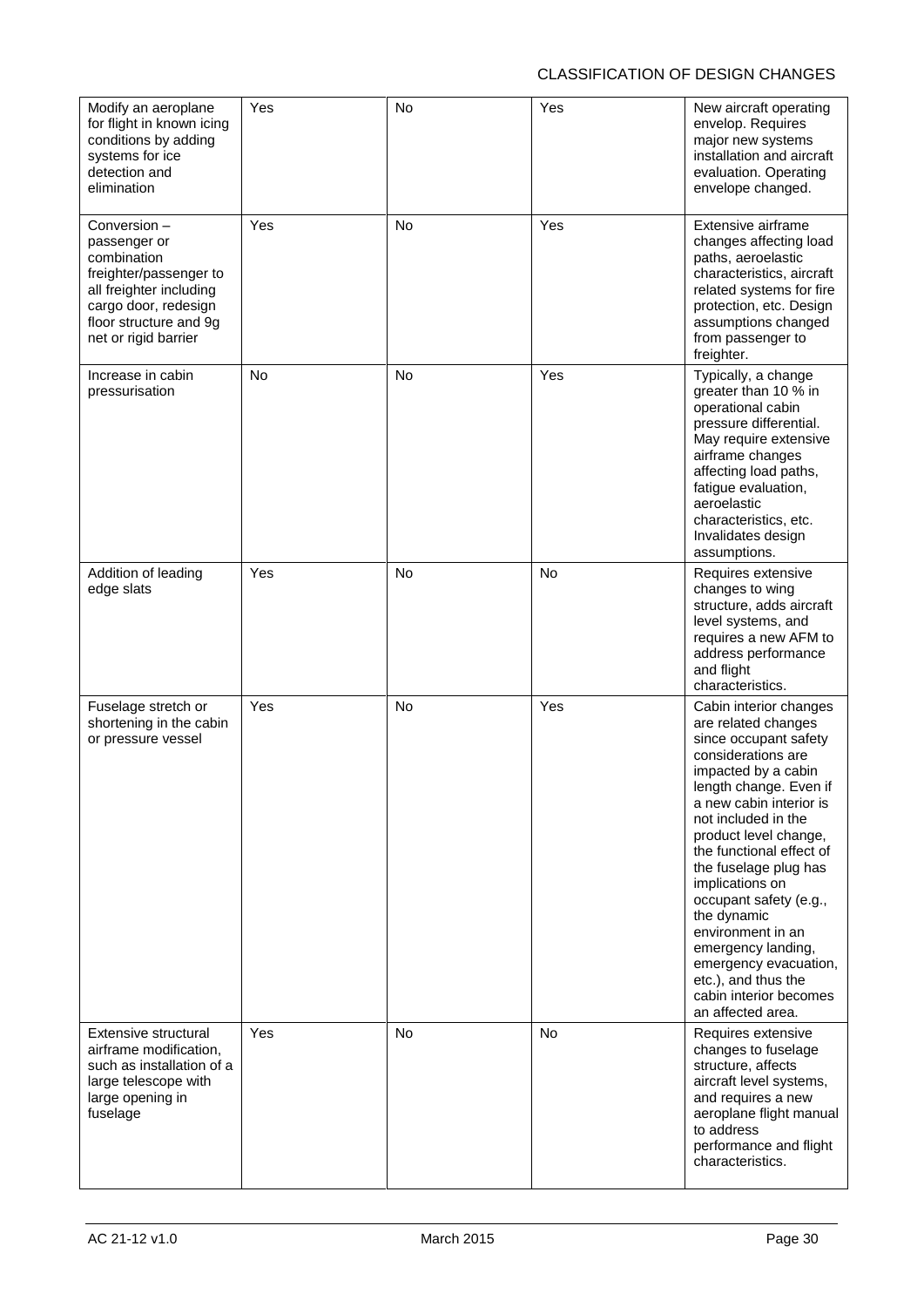| Modify an aeroplane<br>for flight in known icing<br>conditions by adding<br>systems for ice<br>detection and<br>elimination                                               | Yes       | No        | Yes | New aircraft operating<br>envelop. Requires<br>major new systems<br>installation and aircraft<br>evaluation. Operating<br>envelope changed.                                                                                                                                                                                                                                                                                                                                         |
|---------------------------------------------------------------------------------------------------------------------------------------------------------------------------|-----------|-----------|-----|-------------------------------------------------------------------------------------------------------------------------------------------------------------------------------------------------------------------------------------------------------------------------------------------------------------------------------------------------------------------------------------------------------------------------------------------------------------------------------------|
| Conversion-<br>passenger or<br>combination<br>freighter/passenger to<br>all freighter including<br>cargo door, redesign<br>floor structure and 9g<br>net or rigid barrier | Yes       | <b>No</b> | Yes | Extensive airframe<br>changes affecting load<br>paths, aeroelastic<br>characteristics, aircraft<br>related systems for fire<br>protection, etc. Design<br>assumptions changed<br>from passenger to<br>freighter.                                                                                                                                                                                                                                                                    |
| Increase in cabin<br>pressurisation                                                                                                                                       | <b>No</b> | <b>No</b> | Yes | Typically, a change<br>greater than 10 % in<br>operational cabin<br>pressure differential.<br>May require extensive<br>airframe changes<br>affecting load paths,<br>fatigue evaluation,<br>aeroelastic<br>characteristics, etc.<br>Invalidates design<br>assumptions.                                                                                                                                                                                                               |
| Addition of leading<br>edge slats                                                                                                                                         | Yes       | No        | No  | Requires extensive<br>changes to wing<br>structure, adds aircraft<br>level systems, and<br>requires a new AFM to<br>address performance<br>and flight<br>characteristics.                                                                                                                                                                                                                                                                                                           |
| Fuselage stretch or<br>shortening in the cabin<br>or pressure vessel                                                                                                      | Yes       | No        | Yes | Cabin interior changes<br>are related changes<br>since occupant safety<br>considerations are<br>impacted by a cabin<br>length change. Even if<br>a new cabin interior is<br>not included in the<br>product level change,<br>the functional effect of<br>the fuselage plug has<br>implications on<br>occupant safety (e.g.,<br>the dynamic<br>environment in an<br>emergency landing,<br>emergency evacuation,<br>etc.), and thus the<br>cabin interior becomes<br>an affected area. |
| Extensive structural<br>airframe modification,<br>such as installation of a<br>large telescope with<br>large opening in<br>fuselage                                       | Yes       | No        | No  | Requires extensive<br>changes to fuselage<br>structure, affects<br>aircraft level systems,<br>and requires a new<br>aeroplane flight manual<br>to address<br>performance and flight<br>characteristics.                                                                                                                                                                                                                                                                             |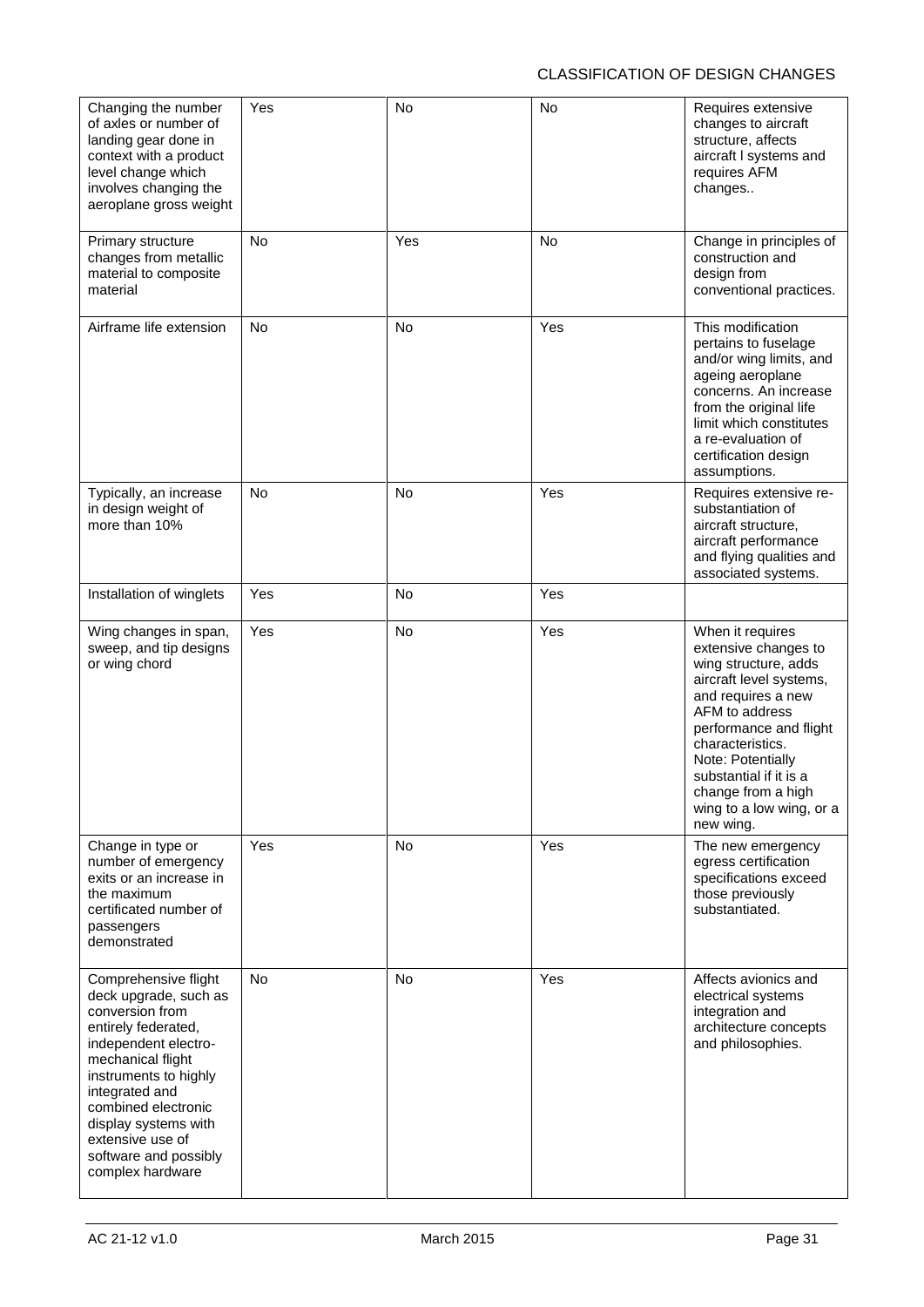| Changing the number<br>of axles or number of<br>landing gear done in<br>context with a product<br>level change which<br>involves changing the<br>aeroplane gross weight                                                                                                                         | Yes       | No        | No  | Requires extensive<br>changes to aircraft<br>structure, affects<br>aircraft I systems and<br>requires AFM<br>changes                                                                                                                                                                            |
|-------------------------------------------------------------------------------------------------------------------------------------------------------------------------------------------------------------------------------------------------------------------------------------------------|-----------|-----------|-----|-------------------------------------------------------------------------------------------------------------------------------------------------------------------------------------------------------------------------------------------------------------------------------------------------|
| Primary structure<br>changes from metallic<br>material to composite<br>material                                                                                                                                                                                                                 | No.       | Yes       | No  | Change in principles of<br>construction and<br>design from<br>conventional practices.                                                                                                                                                                                                           |
| Airframe life extension                                                                                                                                                                                                                                                                         | <b>No</b> | No        | Yes | This modification<br>pertains to fuselage<br>and/or wing limits, and<br>ageing aeroplane<br>concerns. An increase<br>from the original life<br>limit which constitutes<br>a re-evaluation of<br>certification design<br>assumptions.                                                            |
| Typically, an increase<br>in design weight of<br>more than 10%                                                                                                                                                                                                                                  | <b>No</b> | <b>No</b> | Yes | Requires extensive re-<br>substantiation of<br>aircraft structure,<br>aircraft performance<br>and flying qualities and<br>associated systems.                                                                                                                                                   |
| Installation of winglets                                                                                                                                                                                                                                                                        | Yes       | <b>No</b> | Yes |                                                                                                                                                                                                                                                                                                 |
| Wing changes in span,<br>sweep, and tip designs<br>or wing chord                                                                                                                                                                                                                                | Yes       | No        | Yes | When it requires<br>extensive changes to<br>wing structure, adds<br>aircraft level systems,<br>and requires a new<br>AFM to address<br>performance and flight<br>characteristics.<br>Note: Potentially<br>substantial if it is a<br>change from a high<br>wing to a low wing, or a<br>new wing. |
| Change in type or<br>number of emergency<br>exits or an increase in<br>the maximum<br>certificated number of<br>passengers<br>demonstrated                                                                                                                                                      | Yes       | <b>No</b> | Yes | The new emergency<br>egress certification<br>specifications exceed<br>those previously<br>substantiated.                                                                                                                                                                                        |
| Comprehensive flight<br>deck upgrade, such as<br>conversion from<br>entirely federated,<br>independent electro-<br>mechanical flight<br>instruments to highly<br>integrated and<br>combined electronic<br>display systems with<br>extensive use of<br>software and possibly<br>complex hardware | <b>No</b> | <b>No</b> | Yes | Affects avionics and<br>electrical systems<br>integration and<br>architecture concepts<br>and philosophies.                                                                                                                                                                                     |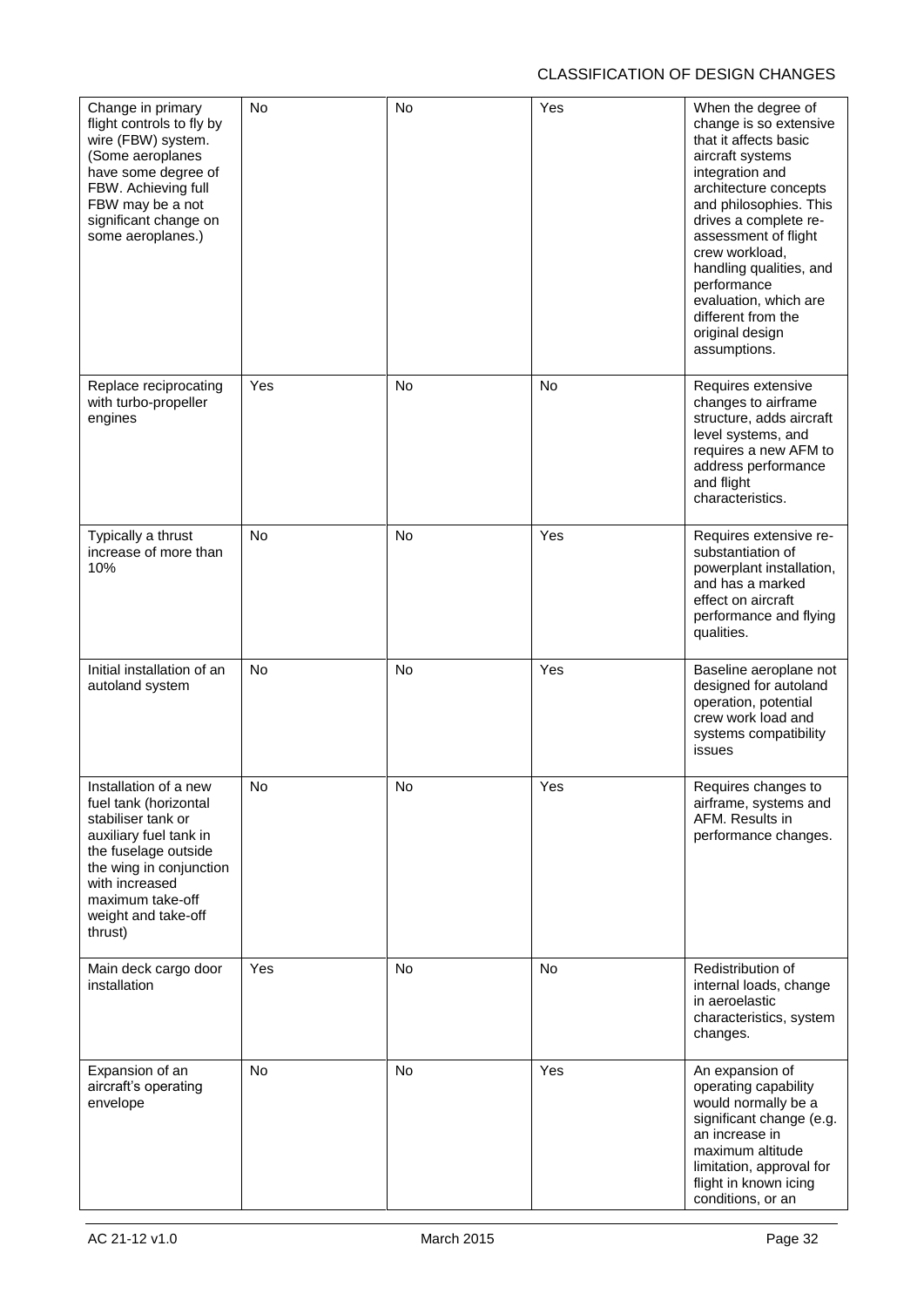| Change in primary<br>flight controls to fly by<br>wire (FBW) system.<br>(Some aeroplanes<br>have some degree of<br>FBW. Achieving full<br>FBW may be a not<br>significant change on<br>some aeroplanes.)                  | <b>No</b> | No        | Yes | When the degree of<br>change is so extensive<br>that it affects basic<br>aircraft systems<br>integration and<br>architecture concepts<br>and philosophies. This<br>drives a complete re-<br>assessment of flight<br>crew workload,<br>handling qualities, and<br>performance<br>evaluation, which are<br>different from the<br>original design<br>assumptions. |
|---------------------------------------------------------------------------------------------------------------------------------------------------------------------------------------------------------------------------|-----------|-----------|-----|----------------------------------------------------------------------------------------------------------------------------------------------------------------------------------------------------------------------------------------------------------------------------------------------------------------------------------------------------------------|
| Replace reciprocating<br>with turbo-propeller<br>engines                                                                                                                                                                  | Yes       | No        | No  | Requires extensive<br>changes to airframe<br>structure, adds aircraft<br>level systems, and<br>requires a new AFM to<br>address performance<br>and flight<br>characteristics.                                                                                                                                                                                  |
| Typically a thrust<br>increase of more than<br>10%                                                                                                                                                                        | <b>No</b> | No        | Yes | Requires extensive re-<br>substantiation of<br>powerplant installation,<br>and has a marked<br>effect on aircraft<br>performance and flying<br>qualities.                                                                                                                                                                                                      |
| Initial installation of an<br>autoland system                                                                                                                                                                             | <b>No</b> | <b>No</b> | Yes | Baseline aeroplane not<br>designed for autoland<br>operation, potential<br>crew work load and<br>systems compatibility<br>issues                                                                                                                                                                                                                               |
| Installation of a new<br>fuel tank (horizontal<br>stabiliser tank or<br>auxiliary fuel tank in<br>the fuselage outside<br>the wing in conjunction<br>with increased<br>maximum take-off<br>weight and take-off<br>thrust) | No        | No        | Yes | Requires changes to<br>airframe, systems and<br>AFM. Results in<br>performance changes.                                                                                                                                                                                                                                                                        |
| Main deck cargo door<br>installation                                                                                                                                                                                      | Yes       | No        | No  | Redistribution of<br>internal loads, change<br>in aeroelastic<br>characteristics, system<br>changes.                                                                                                                                                                                                                                                           |
| Expansion of an<br>aircraft's operating<br>envelope                                                                                                                                                                       | <b>No</b> | No        | Yes | An expansion of<br>operating capability<br>would normally be a<br>significant change (e.g.<br>an increase in<br>maximum altitude<br>limitation, approval for<br>flight in known icing<br>conditions, or an                                                                                                                                                     |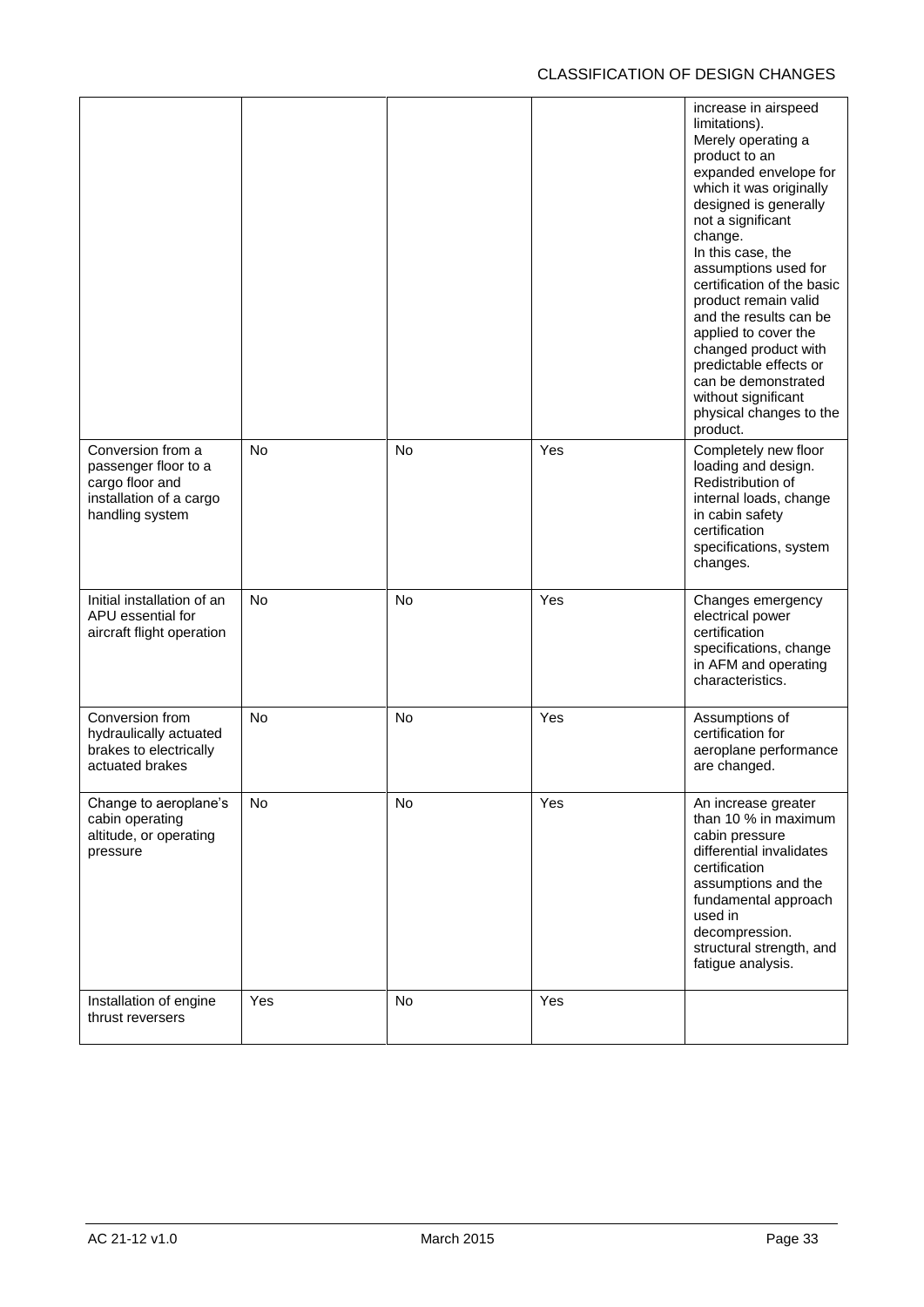|                                                                                                            |           |           |     | increase in airspeed<br>limitations).<br>Merely operating a<br>product to an<br>expanded envelope for<br>which it was originally<br>designed is generally<br>not a significant<br>change.<br>In this case, the<br>assumptions used for<br>certification of the basic<br>product remain valid<br>and the results can be<br>applied to cover the<br>changed product with<br>predictable effects or<br>can be demonstrated<br>without significant<br>physical changes to the<br>product. |
|------------------------------------------------------------------------------------------------------------|-----------|-----------|-----|---------------------------------------------------------------------------------------------------------------------------------------------------------------------------------------------------------------------------------------------------------------------------------------------------------------------------------------------------------------------------------------------------------------------------------------------------------------------------------------|
| Conversion from a<br>passenger floor to a<br>cargo floor and<br>installation of a cargo<br>handling system | <b>No</b> | <b>No</b> | Yes | Completely new floor<br>loading and design.<br>Redistribution of<br>internal loads, change<br>in cabin safety<br>certification<br>specifications, system<br>changes.                                                                                                                                                                                                                                                                                                                  |
| Initial installation of an<br>APU essential for<br>aircraft flight operation                               | <b>No</b> | No        | Yes | Changes emergency<br>electrical power<br>certification<br>specifications, change<br>in AFM and operating<br>characteristics.                                                                                                                                                                                                                                                                                                                                                          |
| Conversion from<br>hydraulically actuated<br>brakes to electrically<br>actuated brakes                     | <b>No</b> | <b>No</b> | Yes | Assumptions of<br>certification for<br>aeroplane performance<br>are changed.                                                                                                                                                                                                                                                                                                                                                                                                          |
| Change to aeroplane's<br>cabin operating<br>altitude, or operating<br>pressure                             | No        | No        | Yes | An increase greater<br>than 10 % in maximum<br>cabin pressure<br>differential invalidates<br>certification<br>assumptions and the<br>fundamental approach<br>used in<br>decompression.<br>structural strength, and<br>fatigue analysis.                                                                                                                                                                                                                                               |
| Installation of engine<br>thrust reversers                                                                 | Yes       | No        | Yes |                                                                                                                                                                                                                                                                                                                                                                                                                                                                                       |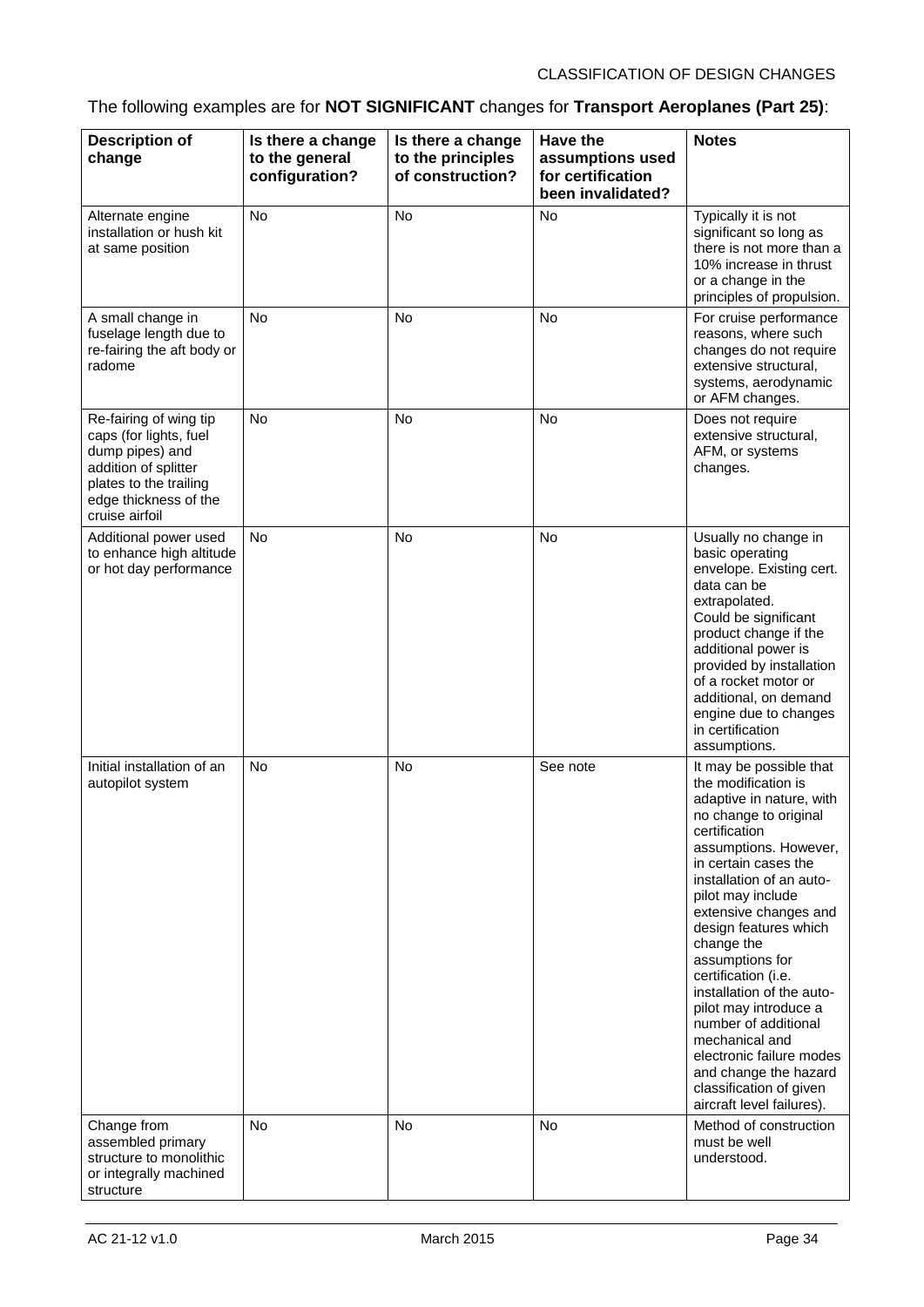## The following examples are for **NOT SIGNIFICANT** changes for **Transport Aeroplanes (Part 25)**:

| <b>Description of</b><br>change                                                                                                                                  | Is there a change<br>to the general<br>configuration? | Is there a change<br>to the principles<br>of construction? | <b>Have the</b><br>assumptions used<br>for certification<br>been invalidated? | <b>Notes</b>                                                                                                                                                                                                                                                                                                                                                                                                                                                                                                                                  |
|------------------------------------------------------------------------------------------------------------------------------------------------------------------|-------------------------------------------------------|------------------------------------------------------------|-------------------------------------------------------------------------------|-----------------------------------------------------------------------------------------------------------------------------------------------------------------------------------------------------------------------------------------------------------------------------------------------------------------------------------------------------------------------------------------------------------------------------------------------------------------------------------------------------------------------------------------------|
| Alternate engine<br>installation or hush kit<br>at same position                                                                                                 | No                                                    | <b>No</b>                                                  | <b>No</b>                                                                     | Typically it is not<br>significant so long as<br>there is not more than a<br>10% increase in thrust<br>or a change in the<br>principles of propulsion.                                                                                                                                                                                                                                                                                                                                                                                        |
| A small change in<br>fuselage length due to<br>re-fairing the aft body or<br>radome                                                                              | <b>No</b>                                             | <b>No</b>                                                  | <b>No</b>                                                                     | For cruise performance<br>reasons, where such<br>changes do not require<br>extensive structural,<br>systems, aerodynamic<br>or AFM changes.                                                                                                                                                                                                                                                                                                                                                                                                   |
| Re-fairing of wing tip<br>caps (for lights, fuel<br>dump pipes) and<br>addition of splitter<br>plates to the trailing<br>edge thickness of the<br>cruise airfoil | <b>No</b>                                             | <b>No</b>                                                  | <b>No</b>                                                                     | Does not require<br>extensive structural,<br>AFM, or systems<br>changes.                                                                                                                                                                                                                                                                                                                                                                                                                                                                      |
| Additional power used<br>to enhance high altitude<br>or hot day performance                                                                                      | <b>No</b>                                             | <b>No</b>                                                  | <b>No</b>                                                                     | Usually no change in<br>basic operating<br>envelope. Existing cert.<br>data can be<br>extrapolated.<br>Could be significant<br>product change if the<br>additional power is<br>provided by installation<br>of a rocket motor or<br>additional, on demand<br>engine due to changes<br>in certification<br>assumptions.                                                                                                                                                                                                                         |
| Initial installation of an<br>autopilot system                                                                                                                   | <b>No</b>                                             | No                                                         | See note                                                                      | It may be possible that<br>the modification is<br>adaptive in nature, with<br>no change to original<br>certification<br>assumptions. However,<br>in certain cases the<br>installation of an auto-<br>pilot may include<br>extensive changes and<br>design features which<br>change the<br>assumptions for<br>certification (i.e.<br>installation of the auto-<br>pilot may introduce a<br>number of additional<br>mechanical and<br>electronic failure modes<br>and change the hazard<br>classification of given<br>aircraft level failures). |
| Change from<br>assembled primary<br>structure to monolithic<br>or integrally machined<br>structure                                                               | <b>No</b>                                             | No                                                         | No                                                                            | Method of construction<br>must be well<br>understood.                                                                                                                                                                                                                                                                                                                                                                                                                                                                                         |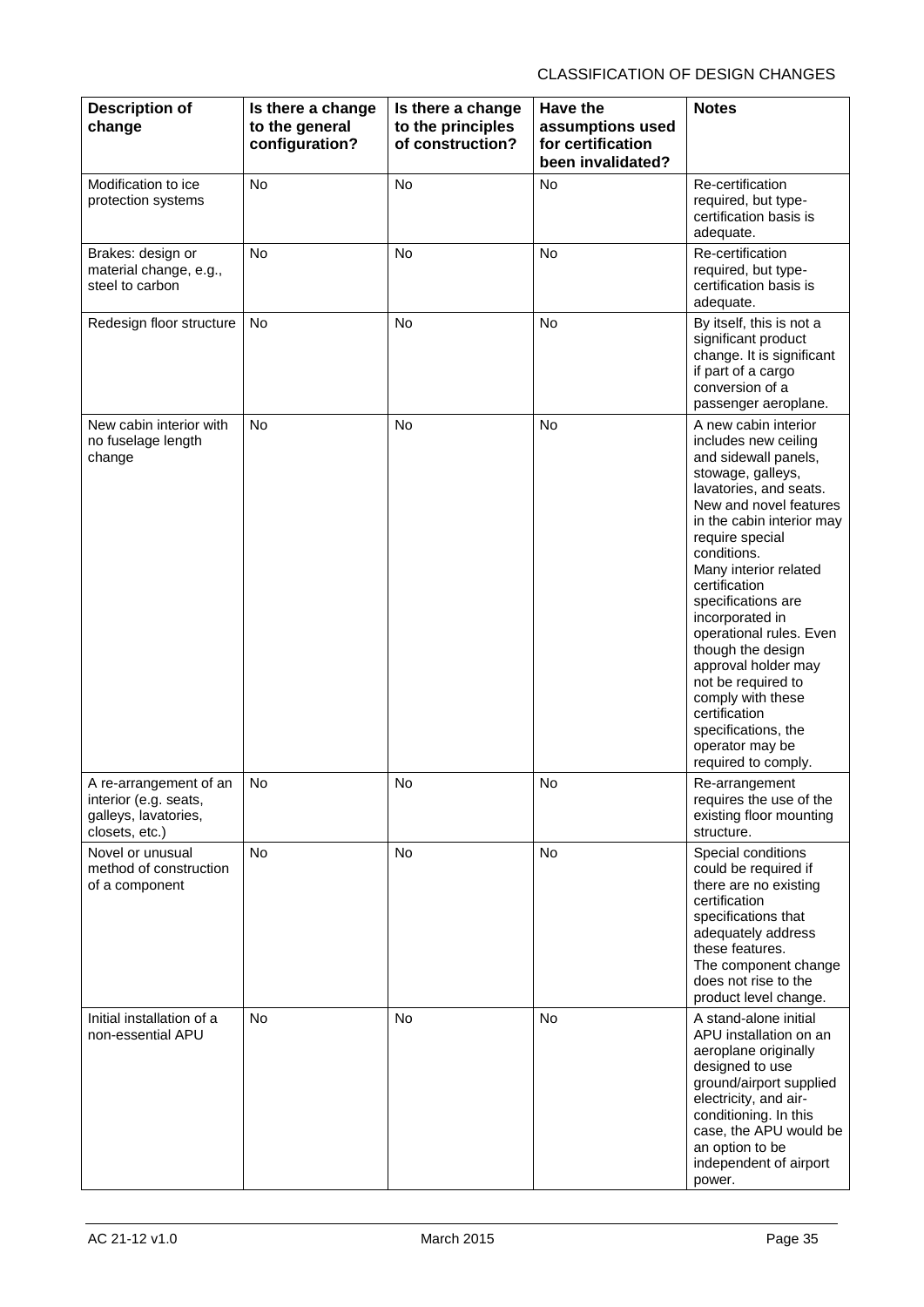| <b>Description of</b><br>change                                                           | Is there a change<br>to the general<br>configuration? | Is there a change<br>to the principles<br>of construction? | <b>Have the</b><br>assumptions used<br>for certification<br>been invalidated? | <b>Notes</b>                                                                                                                                                                                                                                                                                                                                                                                                                                                                                        |
|-------------------------------------------------------------------------------------------|-------------------------------------------------------|------------------------------------------------------------|-------------------------------------------------------------------------------|-----------------------------------------------------------------------------------------------------------------------------------------------------------------------------------------------------------------------------------------------------------------------------------------------------------------------------------------------------------------------------------------------------------------------------------------------------------------------------------------------------|
| Modification to ice<br>protection systems                                                 | <b>No</b>                                             | <b>No</b>                                                  | <b>No</b>                                                                     | Re-certification<br>required, but type-<br>certification basis is<br>adequate.                                                                                                                                                                                                                                                                                                                                                                                                                      |
| Brakes: design or<br>material change, e.g.,<br>steel to carbon                            | No                                                    | <b>No</b>                                                  | <b>No</b>                                                                     | Re-certification<br>required, but type-<br>certification basis is<br>adequate.                                                                                                                                                                                                                                                                                                                                                                                                                      |
| Redesign floor structure                                                                  | <b>No</b>                                             | <b>No</b>                                                  | <b>No</b>                                                                     | By itself, this is not a<br>significant product<br>change. It is significant<br>if part of a cargo<br>conversion of a<br>passenger aeroplane.                                                                                                                                                                                                                                                                                                                                                       |
| New cabin interior with<br>no fuselage length<br>change                                   | <b>No</b>                                             | <b>No</b>                                                  | <b>No</b>                                                                     | A new cabin interior<br>includes new ceiling<br>and sidewall panels,<br>stowage, galleys,<br>lavatories, and seats.<br>New and novel features<br>in the cabin interior may<br>require special<br>conditions.<br>Many interior related<br>certification<br>specifications are<br>incorporated in<br>operational rules. Even<br>though the design<br>approval holder may<br>not be required to<br>comply with these<br>certification<br>specifications, the<br>operator may be<br>required to comply. |
| A re-arrangement of an<br>interior (e.g. seats,<br>galleys, lavatories,<br>closets, etc.) | No                                                    | No                                                         | No                                                                            | Re-arrangement<br>requires the use of the<br>existing floor mounting<br>structure.                                                                                                                                                                                                                                                                                                                                                                                                                  |
| Novel or unusual<br>method of construction<br>of a component                              | No                                                    | No                                                         | No                                                                            | Special conditions<br>could be required if<br>there are no existing<br>certification<br>specifications that<br>adequately address<br>these features.<br>The component change<br>does not rise to the<br>product level change.                                                                                                                                                                                                                                                                       |
| Initial installation of a<br>non-essential APU                                            | <b>No</b>                                             | <b>No</b>                                                  | No                                                                            | A stand-alone initial<br>APU installation on an<br>aeroplane originally<br>designed to use<br>ground/airport supplied<br>electricity, and air-<br>conditioning. In this<br>case, the APU would be<br>an option to be<br>independent of airport<br>power.                                                                                                                                                                                                                                            |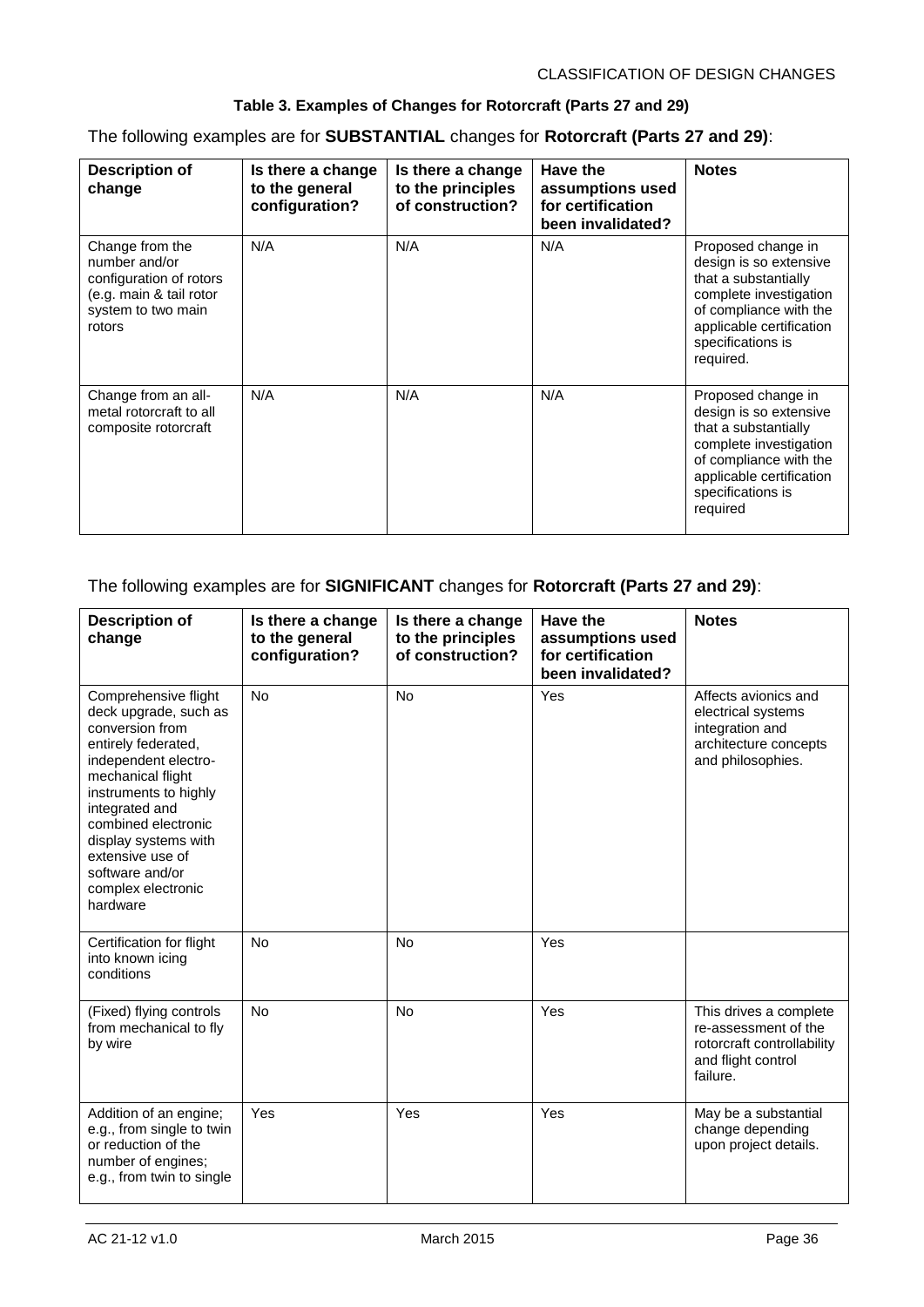#### **Table 3. Examples of Changes for Rotorcraft (Parts 27 and 29)**

The following examples are for **SUBSTANTIAL** changes for **Rotorcraft (Parts 27 and 29)**:

| <b>Description of</b><br>change                                                                                        | Is there a change<br>to the general<br>configuration? | Is there a change<br>to the principles<br>of construction? | Have the<br>assumptions used<br>for certification<br>been invalidated? | <b>Notes</b>                                                                                                                                                                           |
|------------------------------------------------------------------------------------------------------------------------|-------------------------------------------------------|------------------------------------------------------------|------------------------------------------------------------------------|----------------------------------------------------------------------------------------------------------------------------------------------------------------------------------------|
| Change from the<br>number and/or<br>configuration of rotors<br>(e.g. main & tail rotor<br>system to two main<br>rotors | N/A                                                   | N/A                                                        | N/A                                                                    | Proposed change in<br>design is so extensive<br>that a substantially<br>complete investigation<br>of compliance with the<br>applicable certification<br>specifications is<br>required. |
| Change from an all-<br>metal rotorcraft to all<br>composite rotorcraft                                                 | N/A                                                   | N/A                                                        | N/A                                                                    | Proposed change in<br>design is so extensive<br>that a substantially<br>complete investigation<br>of compliance with the<br>applicable certification<br>specifications is<br>required  |

#### The following examples are for **SIGNIFICANT** changes for **Rotorcraft (Parts 27 and 29)**:

| <b>Description of</b><br>change                                                                                                                                                                                                                                                                         | Is there a change<br>to the general<br>configuration? | Is there a change<br>to the principles<br>of construction? | <b>Have the</b><br>assumptions used<br>for certification<br>been invalidated? | <b>Notes</b>                                                                                                   |
|---------------------------------------------------------------------------------------------------------------------------------------------------------------------------------------------------------------------------------------------------------------------------------------------------------|-------------------------------------------------------|------------------------------------------------------------|-------------------------------------------------------------------------------|----------------------------------------------------------------------------------------------------------------|
| Comprehensive flight<br>deck upgrade, such as<br>conversion from<br>entirely federated,<br>independent electro-<br>mechanical flight<br>instruments to highly<br>integrated and<br>combined electronic<br>display systems with<br>extensive use of<br>software and/or<br>complex electronic<br>hardware | <b>No</b>                                             | <b>No</b>                                                  | Yes                                                                           | Affects avionics and<br>electrical systems<br>integration and<br>architecture concepts<br>and philosophies.    |
| Certification for flight<br>into known icing<br>conditions                                                                                                                                                                                                                                              | <b>No</b>                                             | <b>No</b>                                                  | Yes                                                                           |                                                                                                                |
| (Fixed) flying controls<br>from mechanical to fly<br>by wire                                                                                                                                                                                                                                            | <b>No</b>                                             | <b>No</b>                                                  | Yes                                                                           | This drives a complete<br>re-assessment of the<br>rotorcraft controllability<br>and flight control<br>failure. |
| Addition of an engine;<br>e.g., from single to twin<br>or reduction of the<br>number of engines;<br>e.g., from twin to single                                                                                                                                                                           | Yes                                                   | Yes                                                        | Yes                                                                           | May be a substantial<br>change depending<br>upon project details.                                              |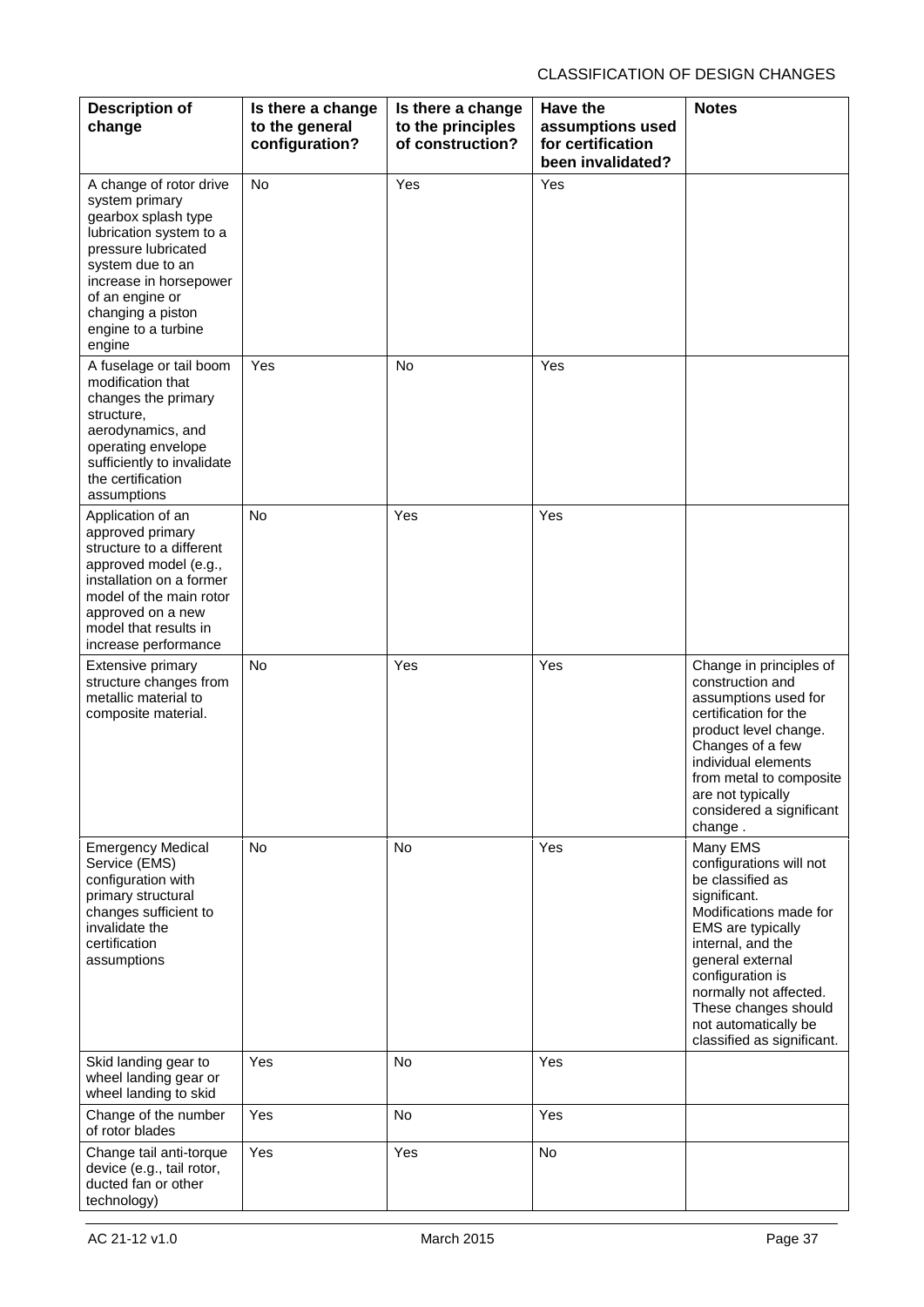| <b>Description of</b><br>change                                                                                                                                                                                                           | Is there a change<br>to the general<br>configuration? | Is there a change<br>to the principles<br>of construction? | <b>Have the</b><br>assumptions used<br>for certification<br>been invalidated? | <b>Notes</b>                                                                                                                                                                                                                                                                                |
|-------------------------------------------------------------------------------------------------------------------------------------------------------------------------------------------------------------------------------------------|-------------------------------------------------------|------------------------------------------------------------|-------------------------------------------------------------------------------|---------------------------------------------------------------------------------------------------------------------------------------------------------------------------------------------------------------------------------------------------------------------------------------------|
| A change of rotor drive<br>system primary<br>gearbox splash type<br>lubrication system to a<br>pressure lubricated<br>system due to an<br>increase in horsepower<br>of an engine or<br>changing a piston<br>engine to a turbine<br>engine | No                                                    | Yes                                                        | Yes                                                                           |                                                                                                                                                                                                                                                                                             |
| A fuselage or tail boom<br>modification that<br>changes the primary<br>structure,<br>aerodynamics, and<br>operating envelope<br>sufficiently to invalidate<br>the certification<br>assumptions                                            | Yes                                                   | <b>No</b>                                                  | Yes                                                                           |                                                                                                                                                                                                                                                                                             |
| Application of an<br>approved primary<br>structure to a different<br>approved model (e.g.,<br>installation on a former<br>model of the main rotor<br>approved on a new<br>model that results in<br>increase performance                   | <b>No</b>                                             | Yes                                                        | Yes                                                                           |                                                                                                                                                                                                                                                                                             |
| <b>Extensive primary</b><br>structure changes from<br>metallic material to<br>composite material.                                                                                                                                         | <b>No</b>                                             | Yes                                                        | Yes                                                                           | Change in principles of<br>construction and<br>assumptions used for<br>certification for the<br>product level change.<br>Changes of a few<br>individual elements<br>from metal to composite<br>are not typically<br>considered a significant<br>change.                                     |
| <b>Emergency Medical</b><br>Service (EMS)<br>configuration with<br>primary structural<br>changes sufficient to<br>invalidate the<br>certification<br>assumptions                                                                          | <b>No</b>                                             | No                                                         | Yes                                                                           | Many EMS<br>configurations will not<br>be classified as<br>significant.<br>Modifications made for<br>EMS are typically<br>internal, and the<br>general external<br>configuration is<br>normally not affected.<br>These changes should<br>not automatically be<br>classified as significant. |
| Skid landing gear to<br>wheel landing gear or<br>wheel landing to skid                                                                                                                                                                    | Yes                                                   | No                                                         | Yes                                                                           |                                                                                                                                                                                                                                                                                             |
| Change of the number<br>of rotor blades                                                                                                                                                                                                   | Yes                                                   | No                                                         | Yes                                                                           |                                                                                                                                                                                                                                                                                             |
| Change tail anti-torque<br>device (e.g., tail rotor,<br>ducted fan or other<br>technology)                                                                                                                                                | Yes                                                   | Yes                                                        | No                                                                            |                                                                                                                                                                                                                                                                                             |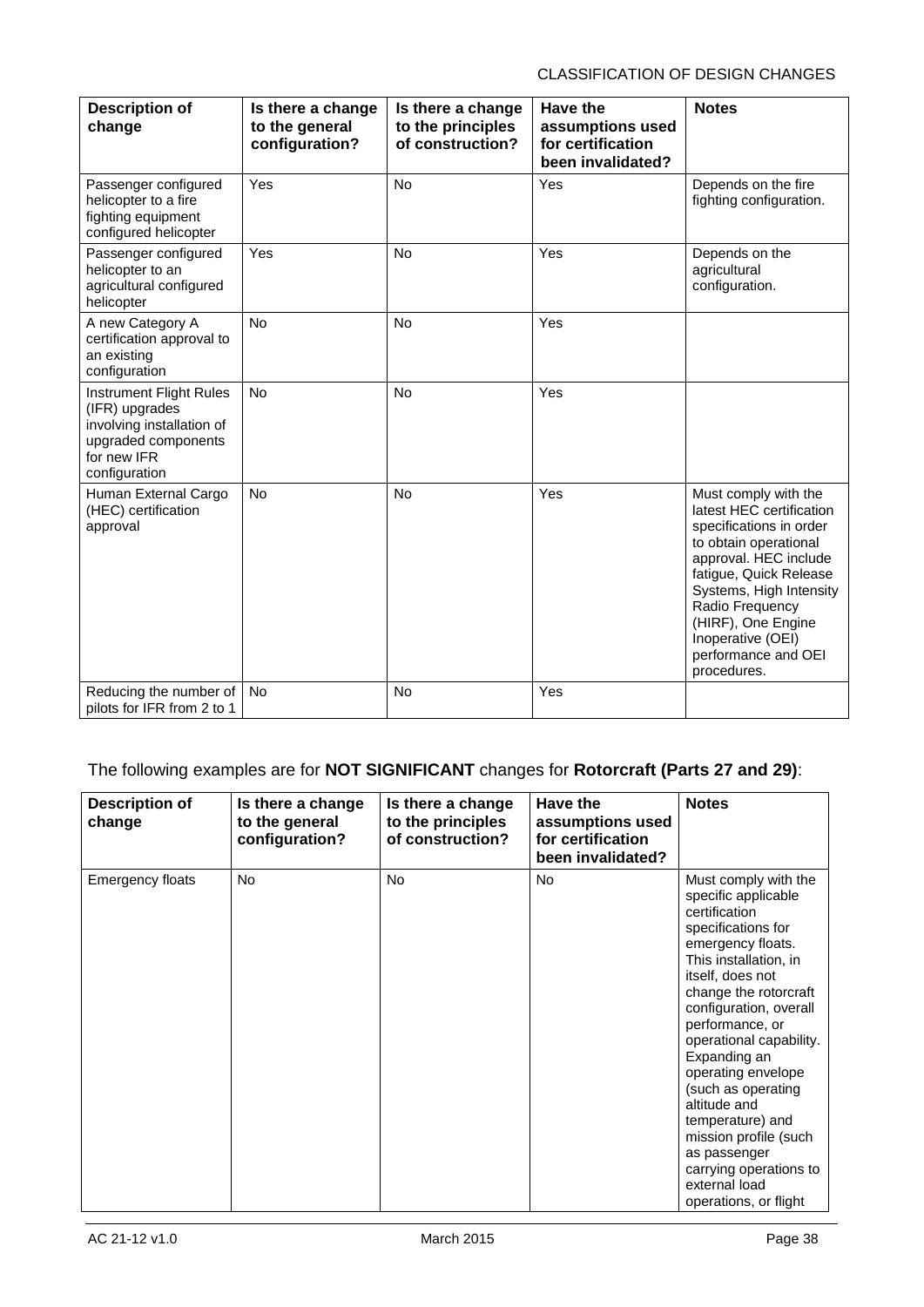| <b>Description of</b><br>change                                                                                               | Is there a change<br>to the general<br>configuration? | Is there a change<br>to the principles<br>of construction? | <b>Have the</b><br>assumptions used<br>for certification<br>been invalidated? | <b>Notes</b>                                                                                                                                                                                                                                                                           |
|-------------------------------------------------------------------------------------------------------------------------------|-------------------------------------------------------|------------------------------------------------------------|-------------------------------------------------------------------------------|----------------------------------------------------------------------------------------------------------------------------------------------------------------------------------------------------------------------------------------------------------------------------------------|
| Passenger configured<br>helicopter to a fire<br>fighting equipment<br>configured helicopter                                   | Yes                                                   | <b>No</b>                                                  | Yes                                                                           | Depends on the fire<br>fighting configuration.                                                                                                                                                                                                                                         |
| Passenger configured<br>helicopter to an<br>agricultural configured<br>helicopter                                             | Yes                                                   | <b>No</b>                                                  | Yes                                                                           | Depends on the<br>agricultural<br>configuration.                                                                                                                                                                                                                                       |
| A new Category A<br>certification approval to<br>an existing<br>configuration                                                 | <b>No</b>                                             | <b>No</b>                                                  | Yes                                                                           |                                                                                                                                                                                                                                                                                        |
| Instrument Flight Rules<br>(IFR) upgrades<br>involving installation of<br>upgraded components<br>for new IFR<br>configuration | <b>No</b>                                             | <b>No</b>                                                  | Yes                                                                           |                                                                                                                                                                                                                                                                                        |
| Human External Cargo<br>(HEC) certification<br>approval                                                                       | <b>No</b>                                             | <b>No</b>                                                  | Yes                                                                           | Must comply with the<br>latest HEC certification<br>specifications in order<br>to obtain operational<br>approval. HEC include<br>fatigue, Quick Release<br>Systems, High Intensity<br>Radio Frequency<br>(HIRF), One Engine<br>Inoperative (OEI)<br>performance and OEI<br>procedures. |
| Reducing the number of<br>pilots for IFR from 2 to 1                                                                          | No                                                    | <b>No</b>                                                  | Yes                                                                           |                                                                                                                                                                                                                                                                                        |

### The following examples are for **NOT SIGNIFICANT** changes for **Rotorcraft (Parts 27 and 29)**:

| <b>Description of</b><br>change | Is there a change<br>to the general<br>configuration? | Is there a change<br>to the principles<br>of construction? | Have the<br>assumptions used<br>for certification<br>been invalidated? | <b>Notes</b>                                                                                                                                                                                                                                                                                                                                                                                                                                                       |
|---------------------------------|-------------------------------------------------------|------------------------------------------------------------|------------------------------------------------------------------------|--------------------------------------------------------------------------------------------------------------------------------------------------------------------------------------------------------------------------------------------------------------------------------------------------------------------------------------------------------------------------------------------------------------------------------------------------------------------|
| <b>Emergency floats</b>         | <b>No</b>                                             | <b>No</b>                                                  | No.                                                                    | Must comply with the<br>specific applicable<br>certification<br>specifications for<br>emergency floats.<br>This installation, in<br>itself, does not<br>change the rotorcraft<br>configuration, overall<br>performance, or<br>operational capability.<br>Expanding an<br>operating envelope<br>(such as operating<br>altitude and<br>temperature) and<br>mission profile (such<br>as passenger<br>carrying operations to<br>external load<br>operations, or flight |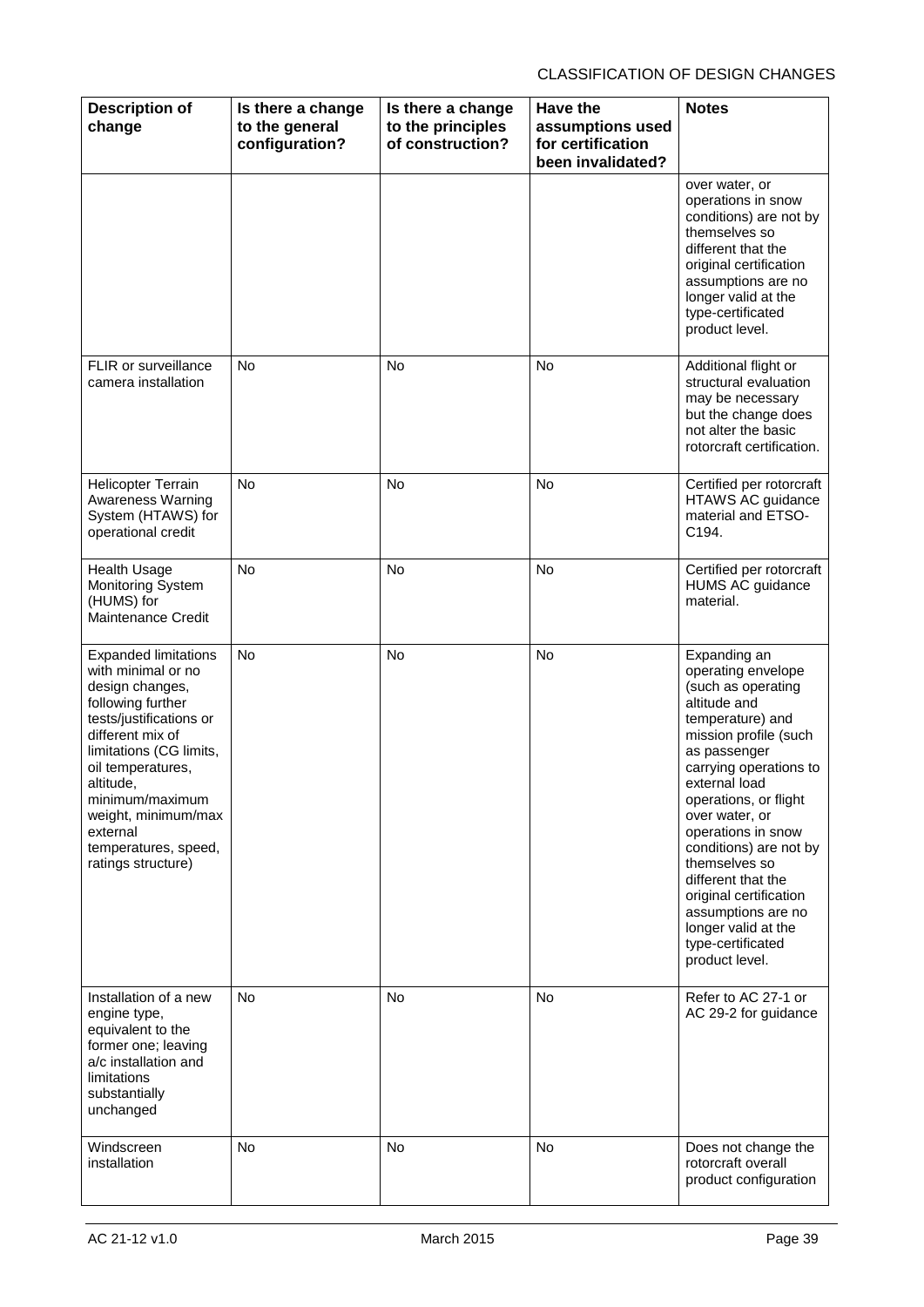| <b>Description of</b><br>change                                                                                                                                                                                                                                                                           | Is there a change<br>to the general<br>configuration? | Is there a change<br>to the principles<br>of construction? | Have the<br>assumptions used<br>for certification<br>been invalidated? | <b>Notes</b>                                                                                                                                                                                                                                                                                                                                                                                                                     |
|-----------------------------------------------------------------------------------------------------------------------------------------------------------------------------------------------------------------------------------------------------------------------------------------------------------|-------------------------------------------------------|------------------------------------------------------------|------------------------------------------------------------------------|----------------------------------------------------------------------------------------------------------------------------------------------------------------------------------------------------------------------------------------------------------------------------------------------------------------------------------------------------------------------------------------------------------------------------------|
|                                                                                                                                                                                                                                                                                                           |                                                       |                                                            |                                                                        | over water, or<br>operations in snow<br>conditions) are not by<br>themselves so<br>different that the<br>original certification<br>assumptions are no<br>longer valid at the<br>type-certificated<br>product level.                                                                                                                                                                                                              |
| FLIR or surveillance<br>camera installation                                                                                                                                                                                                                                                               | <b>No</b>                                             | No                                                         | No                                                                     | Additional flight or<br>structural evaluation<br>may be necessary<br>but the change does<br>not alter the basic<br>rotorcraft certification.                                                                                                                                                                                                                                                                                     |
| <b>Helicopter Terrain</b><br><b>Awareness Warning</b><br>System (HTAWS) for<br>operational credit                                                                                                                                                                                                         | No                                                    | No                                                         | No                                                                     | Certified per rotorcraft<br><b>HTAWS AC guidance</b><br>material and ETSO-<br>C194.                                                                                                                                                                                                                                                                                                                                              |
| <b>Health Usage</b><br>Monitoring System<br>(HUMS) for<br><b>Maintenance Credit</b>                                                                                                                                                                                                                       | <b>No</b>                                             | No                                                         | No                                                                     | Certified per rotorcraft<br><b>HUMS AC guidance</b><br>material.                                                                                                                                                                                                                                                                                                                                                                 |
| <b>Expanded limitations</b><br>with minimal or no<br>design changes,<br>following further<br>tests/justifications or<br>different mix of<br>limitations (CG limits,<br>oil temperatures,<br>altitude.<br>minimum/maximum<br>weight, minimum/max<br>external<br>temperatures, speed,<br>ratings structure) | <b>No</b>                                             | <b>No</b>                                                  | <b>No</b>                                                              | Expanding an<br>operating envelope<br>(such as operating<br>altitude and<br>temperature) and<br>mission profile (such<br>as passenger<br>carrying operations to<br>external load<br>operations, or flight<br>over water, or<br>operations in snow<br>conditions) are not by<br>themselves so<br>different that the<br>original certification<br>assumptions are no<br>longer valid at the<br>type-certificated<br>product level. |
| Installation of a new<br>engine type,<br>equivalent to the<br>former one; leaving<br>a/c installation and<br>limitations<br>substantially<br>unchanged                                                                                                                                                    | <b>No</b>                                             | <b>No</b>                                                  | No                                                                     | Refer to AC 27-1 or<br>AC 29-2 for guidance                                                                                                                                                                                                                                                                                                                                                                                      |
| Windscreen<br>installation                                                                                                                                                                                                                                                                                | No                                                    | No                                                         | <b>No</b>                                                              | Does not change the<br>rotorcraft overall<br>product configuration                                                                                                                                                                                                                                                                                                                                                               |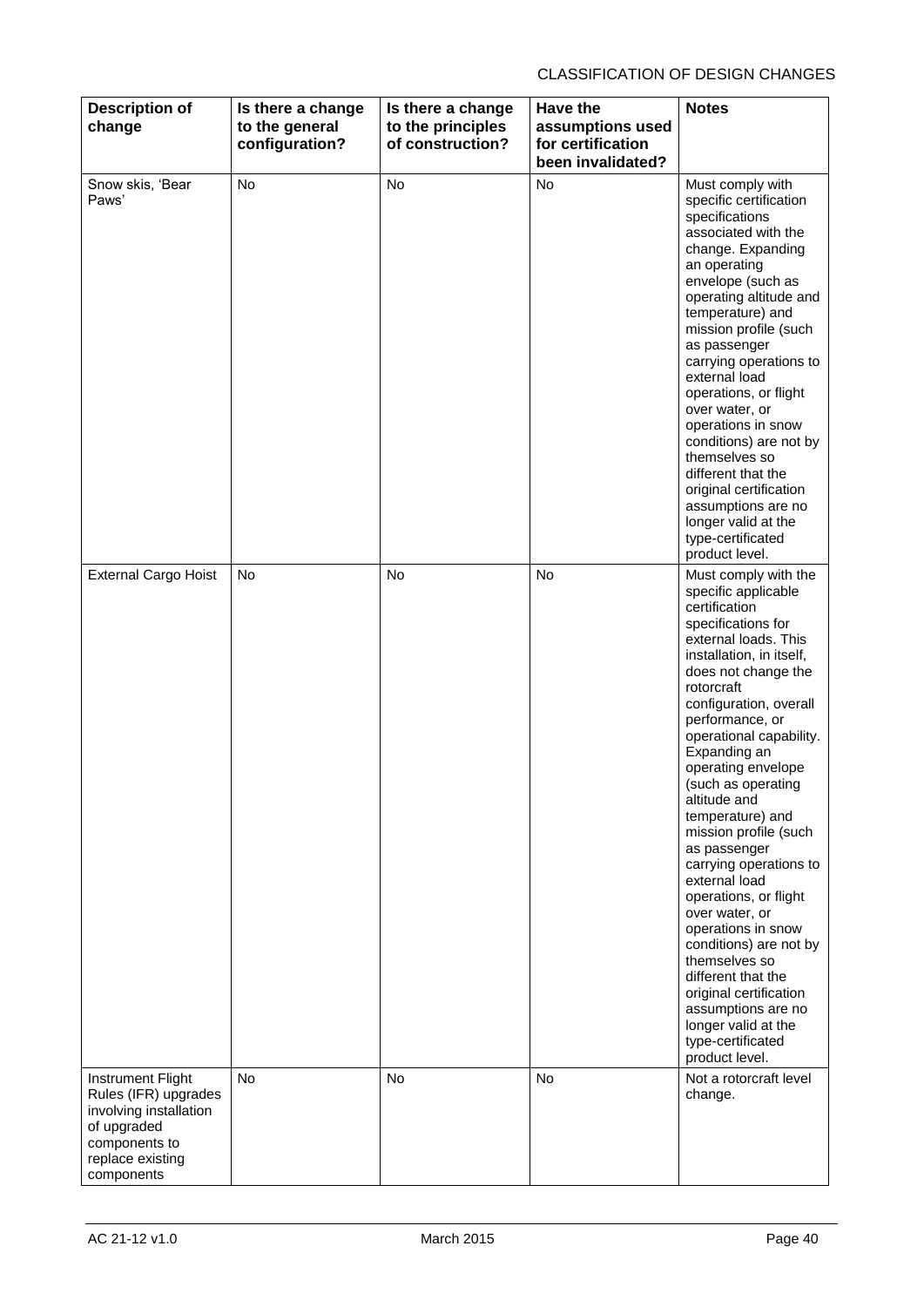| <b>Description of</b><br>change                                                                                                       | Is there a change<br>to the general<br>configuration? | Is there a change<br>to the principles<br>of construction? | <b>Have the</b><br>assumptions used<br>for certification<br>been invalidated? | <b>Notes</b>                                                                                                                                                                                                                                                                                                                                                                                                                                                                                                                                                                                                                                                                            |
|---------------------------------------------------------------------------------------------------------------------------------------|-------------------------------------------------------|------------------------------------------------------------|-------------------------------------------------------------------------------|-----------------------------------------------------------------------------------------------------------------------------------------------------------------------------------------------------------------------------------------------------------------------------------------------------------------------------------------------------------------------------------------------------------------------------------------------------------------------------------------------------------------------------------------------------------------------------------------------------------------------------------------------------------------------------------------|
| Snow skis, 'Bear<br>Paws'                                                                                                             | No                                                    | <b>No</b>                                                  | No                                                                            | Must comply with<br>specific certification<br>specifications<br>associated with the<br>change. Expanding<br>an operating<br>envelope (such as<br>operating altitude and<br>temperature) and<br>mission profile (such<br>as passenger<br>carrying operations to<br>external load<br>operations, or flight<br>over water, or<br>operations in snow<br>conditions) are not by<br>themselves so<br>different that the<br>original certification<br>assumptions are no<br>longer valid at the<br>type-certificated<br>product level.                                                                                                                                                         |
| <b>External Cargo Hoist</b>                                                                                                           | <b>No</b>                                             | <b>No</b>                                                  | No                                                                            | Must comply with the<br>specific applicable<br>certification<br>specifications for<br>external loads. This<br>installation, in itself,<br>does not change the<br>rotorcraft<br>configuration, overall<br>performance, or<br>operational capability.<br>Expanding an<br>operating envelope<br>(such as operating<br>altitude and<br>temperature) and<br>mission profile (such<br>as passenger<br>carrying operations to<br>external load<br>operations, or flight<br>over water, or<br>operations in snow<br>conditions) are not by<br>themselves so<br>different that the<br>original certification<br>assumptions are no<br>longer valid at the<br>type-certificated<br>product level. |
| Instrument Flight<br>Rules (IFR) upgrades<br>involving installation<br>of upgraded<br>components to<br>replace existing<br>components | No                                                    | No                                                         | No                                                                            | Not a rotorcraft level<br>change.                                                                                                                                                                                                                                                                                                                                                                                                                                                                                                                                                                                                                                                       |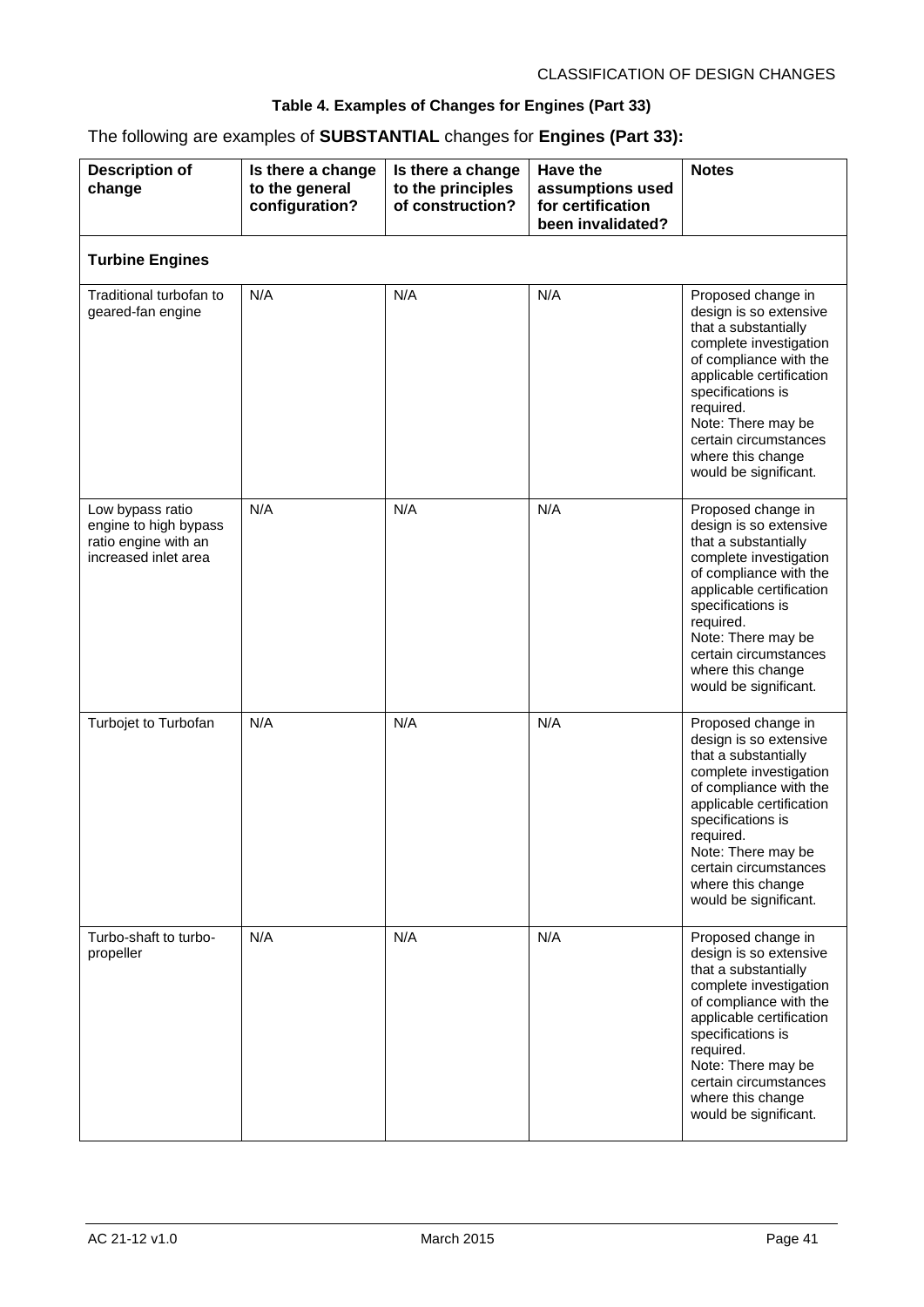#### **Table 4. Examples of Changes for Engines (Part 33)**

### The following are examples of **SUBSTANTIAL** changes for **Engines (Part 33):**

| <b>Description of</b><br>change                                                           | Is there a change<br>to the general<br>configuration? | Is there a change<br>to the principles<br>of construction? | <b>Have the</b><br>assumptions used<br>for certification<br>been invalidated? | <b>Notes</b>                                                                                                                                                                                                                                                                        |
|-------------------------------------------------------------------------------------------|-------------------------------------------------------|------------------------------------------------------------|-------------------------------------------------------------------------------|-------------------------------------------------------------------------------------------------------------------------------------------------------------------------------------------------------------------------------------------------------------------------------------|
| <b>Turbine Engines</b>                                                                    |                                                       |                                                            |                                                                               |                                                                                                                                                                                                                                                                                     |
| Traditional turbofan to<br>geared-fan engine                                              | N/A                                                   | N/A                                                        | N/A                                                                           | Proposed change in<br>design is so extensive<br>that a substantially<br>complete investigation<br>of compliance with the<br>applicable certification<br>specifications is<br>required.<br>Note: There may be<br>certain circumstances<br>where this change<br>would be significant. |
| Low bypass ratio<br>engine to high bypass<br>ratio engine with an<br>increased inlet area | N/A                                                   | N/A                                                        | N/A                                                                           | Proposed change in<br>design is so extensive<br>that a substantially<br>complete investigation<br>of compliance with the<br>applicable certification<br>specifications is<br>required.<br>Note: There may be<br>certain circumstances<br>where this change<br>would be significant. |
| Turbojet to Turbofan                                                                      | N/A                                                   | N/A                                                        | N/A                                                                           | Proposed change in<br>design is so extensive<br>that a substantially<br>complete investigation<br>of compliance with the<br>applicable certification<br>specifications is<br>required.<br>Note: There may be<br>certain circumstances<br>where this change<br>would be significant. |
| Turbo-shaft to turbo-<br>propeller                                                        | N/A                                                   | N/A                                                        | N/A                                                                           | Proposed change in<br>design is so extensive<br>that a substantially<br>complete investigation<br>of compliance with the<br>applicable certification<br>specifications is<br>required.<br>Note: There may be<br>certain circumstances<br>where this change<br>would be significant. |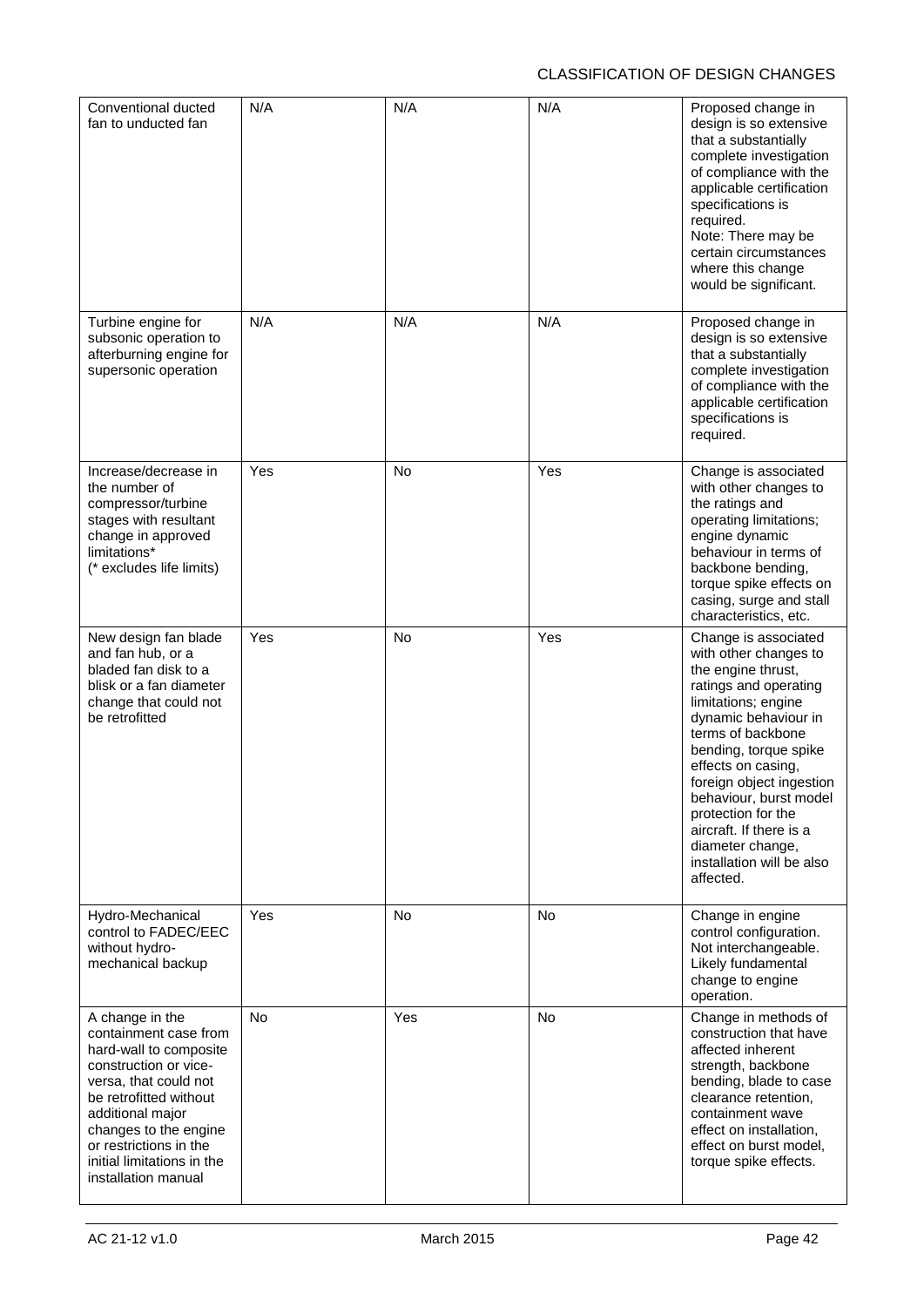| Conventional ducted<br>fan to unducted fan                                                                                                                                                                                                                                 | N/A       | N/A       | N/A       | Proposed change in<br>design is so extensive<br>that a substantially<br>complete investigation<br>of compliance with the<br>applicable certification<br>specifications is<br>required.<br>Note: There may be<br>certain circumstances<br>where this change<br>would be significant.                                                                                                  |
|----------------------------------------------------------------------------------------------------------------------------------------------------------------------------------------------------------------------------------------------------------------------------|-----------|-----------|-----------|--------------------------------------------------------------------------------------------------------------------------------------------------------------------------------------------------------------------------------------------------------------------------------------------------------------------------------------------------------------------------------------|
| Turbine engine for<br>subsonic operation to<br>afterburning engine for<br>supersonic operation                                                                                                                                                                             | N/A       | N/A       | N/A       | Proposed change in<br>design is so extensive<br>that a substantially<br>complete investigation<br>of compliance with the<br>applicable certification<br>specifications is<br>required.                                                                                                                                                                                               |
| Increase/decrease in<br>the number of<br>compressor/turbine<br>stages with resultant<br>change in approved<br>limitations*<br>(* excludes life limits)                                                                                                                     | Yes       | No        | Yes       | Change is associated<br>with other changes to<br>the ratings and<br>operating limitations;<br>engine dynamic<br>behaviour in terms of<br>backbone bending,<br>torque spike effects on<br>casing, surge and stall<br>characteristics, etc.                                                                                                                                            |
| New design fan blade<br>and fan hub, or a<br>bladed fan disk to a<br>blisk or a fan diameter<br>change that could not<br>be retrofitted                                                                                                                                    | Yes       | No        | Yes       | Change is associated<br>with other changes to<br>the engine thrust,<br>ratings and operating<br>limitations; engine<br>dynamic behaviour in<br>terms of backbone<br>bending, torque spike<br>effects on casing,<br>foreign object ingestion<br>behaviour, burst model<br>protection for the<br>aircraft. If there is a<br>diameter change,<br>installation will be also<br>affected. |
| Hydro-Mechanical<br>control to FADEC/EEC<br>without hydro-<br>mechanical backup                                                                                                                                                                                            | Yes       | <b>No</b> | <b>No</b> | Change in engine<br>control configuration.<br>Not interchangeable.<br>Likely fundamental<br>change to engine<br>operation.                                                                                                                                                                                                                                                           |
| A change in the<br>containment case from<br>hard-wall to composite<br>construction or vice-<br>versa, that could not<br>be retrofitted without<br>additional major<br>changes to the engine<br>or restrictions in the<br>initial limitations in the<br>installation manual | <b>No</b> | Yes       | No        | Change in methods of<br>construction that have<br>affected inherent<br>strength, backbone<br>bending, blade to case<br>clearance retention,<br>containment wave<br>effect on installation,<br>effect on burst model,<br>torque spike effects.                                                                                                                                        |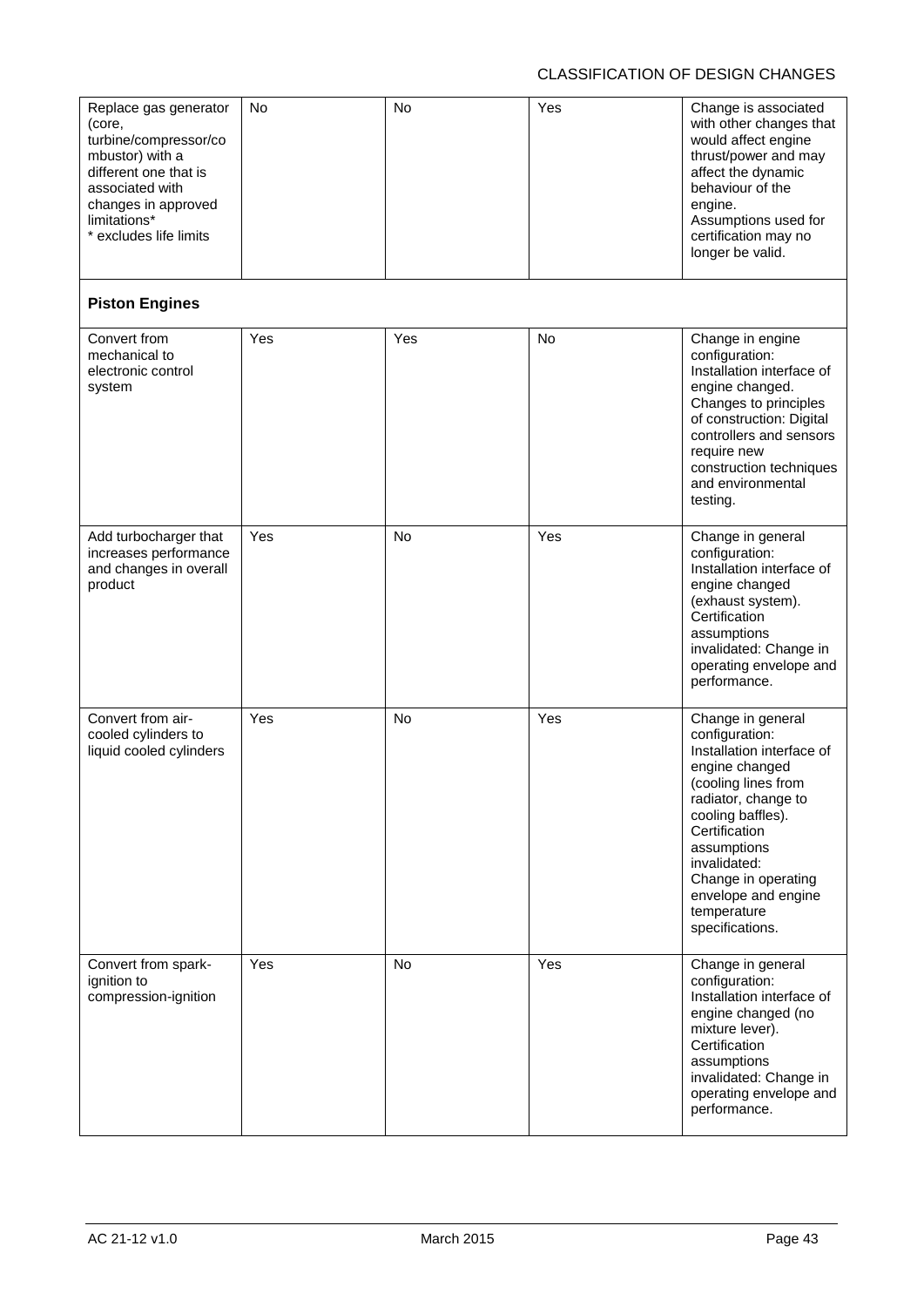| Replace gas generator<br>(core,<br>turbine/compressor/co<br>mbustor) with a<br>different one that is<br>associated with<br>changes in approved<br>limitations*<br>* excludes life limits | No  | No        | Yes       | Change is associated<br>with other changes that<br>would affect engine<br>thrust/power and may<br>affect the dynamic<br>behaviour of the<br>engine.<br>Assumptions used for<br>certification may no<br>longer be valid.                                                               |
|------------------------------------------------------------------------------------------------------------------------------------------------------------------------------------------|-----|-----------|-----------|---------------------------------------------------------------------------------------------------------------------------------------------------------------------------------------------------------------------------------------------------------------------------------------|
| <b>Piston Engines</b>                                                                                                                                                                    |     |           |           |                                                                                                                                                                                                                                                                                       |
| Convert from<br>mechanical to<br>electronic control<br>system                                                                                                                            | Yes | Yes       | <b>No</b> | Change in engine<br>configuration:<br>Installation interface of<br>engine changed.<br>Changes to principles<br>of construction: Digital<br>controllers and sensors<br>require new<br>construction techniques<br>and environmental<br>testing.                                         |
| Add turbocharger that<br>increases performance<br>and changes in overall<br>product                                                                                                      | Yes | No        | Yes       | Change in general<br>configuration:<br>Installation interface of<br>engine changed<br>(exhaust system).<br>Certification<br>assumptions<br>invalidated: Change in<br>operating envelope and<br>performance.                                                                           |
| Convert from air-<br>cooled cylinders to<br>liquid cooled cylinders                                                                                                                      | Yes | <b>No</b> | Yes       | Change in general<br>configuration:<br>Installation interface of<br>engine changed<br>(cooling lines from<br>radiator, change to<br>cooling baffles).<br>Certification<br>assumptions<br>invalidated:<br>Change in operating<br>envelope and engine<br>temperature<br>specifications. |
| Convert from spark-<br>ignition to<br>compression-ignition                                                                                                                               | Yes | <b>No</b> | Yes       | Change in general<br>configuration:<br>Installation interface of<br>engine changed (no<br>mixture lever).<br>Certification<br>assumptions<br>invalidated: Change in<br>operating envelope and<br>performance.                                                                         |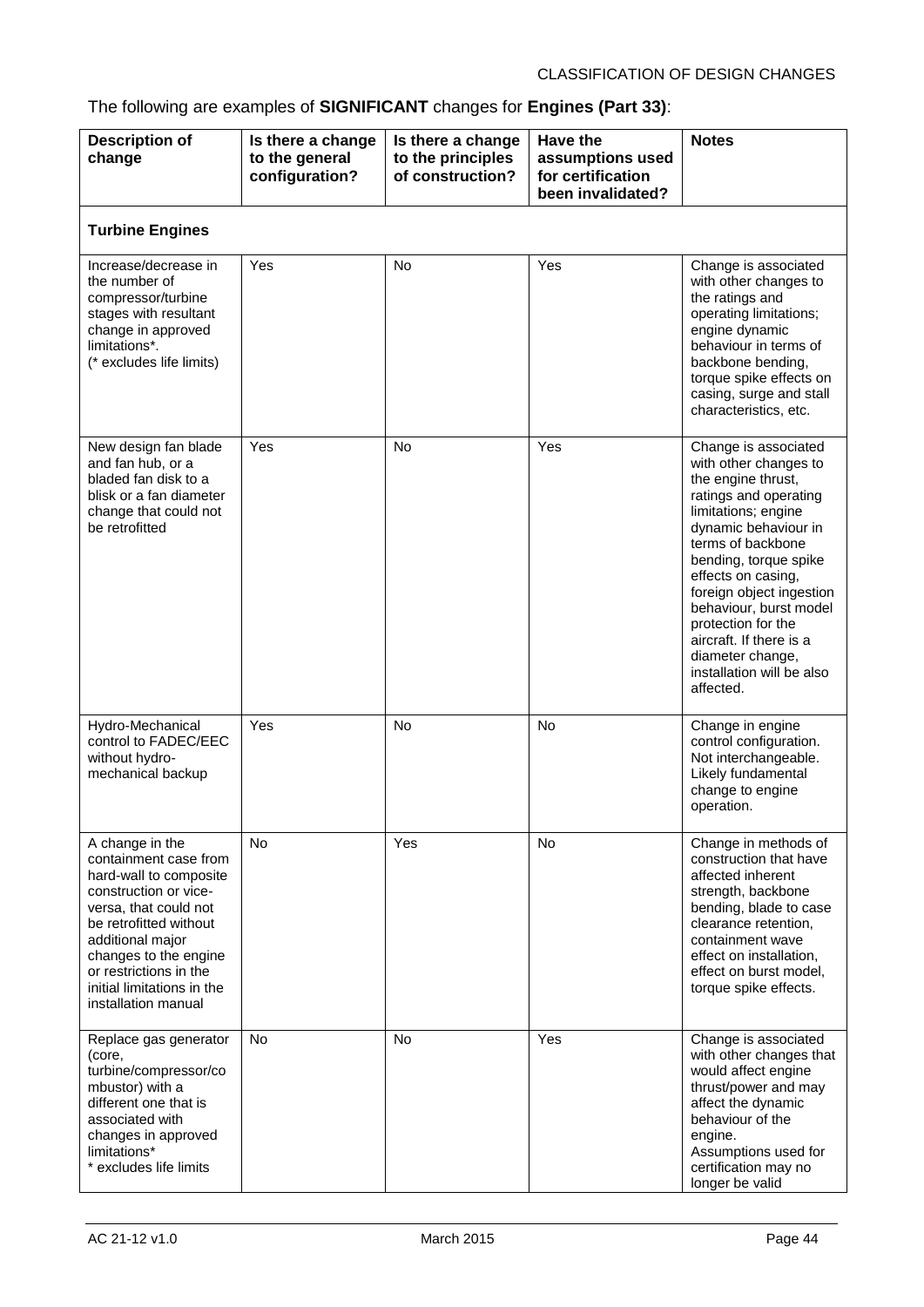## The following are examples of **SIGNIFICANT** changes for **Engines (Part 33)**:

| <b>Description of</b><br>change                                                                                                                                                                                                                                            | Is there a change<br>to the general<br>configuration? | Is there a change<br>to the principles<br>of construction? | Have the<br>assumptions used<br>for certification<br>been invalidated? | <b>Notes</b>                                                                                                                                                                                                                                                                                                                                                                         |  |  |  |
|----------------------------------------------------------------------------------------------------------------------------------------------------------------------------------------------------------------------------------------------------------------------------|-------------------------------------------------------|------------------------------------------------------------|------------------------------------------------------------------------|--------------------------------------------------------------------------------------------------------------------------------------------------------------------------------------------------------------------------------------------------------------------------------------------------------------------------------------------------------------------------------------|--|--|--|
| <b>Turbine Engines</b>                                                                                                                                                                                                                                                     |                                                       |                                                            |                                                                        |                                                                                                                                                                                                                                                                                                                                                                                      |  |  |  |
| Increase/decrease in<br>the number of<br>compressor/turbine<br>stages with resultant<br>change in approved<br>limitations*.<br>(* excludes life limits)                                                                                                                    | Yes                                                   | <b>No</b>                                                  | Yes                                                                    | Change is associated<br>with other changes to<br>the ratings and<br>operating limitations;<br>engine dynamic<br>behaviour in terms of<br>backbone bending,<br>torque spike effects on<br>casing, surge and stall<br>characteristics, etc.                                                                                                                                            |  |  |  |
| New design fan blade<br>and fan hub, or a<br>bladed fan disk to a<br>blisk or a fan diameter<br>change that could not<br>be retrofitted                                                                                                                                    | Yes                                                   | <b>No</b>                                                  | Yes                                                                    | Change is associated<br>with other changes to<br>the engine thrust,<br>ratings and operating<br>limitations; engine<br>dynamic behaviour in<br>terms of backbone<br>bending, torque spike<br>effects on casing,<br>foreign object ingestion<br>behaviour, burst model<br>protection for the<br>aircraft. If there is a<br>diameter change,<br>installation will be also<br>affected. |  |  |  |
| Hydro-Mechanical<br>control to FADEC/EEC<br>without hydro-<br>mechanical backup                                                                                                                                                                                            | Yes                                                   | No                                                         | <b>No</b>                                                              | Change in engine<br>control configuration.<br>Not interchangeable.<br>Likely fundamental<br>change to engine<br>operation.                                                                                                                                                                                                                                                           |  |  |  |
| A change in the<br>containment case from<br>hard-wall to composite<br>construction or vice-<br>versa, that could not<br>be retrofitted without<br>additional major<br>changes to the engine<br>or restrictions in the<br>initial limitations in the<br>installation manual | <b>No</b>                                             | Yes                                                        | No                                                                     | Change in methods of<br>construction that have<br>affected inherent<br>strength, backbone<br>bending, blade to case<br>clearance retention,<br>containment wave<br>effect on installation,<br>effect on burst model,<br>torque spike effects.                                                                                                                                        |  |  |  |
| Replace gas generator<br>(core,<br>turbine/compressor/co<br>mbustor) with a<br>different one that is<br>associated with<br>changes in approved<br>limitations*<br>* excludes life limits                                                                                   | No                                                    | <b>No</b>                                                  | Yes                                                                    | Change is associated<br>with other changes that<br>would affect engine<br>thrust/power and may<br>affect the dynamic<br>behaviour of the<br>engine.<br>Assumptions used for<br>certification may no<br>longer be valid                                                                                                                                                               |  |  |  |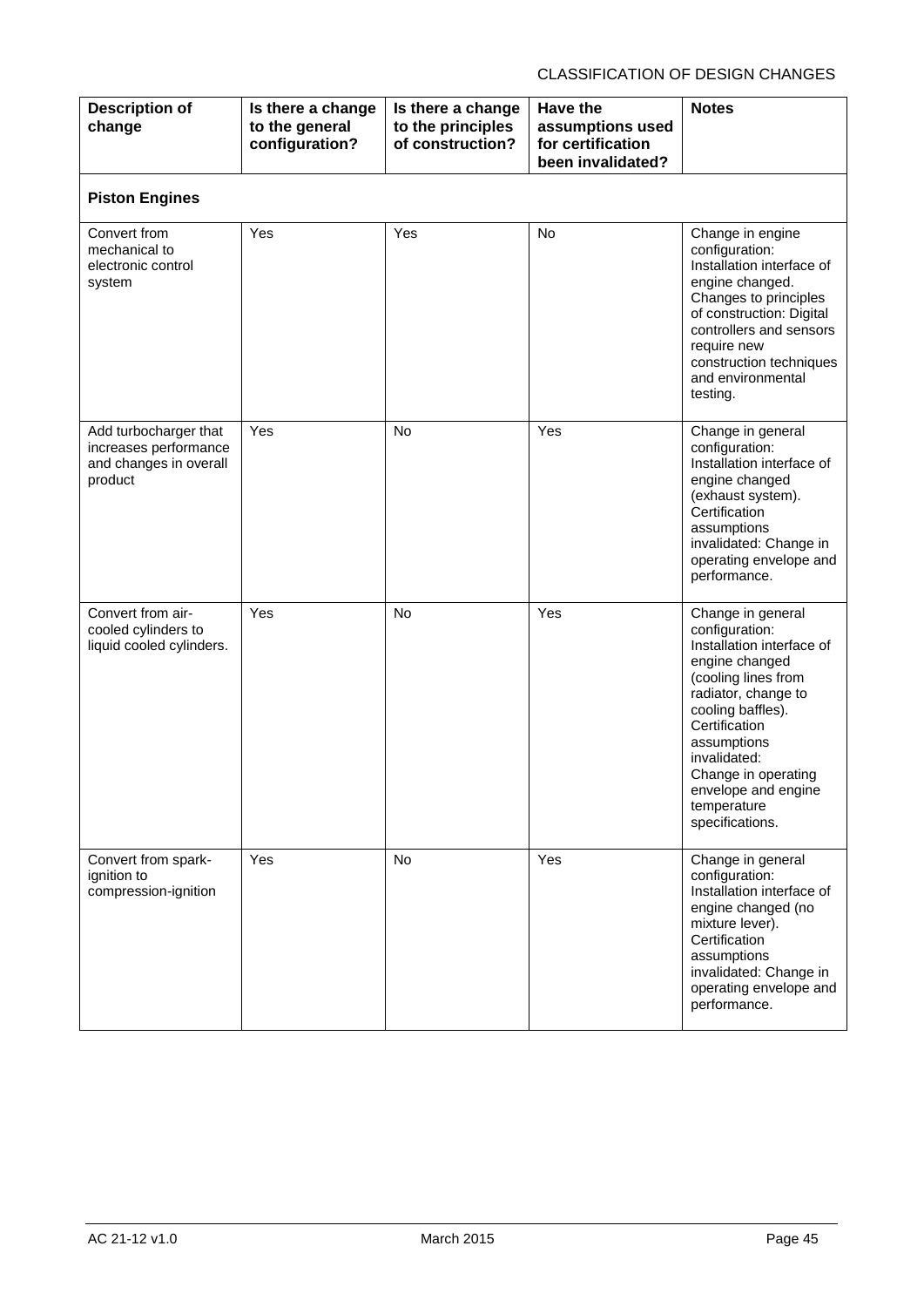| <b>Description of</b><br>change                                                     | Is there a change<br>to the general<br>configuration? | Is there a change<br>to the principles<br>of construction? | <b>Have the</b><br>assumptions used<br>for certification<br>been invalidated? | <b>Notes</b>                                                                                                                                                                                                                                                                          |
|-------------------------------------------------------------------------------------|-------------------------------------------------------|------------------------------------------------------------|-------------------------------------------------------------------------------|---------------------------------------------------------------------------------------------------------------------------------------------------------------------------------------------------------------------------------------------------------------------------------------|
| <b>Piston Engines</b>                                                               |                                                       |                                                            |                                                                               |                                                                                                                                                                                                                                                                                       |
| Convert from<br>mechanical to<br>electronic control<br>system                       | Yes                                                   | Yes                                                        | No                                                                            | Change in engine<br>configuration:<br>Installation interface of<br>engine changed.<br>Changes to principles<br>of construction: Digital<br>controllers and sensors<br>require new<br>construction techniques<br>and environmental<br>testing.                                         |
| Add turbocharger that<br>increases performance<br>and changes in overall<br>product | Yes                                                   | <b>No</b>                                                  | Yes                                                                           | Change in general<br>configuration:<br>Installation interface of<br>engine changed<br>(exhaust system).<br>Certification<br>assumptions<br>invalidated: Change in<br>operating envelope and<br>performance.                                                                           |
| Convert from air-<br>cooled cylinders to<br>liquid cooled cylinders.                | Yes                                                   | <b>No</b>                                                  | Yes                                                                           | Change in general<br>configuration:<br>Installation interface of<br>engine changed<br>(cooling lines from<br>radiator, change to<br>cooling baffles).<br>Certification<br>assumptions<br>invalidated:<br>Change in operating<br>envelope and engine<br>temperature<br>specifications. |
| Convert from spark-<br>ignition to<br>compression-ignition                          | <b>Yes</b>                                            | <b>No</b>                                                  | Yes                                                                           | Change in general<br>configuration:<br>Installation interface of<br>engine changed (no<br>mixture lever).<br>Certification<br>assumptions<br>invalidated: Change in<br>operating envelope and<br>performance.                                                                         |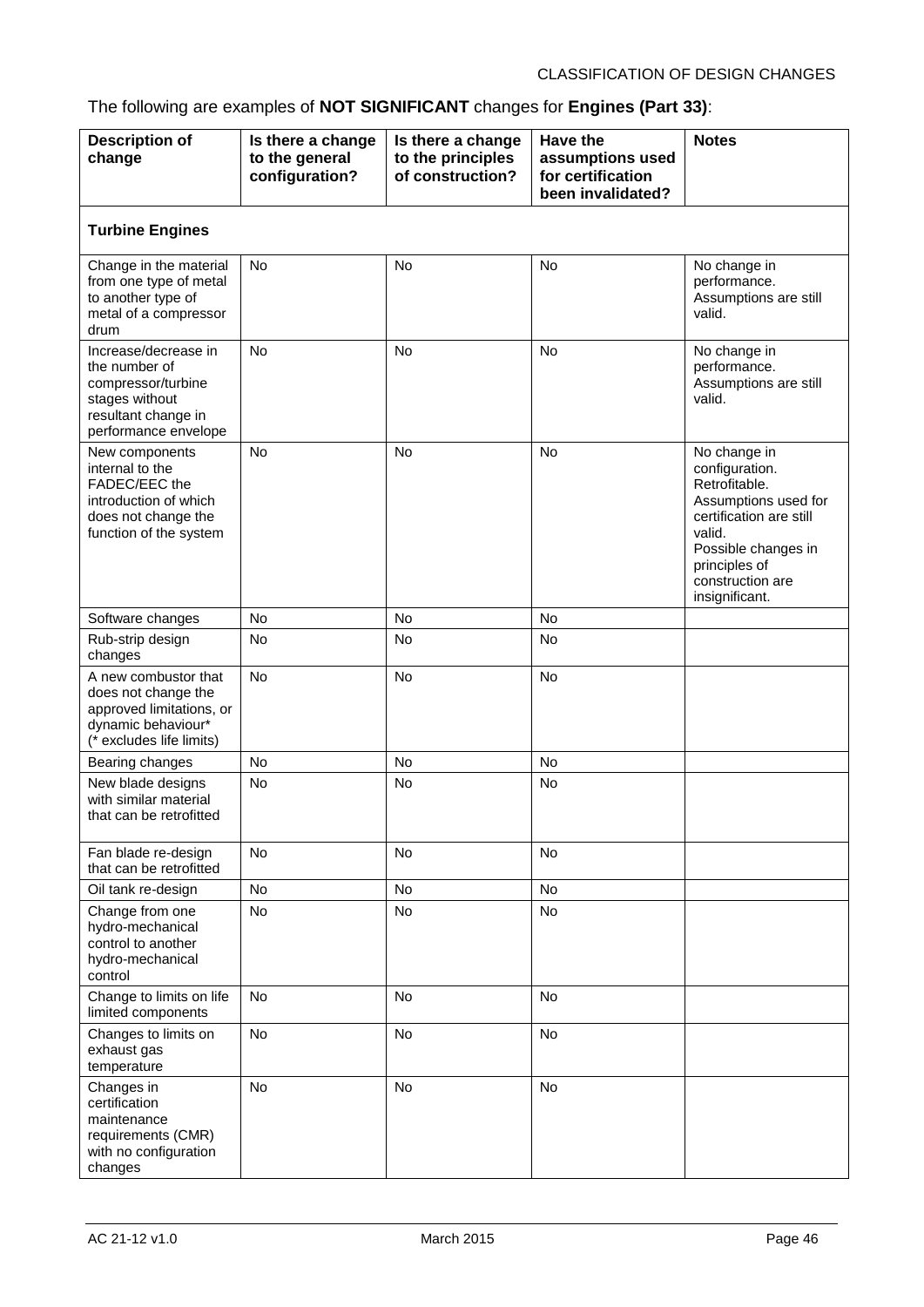## The following are examples of **NOT SIGNIFICANT** changes for **Engines (Part 33)**:

| <b>Description of</b><br>change                                                                                              | Is there a change<br>to the general<br>configuration? | Is there a change<br>to the principles<br>of construction? | Have the<br>assumptions used<br>for certification<br>been invalidated? | <b>Notes</b>                                                                                                                                                                               |  |  |  |
|------------------------------------------------------------------------------------------------------------------------------|-------------------------------------------------------|------------------------------------------------------------|------------------------------------------------------------------------|--------------------------------------------------------------------------------------------------------------------------------------------------------------------------------------------|--|--|--|
| <b>Turbine Engines</b>                                                                                                       |                                                       |                                                            |                                                                        |                                                                                                                                                                                            |  |  |  |
| Change in the material<br>from one type of metal<br>to another type of<br>metal of a compressor<br>drum                      | <b>No</b>                                             | <b>No</b>                                                  | <b>No</b>                                                              | No change in<br>performance.<br>Assumptions are still<br>valid.                                                                                                                            |  |  |  |
| Increase/decrease in<br>the number of<br>compressor/turbine<br>stages without<br>resultant change in<br>performance envelope | <b>No</b>                                             | <b>No</b>                                                  | <b>No</b>                                                              | No change in<br>performance.<br>Assumptions are still<br>valid.                                                                                                                            |  |  |  |
| New components<br>internal to the<br>FADEC/EEC the<br>introduction of which<br>does not change the<br>function of the system | <b>No</b>                                             | <b>No</b>                                                  | <b>No</b>                                                              | No change in<br>configuration.<br>Retrofitable.<br>Assumptions used for<br>certification are still<br>valid.<br>Possible changes in<br>principles of<br>construction are<br>insignificant. |  |  |  |
| Software changes                                                                                                             | <b>No</b>                                             | <b>No</b>                                                  | <b>No</b>                                                              |                                                                                                                                                                                            |  |  |  |
| Rub-strip design<br>changes                                                                                                  | No                                                    | No                                                         | No                                                                     |                                                                                                                                                                                            |  |  |  |
| A new combustor that<br>does not change the<br>approved limitations, or<br>dynamic behaviour*<br>(* excludes life limits)    | <b>No</b>                                             | No                                                         | No                                                                     |                                                                                                                                                                                            |  |  |  |
| Bearing changes                                                                                                              | No                                                    | <b>No</b>                                                  | <b>No</b>                                                              |                                                                                                                                                                                            |  |  |  |
| New blade designs<br>with similar material<br>that can be retrofitted                                                        | No                                                    | No                                                         | No                                                                     |                                                                                                                                                                                            |  |  |  |
| Fan blade re-design<br>that can be retrofitted                                                                               | No                                                    | No                                                         | No                                                                     |                                                                                                                                                                                            |  |  |  |
| Oil tank re-design                                                                                                           | No                                                    | No                                                         | No                                                                     |                                                                                                                                                                                            |  |  |  |
| Change from one<br>hydro-mechanical<br>control to another<br>hydro-mechanical<br>control                                     | No                                                    | No                                                         | No                                                                     |                                                                                                                                                                                            |  |  |  |
| Change to limits on life<br>limited components                                                                               | <b>No</b>                                             | <b>No</b>                                                  | <b>No</b>                                                              |                                                                                                                                                                                            |  |  |  |
| Changes to limits on<br>exhaust gas<br>temperature                                                                           | <b>No</b>                                             | No                                                         | No                                                                     |                                                                                                                                                                                            |  |  |  |
| Changes in<br>certification<br>maintenance<br>requirements (CMR)<br>with no configuration<br>changes                         | <b>No</b>                                             | No                                                         | No                                                                     |                                                                                                                                                                                            |  |  |  |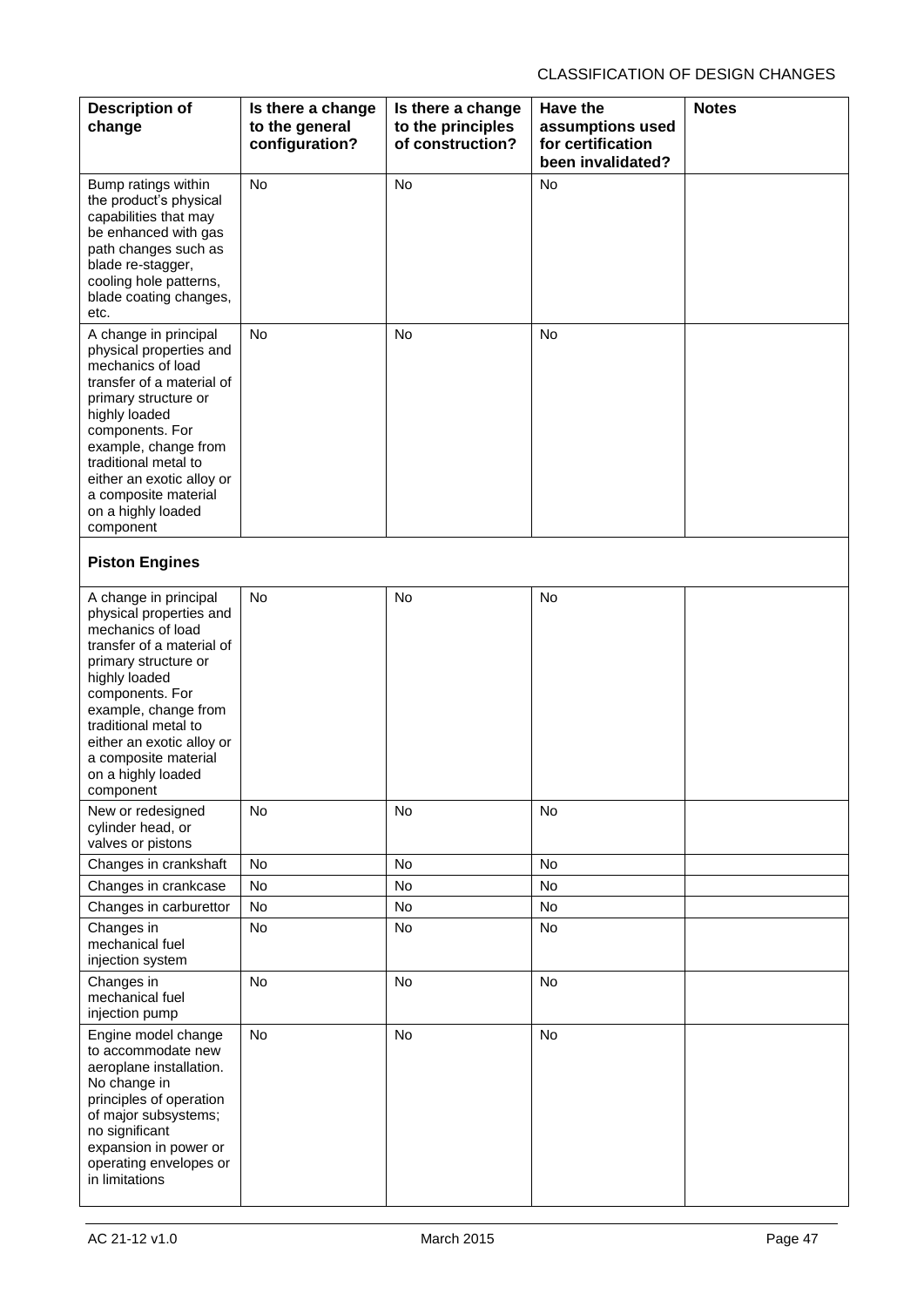| <b>Description of</b><br>change                                                                                                                                                                                                                                                                        | Is there a change<br>to the general<br>configuration? | Is there a change<br>to the principles<br>of construction? | Have the<br>assumptions used<br>for certification<br>been invalidated? | <b>Notes</b> |
|--------------------------------------------------------------------------------------------------------------------------------------------------------------------------------------------------------------------------------------------------------------------------------------------------------|-------------------------------------------------------|------------------------------------------------------------|------------------------------------------------------------------------|--------------|
| Bump ratings within<br>the product's physical<br>capabilities that may<br>be enhanced with gas<br>path changes such as<br>blade re-stagger,<br>cooling hole patterns,<br>blade coating changes,<br>etc.                                                                                                | <b>No</b>                                             | <b>No</b>                                                  | <b>No</b>                                                              |              |
| A change in principal<br>physical properties and<br>mechanics of load<br>transfer of a material of<br>primary structure or<br>highly loaded<br>components. For<br>example, change from<br>traditional metal to<br>either an exotic alloy or<br>a composite material<br>on a highly loaded<br>component | <b>No</b>                                             | No                                                         | No                                                                     |              |
| <b>Piston Engines</b>                                                                                                                                                                                                                                                                                  |                                                       |                                                            |                                                                        |              |
| A change in principal<br>physical properties and<br>mechanics of load<br>transfer of a material of<br>primary structure or<br>highly loaded<br>components. For<br>example, change from<br>traditional metal to<br>either an exotic alloy or<br>a composite material<br>on a highly loaded<br>component | No                                                    | No                                                         | No                                                                     |              |
| New or redesigned<br>cylinder head, or<br>valves or pistons                                                                                                                                                                                                                                            | No                                                    | No                                                         | No                                                                     |              |
| Changes in crankshaft                                                                                                                                                                                                                                                                                  | No                                                    | No                                                         | No                                                                     |              |
| Changes in crankcase                                                                                                                                                                                                                                                                                   | No                                                    | No                                                         | No                                                                     |              |
| Changes in carburettor                                                                                                                                                                                                                                                                                 | No                                                    | No                                                         | No                                                                     |              |
| Changes in<br>mechanical fuel<br>injection system                                                                                                                                                                                                                                                      | No                                                    | No                                                         | No                                                                     |              |
| Changes in<br>mechanical fuel<br>injection pump                                                                                                                                                                                                                                                        | No                                                    | No                                                         | No                                                                     |              |
| Engine model change<br>to accommodate new<br>aeroplane installation.<br>No change in<br>principles of operation<br>of major subsystems;<br>no significant<br>expansion in power or<br>operating envelopes or<br>in limitations                                                                         | No                                                    | No                                                         | No                                                                     |              |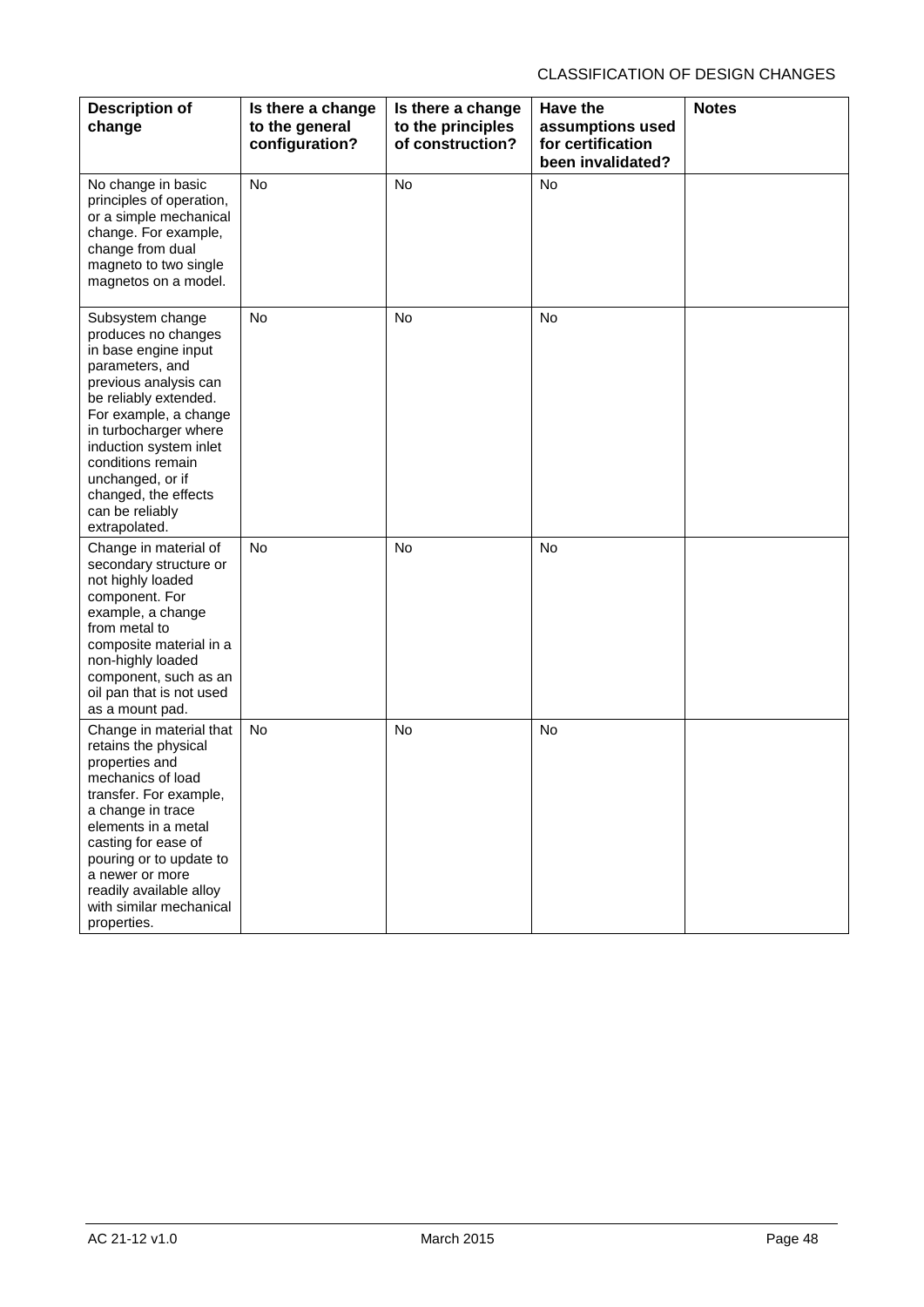| <b>Description of</b><br>change                                                                                                                                                                                                                                                                                       | Is there a change<br>to the general<br>configuration? | Is there a change<br>to the principles<br>of construction? | <b>Have the</b><br>assumptions used<br>for certification<br>been invalidated? | <b>Notes</b> |
|-----------------------------------------------------------------------------------------------------------------------------------------------------------------------------------------------------------------------------------------------------------------------------------------------------------------------|-------------------------------------------------------|------------------------------------------------------------|-------------------------------------------------------------------------------|--------------|
| No change in basic<br>principles of operation,<br>or a simple mechanical<br>change. For example,<br>change from dual<br>magneto to two single<br>magnetos on a model.                                                                                                                                                 | <b>No</b>                                             | No                                                         | No                                                                            |              |
| Subsystem change<br>produces no changes<br>in base engine input<br>parameters, and<br>previous analysis can<br>be reliably extended.<br>For example, a change<br>in turbocharger where<br>induction system inlet<br>conditions remain<br>unchanged, or if<br>changed, the effects<br>can be reliably<br>extrapolated. | <b>No</b>                                             | <b>No</b>                                                  | <b>No</b>                                                                     |              |
| Change in material of<br>secondary structure or<br>not highly loaded<br>component. For<br>example, a change<br>from metal to<br>composite material in a<br>non-highly loaded<br>component, such as an<br>oil pan that is not used<br>as a mount pad.                                                                  | <b>No</b>                                             | No                                                         | <b>No</b>                                                                     |              |
| Change in material that<br>retains the physical<br>properties and<br>mechanics of load<br>transfer. For example,<br>a change in trace<br>elements in a metal<br>casting for ease of<br>pouring or to update to<br>a newer or more<br>readily available alloy<br>with similar mechanical<br>properties.                | <b>No</b>                                             | <b>No</b>                                                  | No                                                                            |              |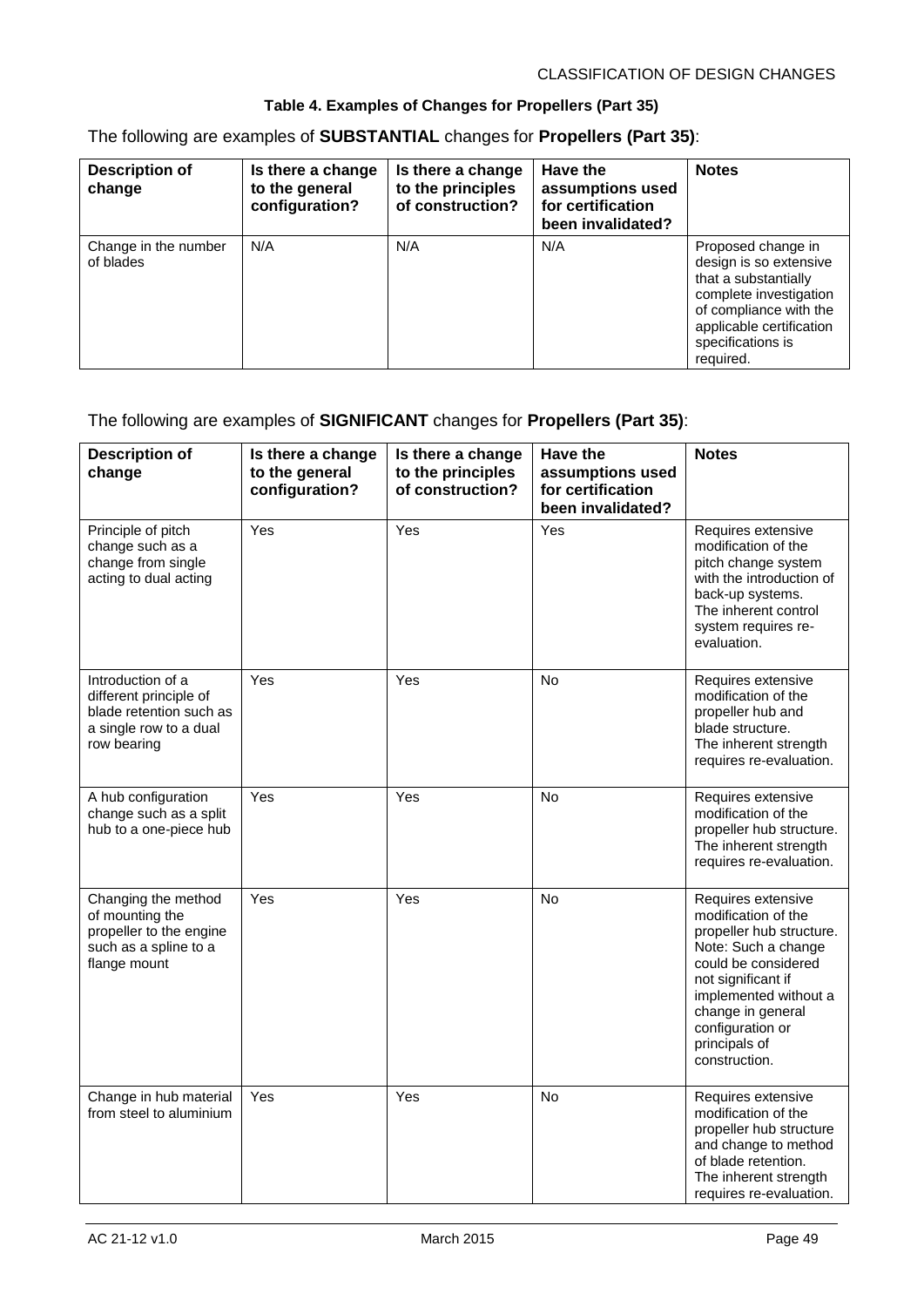#### **Table 4. Examples of Changes for Propellers (Part 35)**

The following are examples of **SUBSTANTIAL** changes for **Propellers (Part 35)**:

| <b>Description of</b><br>change   | Is there a change<br>to the general<br>configuration? | Is there a change<br>to the principles<br>of construction? | Have the<br>assumptions used<br>for certification<br>been invalidated? | <b>Notes</b>                                                                                                                                                                           |
|-----------------------------------|-------------------------------------------------------|------------------------------------------------------------|------------------------------------------------------------------------|----------------------------------------------------------------------------------------------------------------------------------------------------------------------------------------|
| Change in the number<br>of blades | N/A                                                   | N/A                                                        | N/A                                                                    | Proposed change in<br>design is so extensive<br>that a substantially<br>complete investigation<br>of compliance with the<br>applicable certification<br>specifications is<br>required. |

#### The following are examples of **SIGNIFICANT** changes for **Propellers (Part 35)**:

| <b>Description of</b><br>change                                                                                 | Is there a change<br>to the general<br>configuration? | Is there a change<br>to the principles<br>of construction? | <b>Have the</b><br>assumptions used<br>for certification<br>been invalidated? | <b>Notes</b>                                                                                                                                                                                                                                  |
|-----------------------------------------------------------------------------------------------------------------|-------------------------------------------------------|------------------------------------------------------------|-------------------------------------------------------------------------------|-----------------------------------------------------------------------------------------------------------------------------------------------------------------------------------------------------------------------------------------------|
| Principle of pitch<br>change such as a<br>change from single<br>acting to dual acting                           | Yes                                                   | Yes                                                        | Yes                                                                           | Requires extensive<br>modification of the<br>pitch change system<br>with the introduction of<br>back-up systems.<br>The inherent control<br>system requires re-<br>evaluation.                                                                |
| Introduction of a<br>different principle of<br>blade retention such as<br>a single row to a dual<br>row bearing | Yes                                                   | Yes                                                        | <b>No</b>                                                                     | Requires extensive<br>modification of the<br>propeller hub and<br>blade structure.<br>The inherent strength<br>requires re-evaluation.                                                                                                        |
| A hub configuration<br>change such as a split<br>hub to a one-piece hub                                         | Yes                                                   | Yes                                                        | <b>No</b>                                                                     | Requires extensive<br>modification of the<br>propeller hub structure.<br>The inherent strength<br>requires re-evaluation.                                                                                                                     |
| Changing the method<br>of mounting the<br>propeller to the engine<br>such as a spline to a<br>flange mount      | Yes                                                   | Yes                                                        | <b>No</b>                                                                     | Requires extensive<br>modification of the<br>propeller hub structure.<br>Note: Such a change<br>could be considered<br>not significant if<br>implemented without a<br>change in general<br>configuration or<br>principals of<br>construction. |
| Change in hub material<br>from steel to aluminium                                                               | Yes                                                   | Yes                                                        | No                                                                            | Requires extensive<br>modification of the<br>propeller hub structure<br>and change to method<br>of blade retention.<br>The inherent strength<br>requires re-evaluation.                                                                       |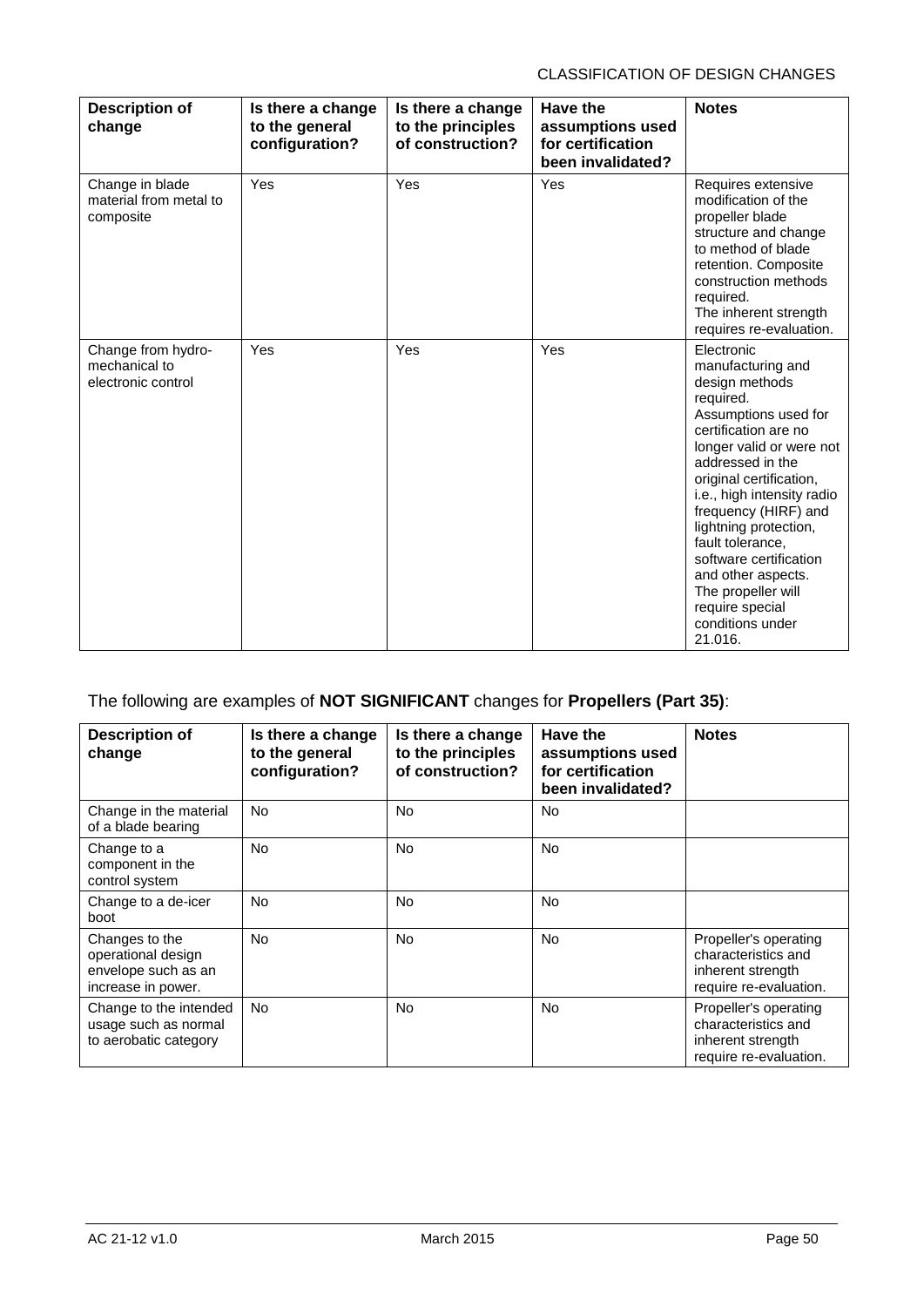| <b>Description of</b><br>change                           | Is there a change<br>to the general<br>configuration? | Is there a change<br>to the principles<br>of construction? | Have the<br>assumptions used<br>for certification<br>been invalidated? | <b>Notes</b>                                                                                                                                                                                                                                                                                                                                                                                                         |
|-----------------------------------------------------------|-------------------------------------------------------|------------------------------------------------------------|------------------------------------------------------------------------|----------------------------------------------------------------------------------------------------------------------------------------------------------------------------------------------------------------------------------------------------------------------------------------------------------------------------------------------------------------------------------------------------------------------|
| Change in blade<br>material from metal to<br>composite    | Yes                                                   | Yes                                                        | Yes                                                                    | Requires extensive<br>modification of the<br>propeller blade<br>structure and change<br>to method of blade<br>retention. Composite<br>construction methods<br>required.<br>The inherent strength<br>requires re-evaluation.                                                                                                                                                                                          |
| Change from hydro-<br>mechanical to<br>electronic control | Yes                                                   | Yes                                                        | Yes                                                                    | Electronic<br>manufacturing and<br>design methods<br>required.<br>Assumptions used for<br>certification are no<br>longer valid or were not<br>addressed in the<br>original certification,<br>i.e., high intensity radio<br>frequency (HIRF) and<br>lightning protection,<br>fault tolerance,<br>software certification<br>and other aspects.<br>The propeller will<br>require special<br>conditions under<br>21.016. |

### The following are examples of **NOT SIGNIFICANT** changes for **Propellers (Part 35)**:

| <b>Description of</b><br>change                                                   | Is there a change<br>to the general<br>configuration? | Is there a change<br>to the principles<br>of construction? | Have the<br>assumptions used<br>for certification<br>been invalidated? | <b>Notes</b>                                                                                |
|-----------------------------------------------------------------------------------|-------------------------------------------------------|------------------------------------------------------------|------------------------------------------------------------------------|---------------------------------------------------------------------------------------------|
| Change in the material<br>of a blade bearing                                      | No.                                                   | <b>No</b>                                                  | <b>No</b>                                                              |                                                                                             |
| Change to a<br>component in the<br>control system                                 | No.                                                   | <b>No</b>                                                  | <b>No</b>                                                              |                                                                                             |
| Change to a de-icer<br>boot                                                       | <b>No</b>                                             | No.                                                        | <b>No</b>                                                              |                                                                                             |
| Changes to the<br>operational design<br>envelope such as an<br>increase in power. | <b>No</b>                                             | <b>No</b>                                                  | <b>No</b>                                                              | Propeller's operating<br>characteristics and<br>inherent strength<br>require re-evaluation. |
| Change to the intended<br>usage such as normal<br>to aerobatic category           | N <sub>o</sub>                                        | No.                                                        | <b>No</b>                                                              | Propeller's operating<br>characteristics and<br>inherent strength<br>require re-evaluation. |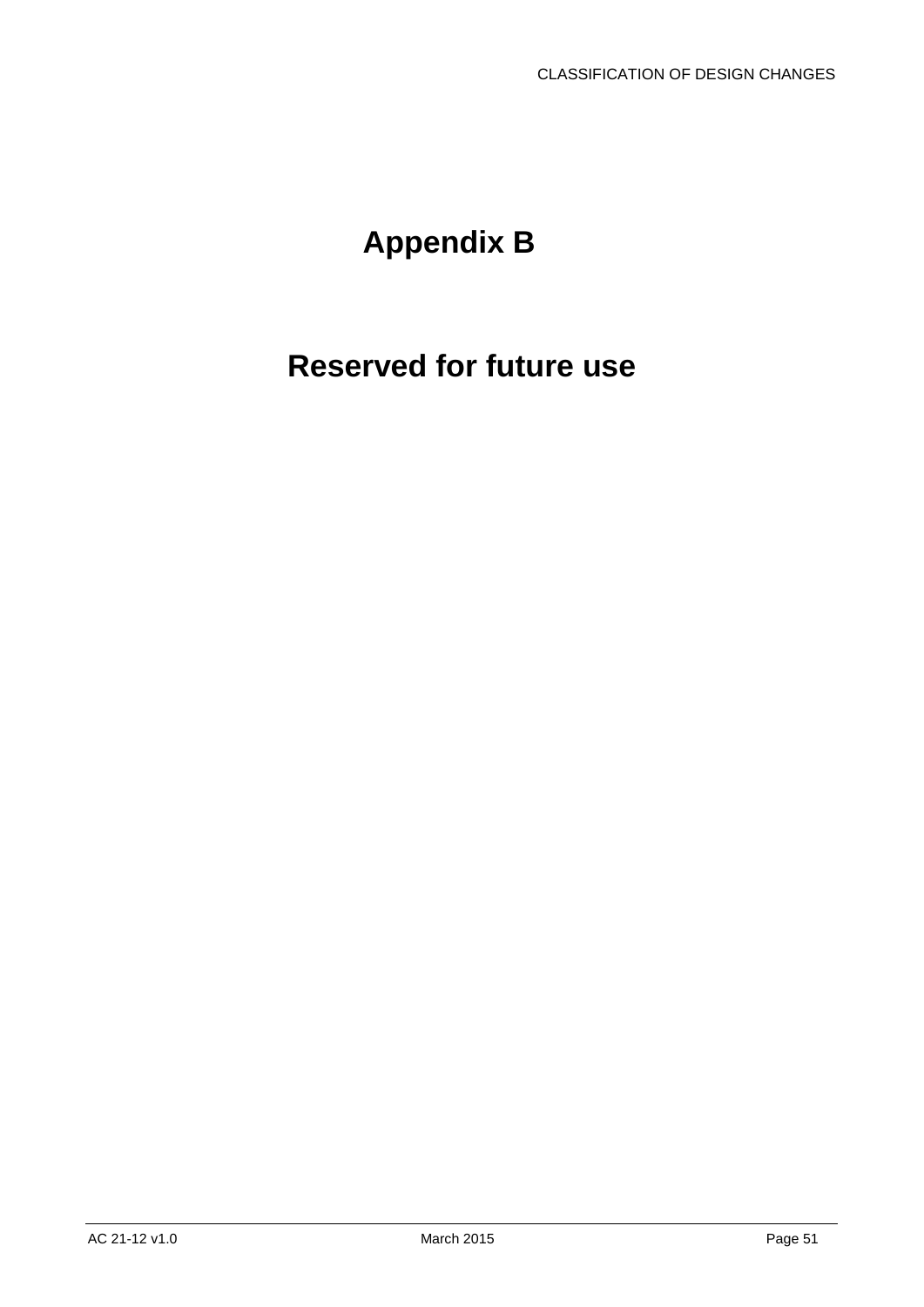# <span id="page-51-0"></span>**Appendix B**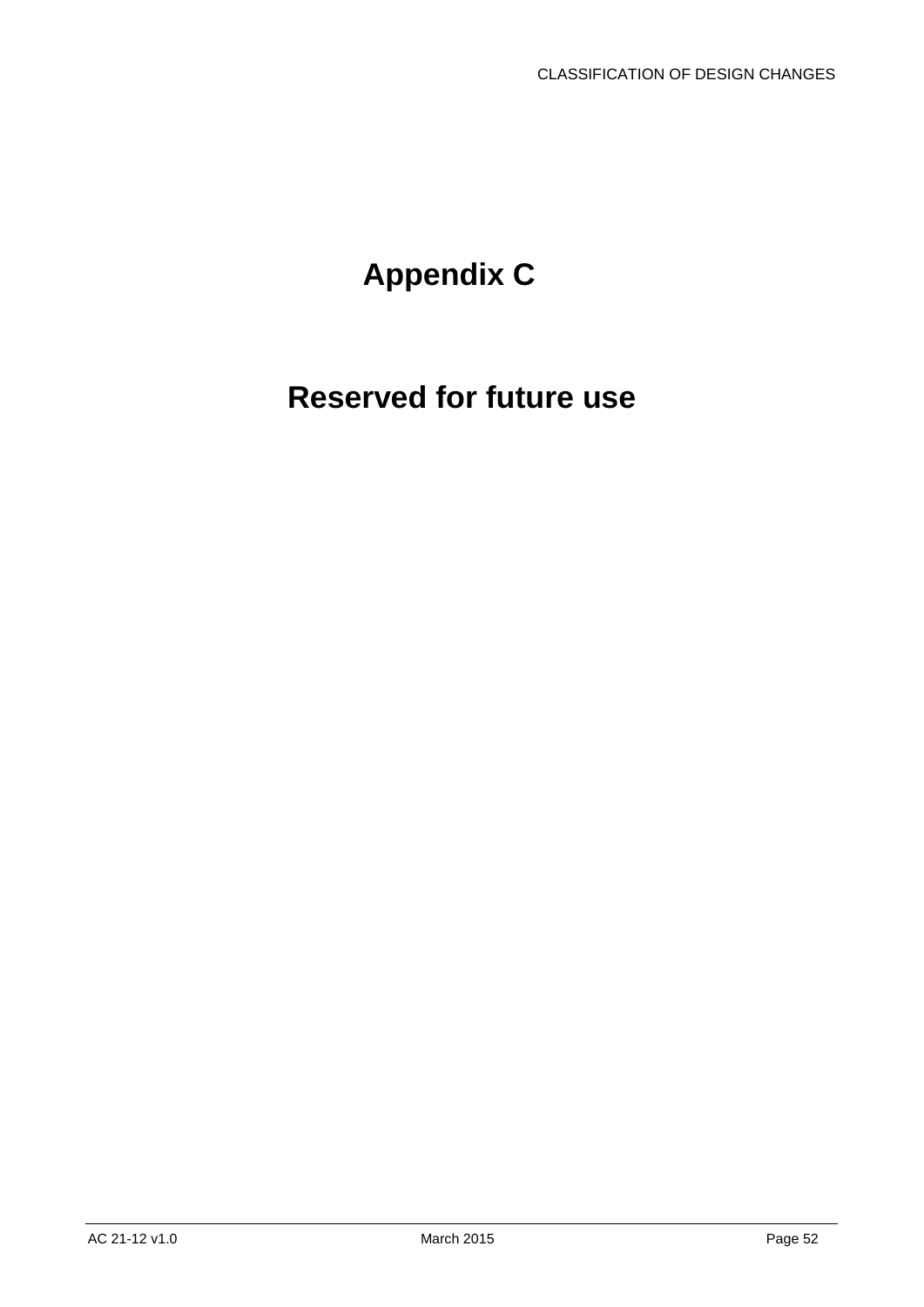# <span id="page-52-0"></span>**Appendix C**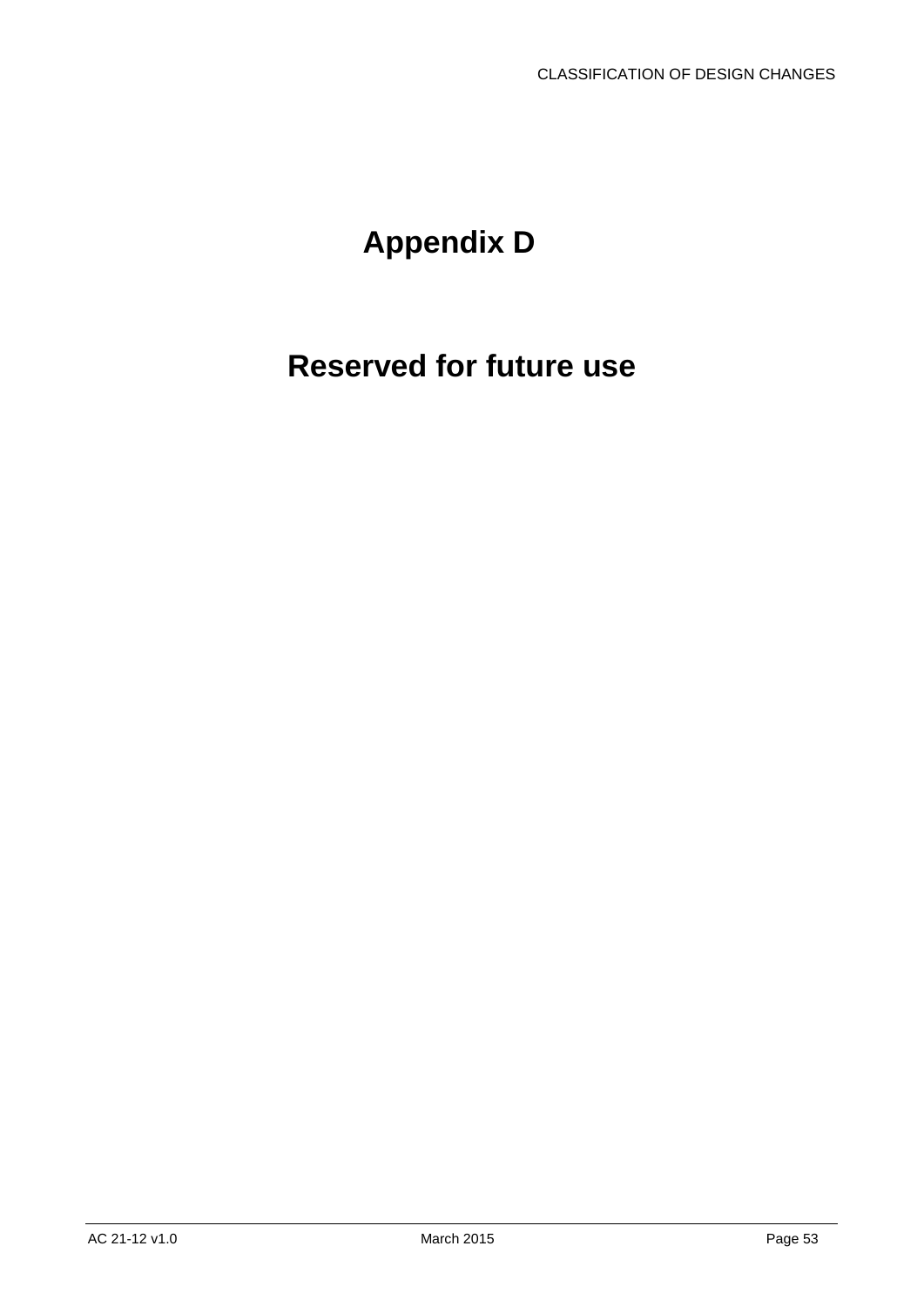# <span id="page-53-0"></span>**Appendix D**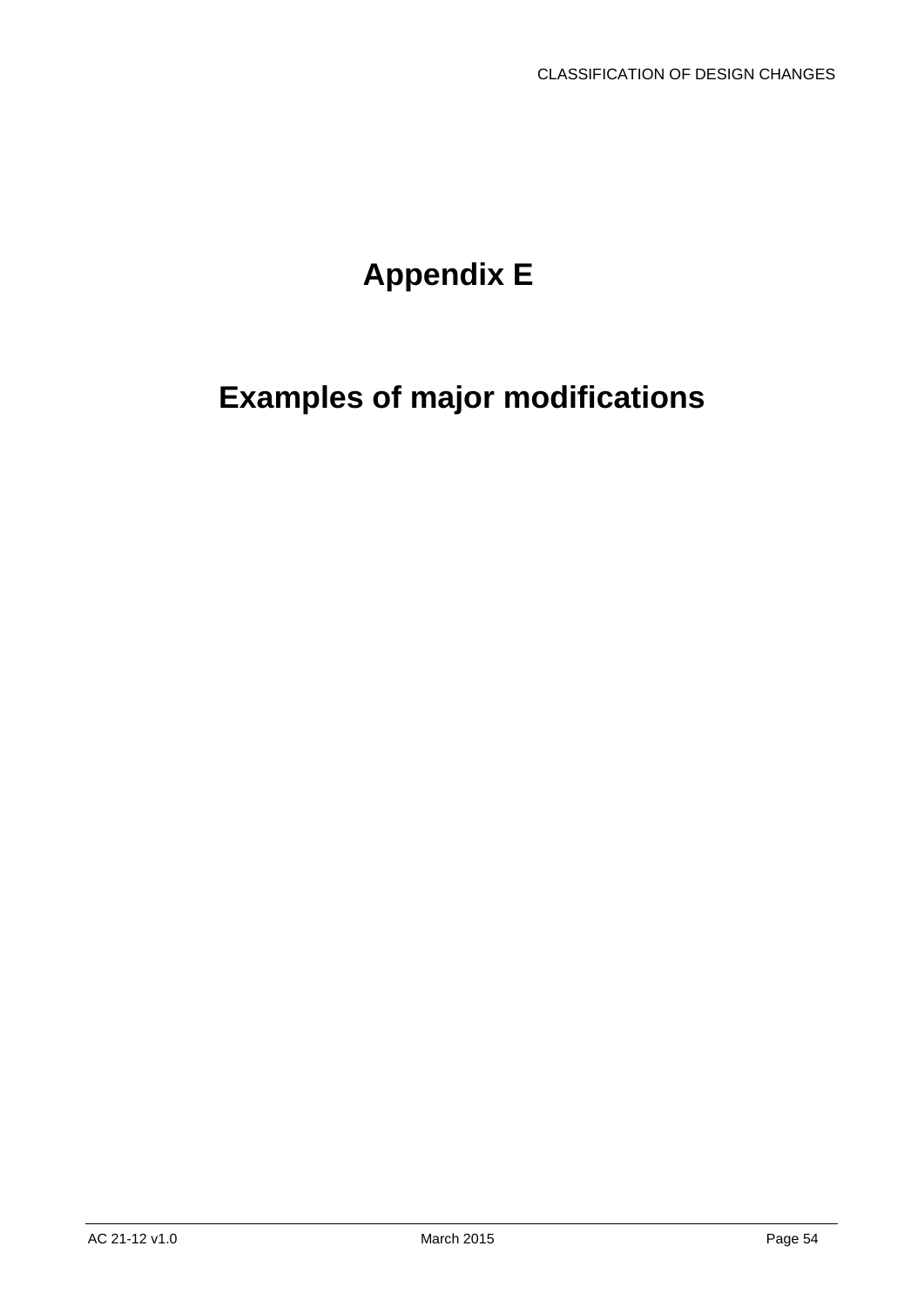# **Appendix E**

# <span id="page-54-0"></span>**Examples of major modifications**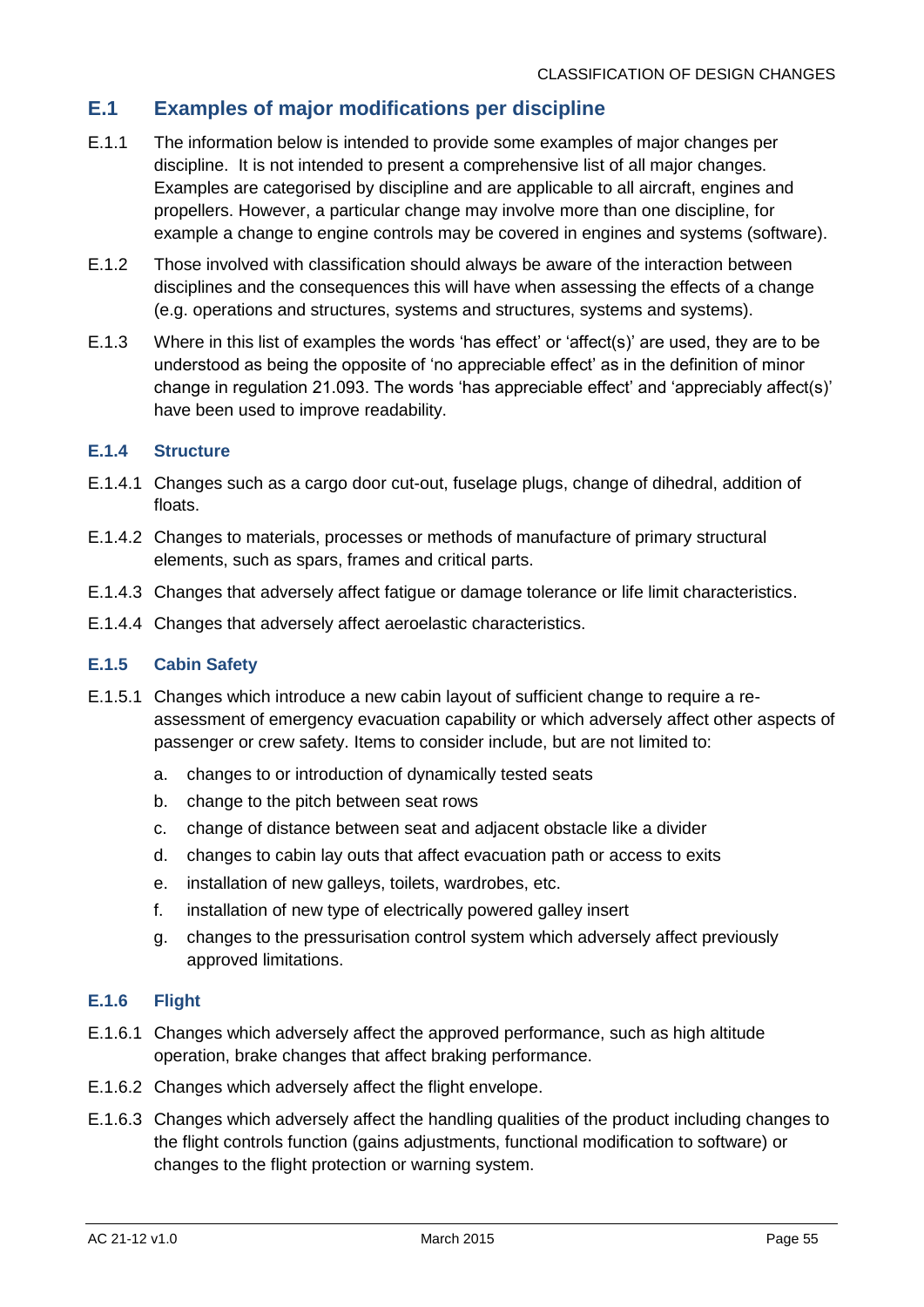### **E.1 Examples of major modifications per discipline**

- E.1.1 The information below is intended to provide some examples of major changes per discipline. It is not intended to present a comprehensive list of all major changes. Examples are categorised by discipline and are applicable to all aircraft, engines and propellers. However, a particular change may involve more than one discipline, for example a change to engine controls may be covered in engines and systems (software).
- E.1.2 Those involved with classification should always be aware of the interaction between disciplines and the consequences this will have when assessing the effects of a change (e.g. operations and structures, systems and structures, systems and systems).
- E.1.3 Where in this list of examples the words 'has effect' or 'affect(s)' are used, they are to be understood as being the opposite of 'no appreciable effect' as in the definition of minor change in regulation 21.093. The words 'has appreciable effect' and 'appreciably affect(s)' have been used to improve readability.

#### **E.1.4 Structure**

- E.1.4.1 Changes such as a cargo door cut-out, fuselage plugs, change of dihedral, addition of floats.
- E.1.4.2 Changes to materials, processes or methods of manufacture of primary structural elements, such as spars, frames and critical parts.
- E.1.4.3 Changes that adversely affect fatigue or damage tolerance or life limit characteristics.
- E.1.4.4 Changes that adversely affect aeroelastic characteristics.

#### **E.1.5 Cabin Safety**

- E.1.5.1 Changes which introduce a new cabin layout of sufficient change to require a reassessment of emergency evacuation capability or which adversely affect other aspects of passenger or crew safety. Items to consider include, but are not limited to:
	- a. changes to or introduction of dynamically tested seats
	- b. change to the pitch between seat rows
	- c. change of distance between seat and adjacent obstacle like a divider
	- d. changes to cabin lay outs that affect evacuation path or access to exits
	- e. installation of new galleys, toilets, wardrobes, etc.
	- f. installation of new type of electrically powered galley insert
	- g. changes to the pressurisation control system which adversely affect previously approved limitations.

#### **E.1.6 Flight**

- E.1.6.1 Changes which adversely affect the approved performance, such as high altitude operation, brake changes that affect braking performance.
- E.1.6.2 Changes which adversely affect the flight envelope.
- E.1.6.3 Changes which adversely affect the handling qualities of the product including changes to the flight controls function (gains adjustments, functional modification to software) or changes to the flight protection or warning system.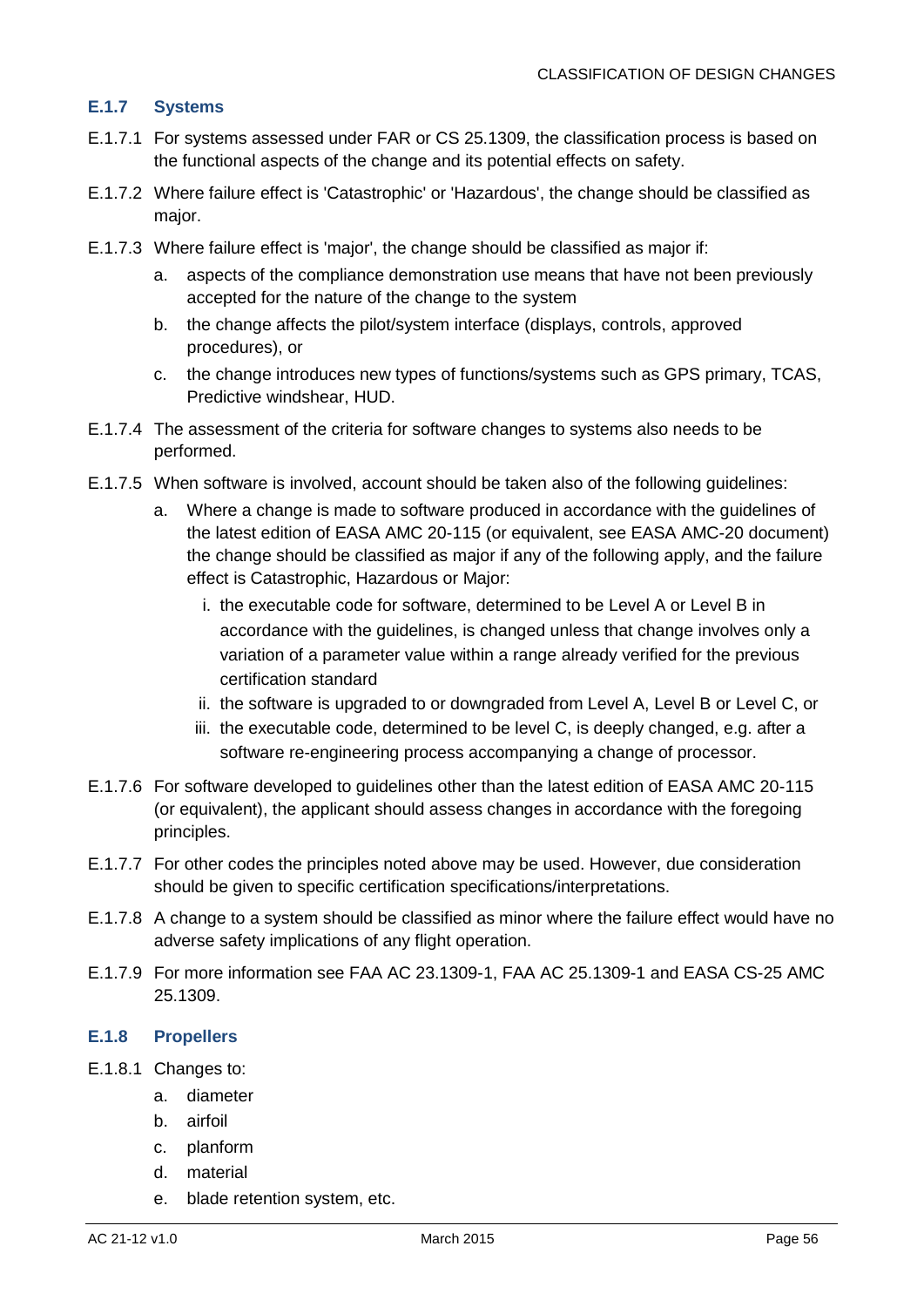#### **E.1.7 Systems**

- E.1.7.1 For systems assessed under FAR or CS 25.1309, the classification process is based on the functional aspects of the change and its potential effects on safety.
- E.1.7.2 Where failure effect is 'Catastrophic' or 'Hazardous', the change should be classified as major.
- E.1.7.3 Where failure effect is 'major', the change should be classified as major if:
	- a. aspects of the compliance demonstration use means that have not been previously accepted for the nature of the change to the system
	- b. the change affects the pilot/system interface (displays, controls, approved procedures), or
	- c. the change introduces new types of functions/systems such as GPS primary, TCAS, Predictive windshear, HUD.
- E.1.7.4 The assessment of the criteria for software changes to systems also needs to be performed.
- E.1.7.5 When software is involved, account should be taken also of the following guidelines:
	- a. Where a change is made to software produced in accordance with the guidelines of the latest edition of EASA AMC 20-115 (or equivalent, see EASA AMC-20 document) the change should be classified as major if any of the following apply, and the failure effect is Catastrophic, Hazardous or Major:
		- i. the executable code for software, determined to be Level A or Level B in accordance with the guidelines, is changed unless that change involves only a variation of a parameter value within a range already verified for the previous certification standard
		- ii. the software is upgraded to or downgraded from Level A, Level B or Level C, or
		- iii. the executable code, determined to be level C, is deeply changed, e.g. after a software re-engineering process accompanying a change of processor.
- E.1.7.6 For software developed to guidelines other than the latest edition of EASA AMC 20-115 (or equivalent), the applicant should assess changes in accordance with the foregoing principles.
- E.1.7.7 For other codes the principles noted above may be used. However, due consideration should be given to specific certification specifications/interpretations.
- E.1.7.8 A change to a system should be classified as minor where the failure effect would have no adverse safety implications of any flight operation.
- E.1.7.9 For more information see FAA AC 23.1309-1, FAA AC 25.1309-1 and EASA CS-25 AMC 25.1309.

#### **E.1.8 Propellers**

- E.1.8.1 Changes to:
	- a. diameter
	- b. airfoil
	- c. planform
	- d. material
	- e. blade retention system, etc.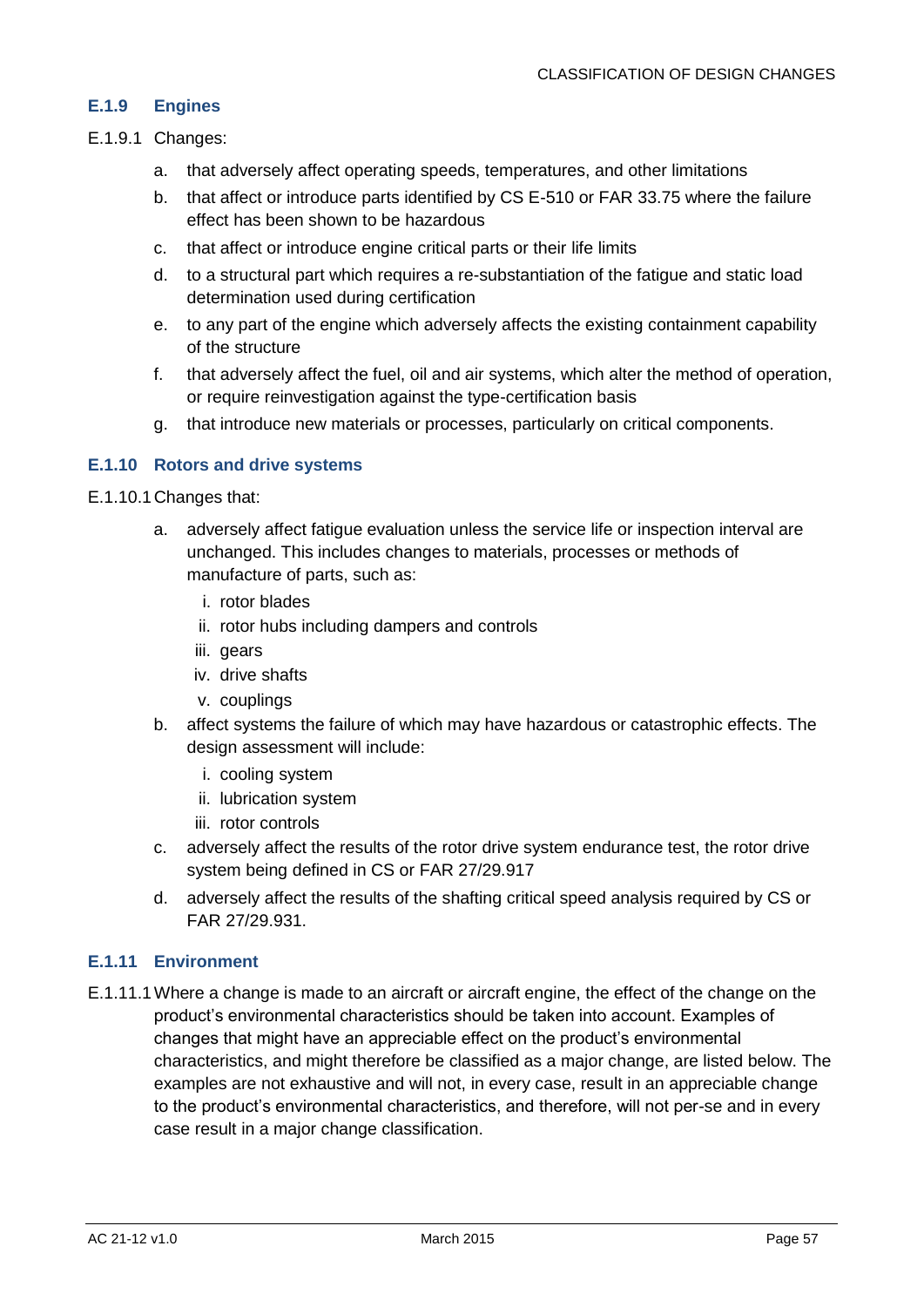#### **E.1.9 Engines**

- E.1.9.1 Changes:
	- a. that adversely affect operating speeds, temperatures, and other limitations
	- b. that affect or introduce parts identified by CS E-510 or FAR 33.75 where the failure effect has been shown to be hazardous
	- c. that affect or introduce engine critical parts or their life limits
	- d. to a structural part which requires a re-substantiation of the fatigue and static load determination used during certification
	- e. to any part of the engine which adversely affects the existing containment capability of the structure
	- f. that adversely affect the fuel, oil and air systems, which alter the method of operation, or require reinvestigation against the type-certification basis
	- g. that introduce new materials or processes, particularly on critical components.

#### **E.1.10 Rotors and drive systems**

- E.1.10.1Changes that:
	- a. adversely affect fatigue evaluation unless the service life or inspection interval are unchanged. This includes changes to materials, processes or methods of manufacture of parts, such as:
		- i. rotor blades
		- ii. rotor hubs including dampers and controls
		- iii. gears
		- iv. drive shafts
		- v. couplings
	- b. affect systems the failure of which may have hazardous or catastrophic effects. The design assessment will include:
		- i. cooling system
		- ii. lubrication system
		- iii. rotor controls
	- c. adversely affect the results of the rotor drive system endurance test, the rotor drive system being defined in CS or FAR 27/29.917
	- d. adversely affect the results of the shafting critical speed analysis required by CS or FAR 27/29.931.

#### **E.1.11 Environment**

E.1.11.1Where a change is made to an aircraft or aircraft engine, the effect of the change on the product's environmental characteristics should be taken into account. Examples of changes that might have an appreciable effect on the product's environmental characteristics, and might therefore be classified as a major change, are listed below. The examples are not exhaustive and will not, in every case, result in an appreciable change to the product's environmental characteristics, and therefore, will not per-se and in every case result in a major change classification.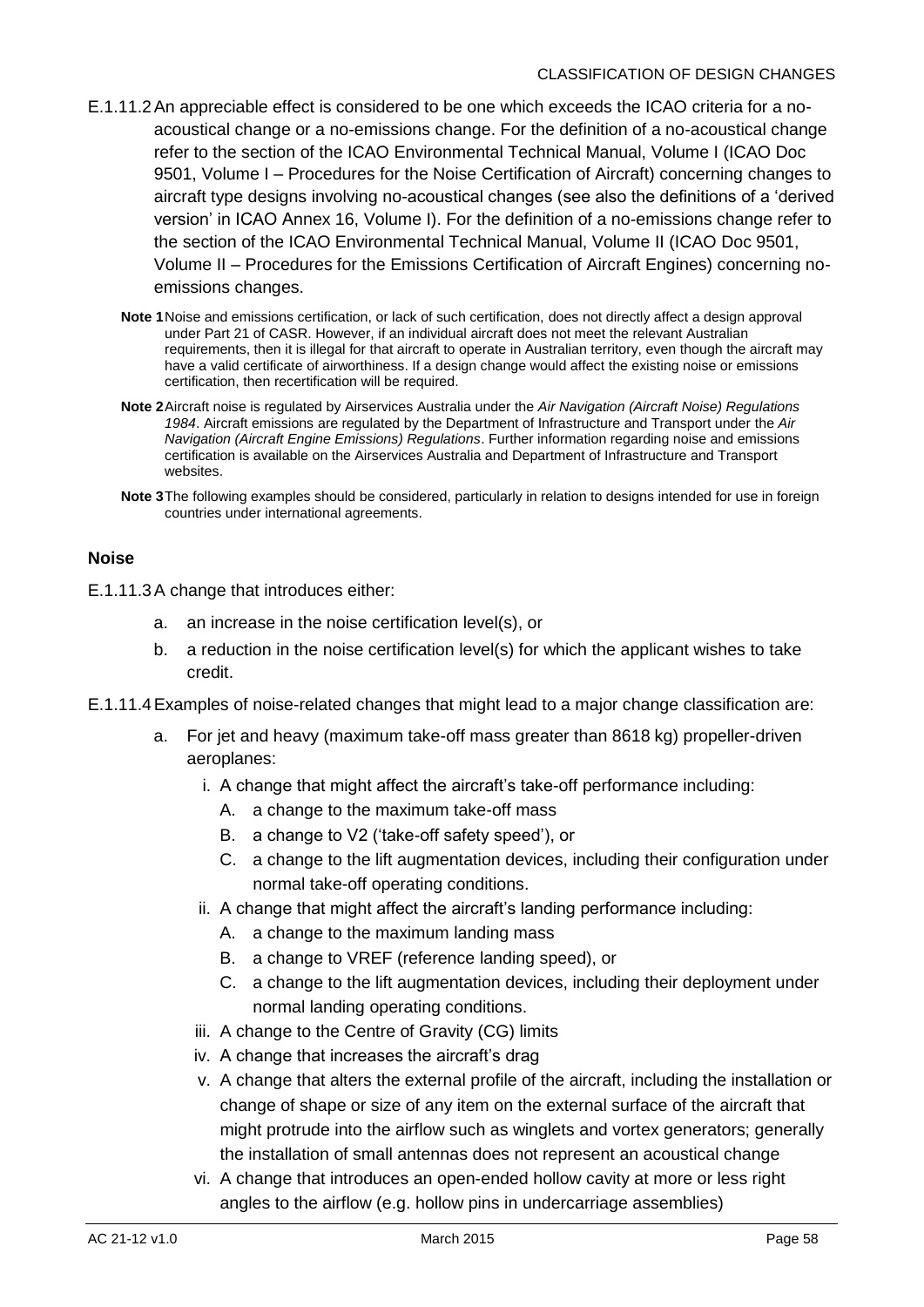- E.1.11.2An appreciable effect is considered to be one which exceeds the ICAO criteria for a noacoustical change or a no-emissions change. For the definition of a no-acoustical change refer to the section of the ICAO Environmental Technical Manual, Volume I (ICAO Doc 9501, Volume I – Procedures for the Noise Certification of Aircraft) concerning changes to aircraft type designs involving no-acoustical changes (see also the definitions of a 'derived version' in ICAO Annex 16, Volume I). For the definition of a no-emissions change refer to the section of the ICAO Environmental Technical Manual, Volume II (ICAO Doc 9501, Volume II – Procedures for the Emissions Certification of Aircraft Engines) concerning noemissions changes.
	- **Note 1**Noise and emissions certification, or lack of such certification, does not directly affect a design approval under Part 21 of CASR. However, if an individual aircraft does not meet the relevant Australian requirements, then it is illegal for that aircraft to operate in Australian territory, even though the aircraft may have a valid certificate of airworthiness. If a design change would affect the existing noise or emissions certification, then recertification will be required.
	- **Note 2**Aircraft noise is regulated by Airservices Australia under the *Air Navigation (Aircraft Noise) Regulations 1984*. Aircraft emissions are regulated by the Department of Infrastructure and Transport under the *Air Navigation (Aircraft Engine Emissions) Regulations*. Further information regarding noise and emissions certification is available on the Airservices Australia and Department of Infrastructure and Transport websites.
	- **Note 3**The following examples should be considered, particularly in relation to designs intended for use in foreign countries under international agreements.

#### **Noise**

E.1.11.3A change that introduces either:

- a. an increase in the noise certification level(s), or
- b. a reduction in the noise certification level(s) for which the applicant wishes to take credit.
- E.1.11.4Examples of noise-related changes that might lead to a major change classification are:
	- a. For jet and heavy (maximum take-off mass greater than 8618 kg) propeller-driven aeroplanes:
		- i. A change that might affect the aircraft's take-off performance including:
			- A. a change to the maximum take-off mass
			- B. a change to V2 ('take-off safety speed'), or
			- C. a change to the lift augmentation devices, including their configuration under normal take-off operating conditions.
		- ii. A change that might affect the aircraft's landing performance including:
			- A. a change to the maximum landing mass
			- B. a change to VREF (reference landing speed), or
			- C. a change to the lift augmentation devices, including their deployment under normal landing operating conditions.
		- iii. A change to the Centre of Gravity (CG) limits
		- iv. A change that increases the aircraft's drag
		- v. A change that alters the external profile of the aircraft, including the installation or change of shape or size of any item on the external surface of the aircraft that might protrude into the airflow such as winglets and vortex generators; generally the installation of small antennas does not represent an acoustical change
		- vi. A change that introduces an open-ended hollow cavity at more or less right angles to the airflow (e.g. hollow pins in undercarriage assemblies)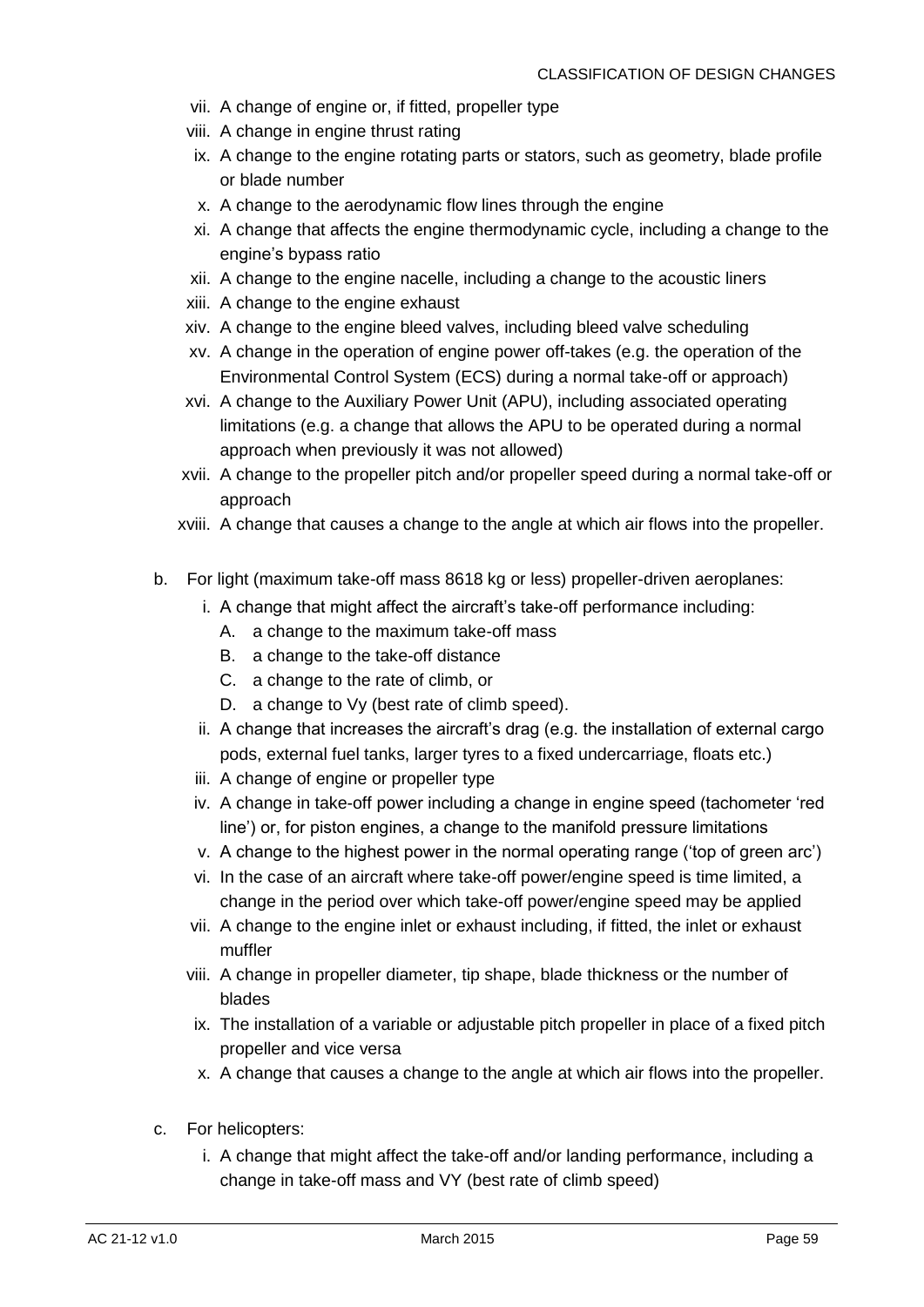- vii. A change of engine or, if fitted, propeller type
- viii. A change in engine thrust rating
- ix. A change to the engine rotating parts or stators, such as geometry, blade profile or blade number
- x. A change to the aerodynamic flow lines through the engine
- xi. A change that affects the engine thermodynamic cycle, including a change to the engine's bypass ratio
- xii. A change to the engine nacelle, including a change to the acoustic liners
- xiii. A change to the engine exhaust
- xiv. A change to the engine bleed valves, including bleed valve scheduling
- xv. A change in the operation of engine power off-takes (e.g. the operation of the Environmental Control System (ECS) during a normal take-off or approach)
- xvi. A change to the Auxiliary Power Unit (APU), including associated operating limitations (e.g. a change that allows the APU to be operated during a normal approach when previously it was not allowed)
- xvii. A change to the propeller pitch and/or propeller speed during a normal take-off or approach
- xviii. A change that causes a change to the angle at which air flows into the propeller.
- b. For light (maximum take-off mass 8618 kg or less) propeller-driven aeroplanes:
	- i. A change that might affect the aircraft's take-off performance including:
		- A. a change to the maximum take-off mass
		- B. a change to the take-off distance
		- C. a change to the rate of climb, or
		- D. a change to Vy (best rate of climb speed).
	- ii. A change that increases the aircraft's drag (e.g. the installation of external cargo pods, external fuel tanks, larger tyres to a fixed undercarriage, floats etc.)
	- iii. A change of engine or propeller type
	- iv. A change in take-off power including a change in engine speed (tachometer 'red line') or, for piston engines, a change to the manifold pressure limitations
	- v. A change to the highest power in the normal operating range ('top of green arc')
	- vi. In the case of an aircraft where take-off power/engine speed is time limited, a change in the period over which take-off power/engine speed may be applied
	- vii. A change to the engine inlet or exhaust including, if fitted, the inlet or exhaust muffler
	- viii. A change in propeller diameter, tip shape, blade thickness or the number of blades
	- ix. The installation of a variable or adjustable pitch propeller in place of a fixed pitch propeller and vice versa
	- x. A change that causes a change to the angle at which air flows into the propeller.
- c. For helicopters:
	- i. A change that might affect the take-off and/or landing performance, including a change in take-off mass and VY (best rate of climb speed)